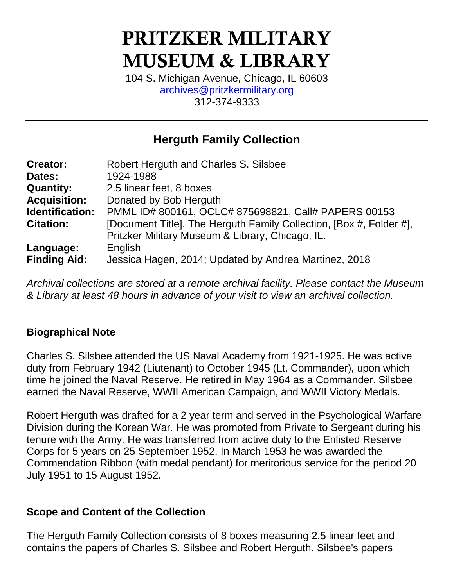# **PRITZKER MILITARY MUSEUM & LIBRARY**

104 S. Michigan Avenue, Chicago, IL 60603 [archives@pritzkermilitary.org](mailto:archives@pritzkermilitary.org) 312-374-9333

# **Herguth Family Collection**

| <b>Creator:</b>     | Robert Herguth and Charles S. Silsbee                               |
|---------------------|---------------------------------------------------------------------|
| Dates:              | 1924-1988                                                           |
| <b>Quantity:</b>    | 2.5 linear feet, 8 boxes                                            |
| <b>Acquisition:</b> | Donated by Bob Herguth                                              |
| Identification:     | PMML ID# 800161, OCLC# 875698821, Call# PAPERS 00153                |
| <b>Citation:</b>    | [Document Title]. The Herguth Family Collection, [Box #, Folder #], |
|                     | Pritzker Military Museum & Library, Chicago, IL.                    |
| Language:           | English                                                             |
| <b>Finding Aid:</b> | Jessica Hagen, 2014; Updated by Andrea Martinez, 2018               |

*Archival collections are stored at a remote archival facility. Please contact the Museum & Library at least 48 hours in advance of your visit to view an archival collection.*

#### **Biographical Note**

Charles S. Silsbee attended the US Naval Academy from 1921-1925. He was active duty from February 1942 (Liutenant) to October 1945 (Lt. Commander), upon which time he joined the Naval Reserve. He retired in May 1964 as a Commander. Silsbee earned the Naval Reserve, WWII American Campaign, and WWII Victory Medals.

Robert Herguth was drafted for a 2 year term and served in the Psychological Warfare Division during the Korean War. He was promoted from Private to Sergeant during his tenure with the Army. He was transferred from active duty to the Enlisted Reserve Corps for 5 years on 25 September 1952. In March 1953 he was awarded the Commendation Ribbon (with medal pendant) for meritorious service for the period 20 July 1951 to 15 August 1952.

#### **Scope and Content of the Collection**

The Herguth Family Collection consists of 8 boxes measuring 2.5 linear feet and contains the papers of Charles S. Silsbee and Robert Herguth. Silsbee's papers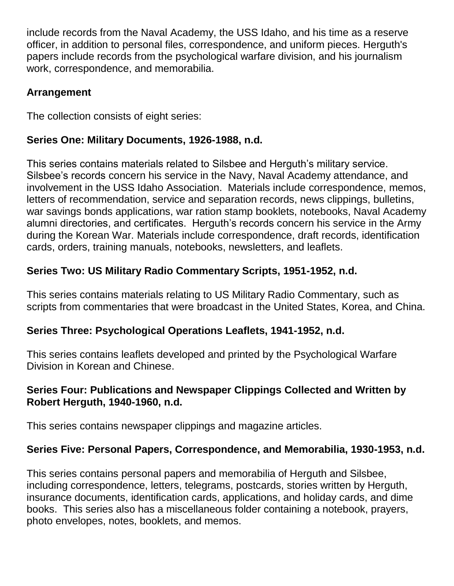include records from the Naval Academy, the USS Idaho, and his time as a reserve officer, in addition to personal files, correspondence, and uniform pieces. Herguth's papers include records from the psychological warfare division, and his journalism work, correspondence, and memorabilia.

#### **Arrangement**

The collection consists of eight series:

#### **Series One: Military Documents, 1926-1988, n.d.**

This series contains materials related to Silsbee and Herguth's military service. Silsbee's records concern his service in the Navy, Naval Academy attendance, and involvement in the USS Idaho Association. Materials include correspondence, memos, letters of recommendation, service and separation records, news clippings, bulletins, war savings bonds applications, war ration stamp booklets, notebooks, Naval Academy alumni directories, and certificates. Herguth's records concern his service in the Army during the Korean War. Materials include correspondence, draft records, identification cards, orders, training manuals, notebooks, newsletters, and leaflets.

# **Series Two: US Military Radio Commentary Scripts, 1951-1952, n.d.**

This series contains materials relating to US Military Radio Commentary, such as scripts from commentaries that were broadcast in the United States, Korea, and China.

## **Series Three: Psychological Operations Leaflets, 1941-1952, n.d.**

This series contains leaflets developed and printed by the Psychological Warfare Division in Korean and Chinese.

#### **Series Four: Publications and Newspaper Clippings Collected and Written by Robert Herguth, 1940-1960, n.d.**

This series contains newspaper clippings and magazine articles.

## **Series Five: Personal Papers, Correspondence, and Memorabilia, 1930-1953, n.d.**

This series contains personal papers and memorabilia of Herguth and Silsbee, including correspondence, letters, telegrams, postcards, stories written by Herguth, insurance documents, identification cards, applications, and holiday cards, and dime books. This series also has a miscellaneous folder containing a notebook, prayers, photo envelopes, notes, booklets, and memos.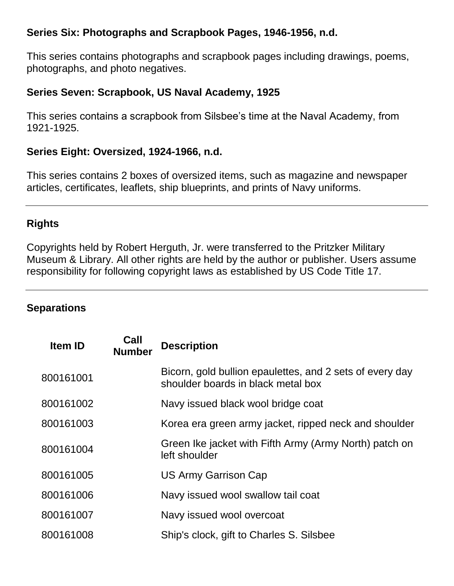#### **Series Six: Photographs and Scrapbook Pages, 1946-1956, n.d.**

This series contains photographs and scrapbook pages including drawings, poems, photographs, and photo negatives.

#### **Series Seven: Scrapbook, US Naval Academy, 1925**

This series contains a scrapbook from Silsbee's time at the Naval Academy, from 1921-1925.

#### **Series Eight: Oversized, 1924-1966, n.d.**

This series contains 2 boxes of oversized items, such as magazine and newspaper articles, certificates, leaflets, ship blueprints, and prints of Navy uniforms.

#### **Rights**

Copyrights held by Robert Herguth, Jr. were transferred to the Pritzker Military Museum & Library. All other rights are held by the author or publisher. Users assume responsibility for following copyright laws as established by US Code Title 17.

#### **Separations**

| Item ID   | Call<br><b>Number</b> | <b>Description</b>                                                                             |
|-----------|-----------------------|------------------------------------------------------------------------------------------------|
| 800161001 |                       | Bicorn, gold bullion epaulettes, and 2 sets of every day<br>shoulder boards in black metal box |
| 800161002 |                       | Navy issued black wool bridge coat                                                             |
| 800161003 |                       | Korea era green army jacket, ripped neck and shoulder                                          |
| 800161004 |                       | Green Ike jacket with Fifth Army (Army North) patch on<br>left shoulder                        |
| 800161005 |                       | <b>US Army Garrison Cap</b>                                                                    |
| 800161006 |                       | Navy issued wool swallow tail coat                                                             |
| 800161007 |                       | Navy issued wool overcoat                                                                      |
| 800161008 |                       | Ship's clock, gift to Charles S. Silsbee                                                       |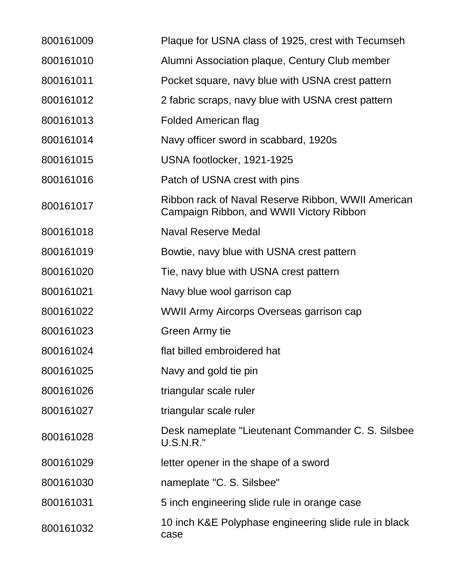| 800161009 | Plaque for USNA class of 1925, crest with Tecumseh                                             |
|-----------|------------------------------------------------------------------------------------------------|
| 800161010 | Alumni Association plaque, Century Club member                                                 |
| 800161011 | Pocket square, navy blue with USNA crest pattern                                               |
| 800161012 | 2 fabric scraps, navy blue with USNA crest pattern                                             |
| 800161013 | <b>Folded American flag</b>                                                                    |
| 800161014 | Navy officer sword in scabbard, 1920s                                                          |
| 800161015 | USNA footlocker, 1921-1925                                                                     |
| 800161016 | Patch of USNA crest with pins                                                                  |
| 800161017 | Ribbon rack of Naval Reserve Ribbon, WWII American<br>Campaign Ribbon, and WWII Victory Ribbon |
| 800161018 | <b>Naval Reserve Medal</b>                                                                     |
| 800161019 | Bowtie, navy blue with USNA crest pattern                                                      |
| 800161020 | Tie, navy blue with USNA crest pattern                                                         |
| 800161021 | Navy blue wool garrison cap                                                                    |
| 800161022 | WWII Army Aircorps Overseas garrison cap                                                       |
| 800161023 | Green Army tie                                                                                 |
| 800161024 | flat billed embroidered hat                                                                    |
| 800161025 | Navy and gold tie pin                                                                          |
| 800161026 | triangular scale ruler                                                                         |
| 800161027 | triangular scale ruler                                                                         |
| 800161028 | Desk nameplate "Lieutenant Commander C. S. Silsbee<br><b>U.S.N.R."</b>                         |
| 800161029 | letter opener in the shape of a sword                                                          |
| 800161030 | nameplate "C. S. Silsbee"                                                                      |
| 800161031 | 5 inch engineering slide rule in orange case                                                   |
| 800161032 | 10 inch K&E Polyphase engineering slide rule in black<br>case                                  |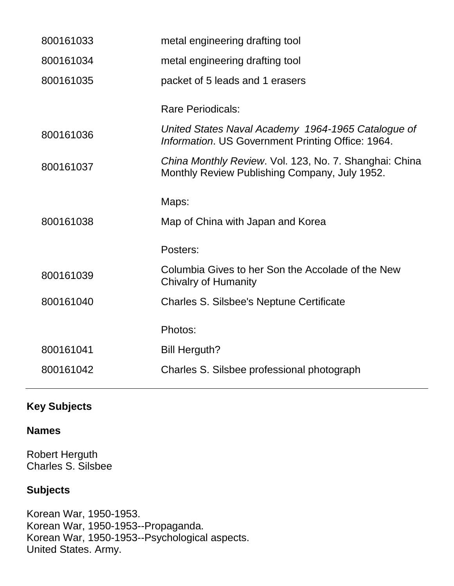| 800161033 | metal engineering drafting tool                                                                         |
|-----------|---------------------------------------------------------------------------------------------------------|
| 800161034 | metal engineering drafting tool                                                                         |
| 800161035 | packet of 5 leads and 1 erasers                                                                         |
|           | <b>Rare Periodicals:</b>                                                                                |
| 800161036 | United States Naval Academy 1964-1965 Catalogue of<br>Information. US Government Printing Office: 1964. |
| 800161037 | China Monthly Review. Vol. 123, No. 7. Shanghai: China<br>Monthly Review Publishing Company, July 1952. |
|           | Maps:                                                                                                   |
| 800161038 | Map of China with Japan and Korea                                                                       |
|           | Posters:                                                                                                |
| 800161039 | Columbia Gives to her Son the Accolade of the New<br><b>Chivalry of Humanity</b>                        |
| 800161040 | Charles S. Silsbee's Neptune Certificate                                                                |
|           | Photos:                                                                                                 |
| 800161041 | <b>Bill Herguth?</b>                                                                                    |
| 800161042 | Charles S. Silsbee professional photograph                                                              |
|           |                                                                                                         |

# **Key Subjects**

#### **Names**

Robert Herguth Charles S. Silsbee

# **Subjects**

Korean War, 1950-1953. Korean War, 1950-1953--Propaganda. Korean War, 1950-1953--Psychological aspects. United States. Army.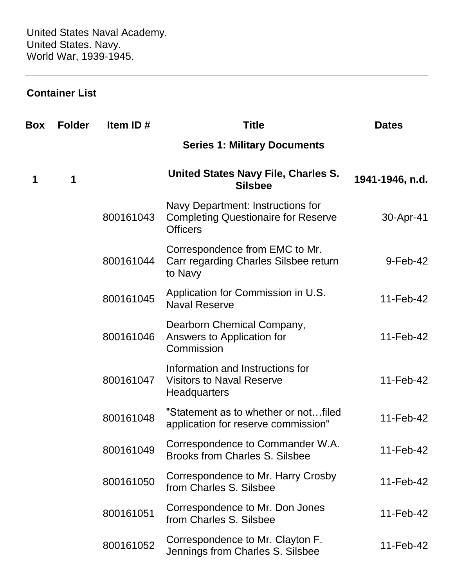#### **Container List**

| Box | <b>Folder</b> | Item ID#  | <b>Title</b>                                                                                       | <b>Dates</b>    |
|-----|---------------|-----------|----------------------------------------------------------------------------------------------------|-----------------|
|     |               |           | <b>Series 1: Military Documents</b>                                                                |                 |
| 1   | 1             |           | United States Navy File, Charles S.<br><b>Silsbee</b>                                              | 1941-1946, n.d. |
|     |               | 800161043 | Navy Department: Instructions for<br><b>Completing Questionaire for Reserve</b><br><b>Officers</b> | 30-Apr-41       |
|     |               | 800161044 | Correspondence from EMC to Mr.<br>Carr regarding Charles Silsbee return<br>to Navy                 | 9-Feb-42        |
|     |               | 800161045 | Application for Commission in U.S.<br><b>Naval Reserve</b>                                         | 11-Feb-42       |
|     |               | 800161046 | Dearborn Chemical Company,<br>Answers to Application for<br>Commission                             | 11-Feb-42       |
|     |               | 800161047 | Information and Instructions for<br><b>Visitors to Naval Reserve</b><br><b>Headquarters</b>        | 11-Feb-42       |
|     |               | 800161048 | "Statement as to whether or notfiled<br>application for reserve commission"                        | 11-Feb-42       |
|     |               | 800161049 | Correspondence to Commander W.A.<br><b>Brooks from Charles S. Silsbee</b>                          | 11-Feb-42       |
|     |               | 800161050 | Correspondence to Mr. Harry Crosby<br>from Charles S. Silsbee                                      | 11-Feb-42       |
|     |               | 800161051 | Correspondence to Mr. Don Jones<br>from Charles S. Silsbee                                         | 11-Feb-42       |
|     |               | 800161052 | Correspondence to Mr. Clayton F.<br>Jennings from Charles S. Silsbee                               | 11-Feb-42       |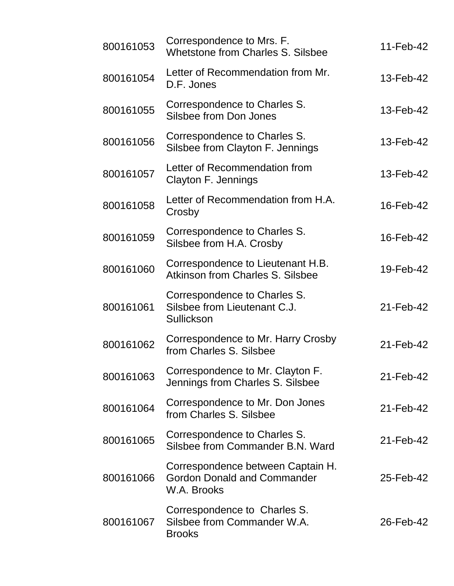| 800161053 | Correspondence to Mrs. F.<br>Whetstone from Charles S. Silsbee                         | 11-Feb-42 |
|-----------|----------------------------------------------------------------------------------------|-----------|
| 800161054 | Letter of Recommendation from Mr.<br>D.F. Jones                                        | 13-Feb-42 |
| 800161055 | Correspondence to Charles S.<br>Silsbee from Don Jones                                 | 13-Feb-42 |
| 800161056 | Correspondence to Charles S.<br>Silsbee from Clayton F. Jennings                       | 13-Feb-42 |
| 800161057 | Letter of Recommendation from<br>Clayton F. Jennings                                   | 13-Feb-42 |
| 800161058 | Letter of Recommendation from H.A.<br>Crosby                                           | 16-Feb-42 |
| 800161059 | Correspondence to Charles S.<br>Silsbee from H.A. Crosby                               | 16-Feb-42 |
| 800161060 | Correspondence to Lieutenant H.B.<br>Atkinson from Charles S. Silsbee                  | 19-Feb-42 |
| 800161061 | Correspondence to Charles S.<br>Silsbee from Lieutenant C.J.<br>Sullickson             | 21-Feb-42 |
| 800161062 | Correspondence to Mr. Harry Crosby<br>from Charles S. Silsbee                          | 21-Feb-42 |
| 800161063 | Correspondence to Mr. Clayton F.<br>Jennings from Charles S. Silsbee                   | 21-Feb-42 |
| 800161064 | Correspondence to Mr. Don Jones<br>from Charles S. Silsbee                             | 21-Feb-42 |
| 800161065 | Correspondence to Charles S.<br>Silsbee from Commander B.N. Ward                       | 21-Feb-42 |
| 800161066 | Correspondence between Captain H.<br><b>Gordon Donald and Commander</b><br>W.A. Brooks | 25-Feb-42 |
| 800161067 | Correspondence to Charles S.<br>Silsbee from Commander W.A.<br><b>Brooks</b>           | 26-Feb-42 |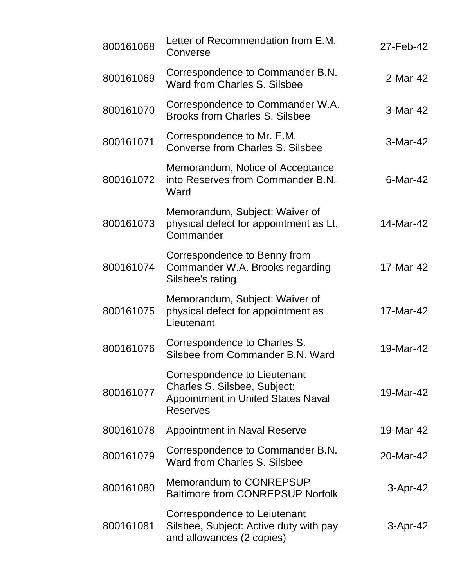| 800161068 | Letter of Recommendation from E.M.<br>Converse                                                                               | 27-Feb-42   |
|-----------|------------------------------------------------------------------------------------------------------------------------------|-------------|
| 800161069 | Correspondence to Commander B.N.<br>Ward from Charles S. Silsbee                                                             | 2-Mar-42    |
| 800161070 | Correspondence to Commander W.A.<br><b>Brooks from Charles S. Silsbee</b>                                                    | 3-Mar-42    |
| 800161071 | Correspondence to Mr. E.M.<br><b>Converse from Charles S. Silsbee</b>                                                        | 3-Mar-42    |
| 800161072 | Memorandum, Notice of Acceptance<br>into Reserves from Commander B.N.<br>Ward                                                | $6$ -Mar-42 |
| 800161073 | Memorandum, Subject: Waiver of<br>physical defect for appointment as Lt.<br>Commander                                        | 14-Mar-42   |
| 800161074 | Correspondence to Benny from<br>Commander W.A. Brooks regarding<br>Silsbee's rating                                          | 17-Mar-42   |
| 800161075 | Memorandum, Subject: Waiver of<br>physical defect for appointment as<br>Lieutenant                                           | 17-Mar-42   |
| 800161076 | Correspondence to Charles S.<br>Silsbee from Commander B.N. Ward                                                             | 19-Mar-42   |
| 800161077 | Correspondence to Lieutenant<br>Charles S. Silsbee, Subject:<br><b>Appointment in United States Naval</b><br><b>Reserves</b> | 19-Mar-42   |
| 800161078 | <b>Appointment in Naval Reserve</b>                                                                                          | 19-Mar-42   |
| 800161079 | Correspondence to Commander B.N.<br>Ward from Charles S. Silsbee                                                             | 20-Mar-42   |
| 800161080 | Memorandum to CONREPSUP<br><b>Baltimore from CONREPSUP Norfolk</b>                                                           | $3-Apr-42$  |
| 800161081 | Correspondence to Leiutenant<br>Silsbee, Subject: Active duty with pay<br>and allowances (2 copies)                          | 3-Apr-42    |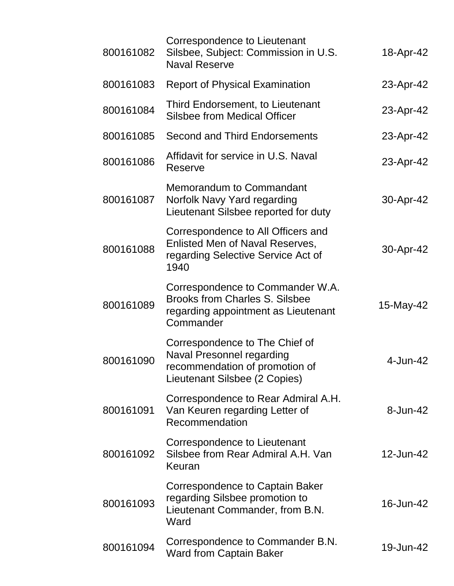| 800161082 | Correspondence to Lieutenant<br>Silsbee, Subject: Commission in U.S.<br><b>Naval Reserve</b>                                          | 18-Apr-42    |
|-----------|---------------------------------------------------------------------------------------------------------------------------------------|--------------|
| 800161083 | <b>Report of Physical Examination</b>                                                                                                 | 23-Apr-42    |
| 800161084 | Third Endorsement, to Lieutenant<br><b>Silsbee from Medical Officer</b>                                                               | 23-Apr-42    |
| 800161085 | <b>Second and Third Endorsements</b>                                                                                                  | 23-Apr-42    |
| 800161086 | Affidavit for service in U.S. Naval<br>Reserve                                                                                        | 23-Apr-42    |
| 800161087 | Memorandum to Commandant<br>Norfolk Navy Yard regarding<br>Lieutenant Silsbee reported for duty                                       | 30-Apr-42    |
| 800161088 | Correspondence to All Officers and<br><b>Enlisted Men of Naval Reserves,</b><br>regarding Selective Service Act of<br>1940            | 30-Apr-42    |
| 800161089 | Correspondence to Commander W.A.<br><b>Brooks from Charles S. Silsbee</b><br>regarding appointment as Lieutenant<br>Commander         | 15-May-42    |
| 800161090 | Correspondence to The Chief of<br><b>Naval Presonnel regarding</b><br>recommendation of promotion of<br>Lieutenant Silsbee (2 Copies) | 4-Jun-42     |
| 800161091 | Correspondence to Rear Admiral A.H.<br>Van Keuren regarding Letter of<br>Recommendation                                               | $8 - Jun-42$ |
| 800161092 | Correspondence to Lieutenant<br>Silsbee from Rear Admiral A.H. Van<br>Keuran                                                          | 12-Jun-42    |
| 800161093 | Correspondence to Captain Baker<br>regarding Silsbee promotion to<br>Lieutenant Commander, from B.N.<br>Ward                          | 16-Jun-42    |
| 800161094 | Correspondence to Commander B.N.<br><b>Ward from Captain Baker</b>                                                                    | 19-Jun-42    |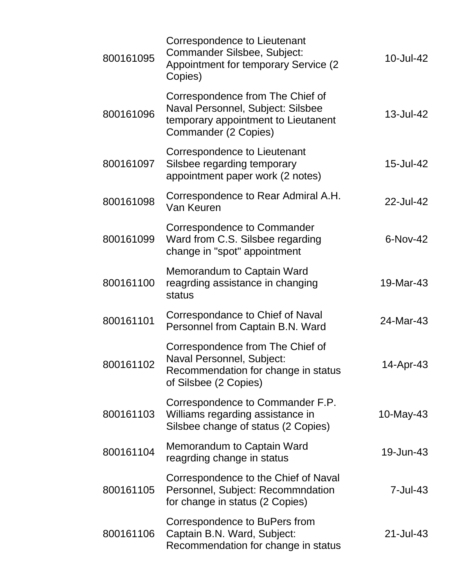| 800161095 | Correspondence to Lieutenant<br>Commander Silsbee, Subject:<br><b>Appointment for temporary Service (2)</b><br>Copies)               | 10-Jul-42 |
|-----------|--------------------------------------------------------------------------------------------------------------------------------------|-----------|
| 800161096 | Correspondence from The Chief of<br>Naval Personnel, Subject: Silsbee<br>temporary appointment to Lieutanent<br>Commander (2 Copies) | 13-Jul-42 |
| 800161097 | Correspondence to Lieutenant<br>Silsbee regarding temporary<br>appointment paper work (2 notes)                                      | 15-Jul-42 |
| 800161098 | Correspondence to Rear Admiral A.H.<br>Van Keuren                                                                                    | 22-Jul-42 |
| 800161099 | Correspondence to Commander<br>Ward from C.S. Silsbee regarding<br>change in "spot" appointment                                      | 6-Nov-42  |
| 800161100 | Memorandum to Captain Ward<br>reagrding assistance in changing<br>status                                                             | 19-Mar-43 |
| 800161101 | Correspondance to Chief of Naval<br>Personnel from Captain B.N. Ward                                                                 | 24-Mar-43 |
| 800161102 | Correspondence from The Chief of<br>Naval Personnel, Subject:<br>Recommendation for change in status<br>of Silsbee (2 Copies)        | 14-Apr-43 |
| 800161103 | Correspondence to Commander F.P.<br>Williams regarding assistance in<br>Silsbee change of status (2 Copies)                          | 10-May-43 |
| 800161104 | Memorandum to Captain Ward<br>reagrding change in status                                                                             | 19-Jun-43 |
| 800161105 | Correspondence to the Chief of Naval<br>Personnel, Subject: Recommndation<br>for change in status (2 Copies)                         | 7-Jul-43  |
| 800161106 | Correspondence to BuPers from<br>Captain B.N. Ward, Subject:<br>Recommendation for change in status                                  | 21-Jul-43 |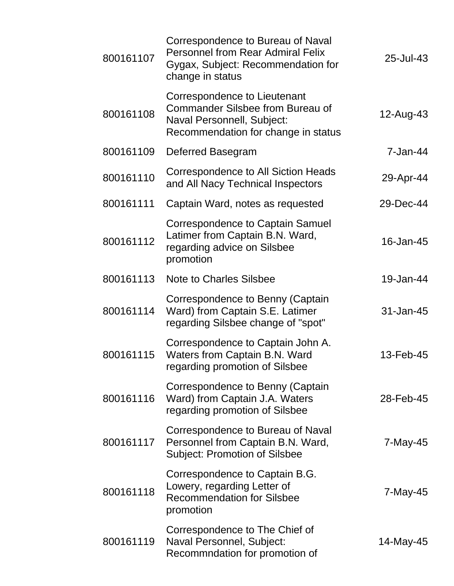| 800161107 | Correspondence to Bureau of Naval<br><b>Personnel from Rear Admiral Felix</b><br>Gygax, Subject: Recommendation for<br>change in status      | 25-Jul-43 |
|-----------|----------------------------------------------------------------------------------------------------------------------------------------------|-----------|
| 800161108 | Correspondence to Lieutenant<br><b>Commander Silsbee from Bureau of</b><br>Naval Personnell, Subject:<br>Recommendation for change in status | 12-Aug-43 |
| 800161109 | Deferred Basegram                                                                                                                            | 7-Jan-44  |
| 800161110 | Correspondence to All Siction Heads<br>and All Nacy Technical Inspectors                                                                     | 29-Apr-44 |
| 800161111 | Captain Ward, notes as requested                                                                                                             | 29-Dec-44 |
| 800161112 | <b>Correspondence to Captain Samuel</b><br>Latimer from Captain B.N. Ward,<br>regarding advice on Silsbee<br>promotion                       | 16-Jan-45 |
| 800161113 | <b>Note to Charles Silsbee</b>                                                                                                               | 19-Jan-44 |
| 800161114 | Correspondence to Benny (Captain<br>Ward) from Captain S.E. Latimer<br>regarding Silsbee change of "spot"                                    | 31-Jan-45 |
| 800161115 | Correspondence to Captain John A.<br>Waters from Captain B.N. Ward<br>regarding promotion of Silsbee                                         | 13-Feb-45 |
| 800161116 | Correspondence to Benny (Captain<br>Ward) from Captain J.A. Waters<br>regarding promotion of Silsbee                                         | 28-Feb-45 |
| 800161117 | Correspondence to Bureau of Naval<br>Personnel from Captain B.N. Ward,<br><b>Subject: Promotion of Silsbee</b>                               | 7-May-45  |
| 800161118 | Correspondence to Captain B.G.<br>Lowery, regarding Letter of<br><b>Recommendation for Silsbee</b><br>promotion                              | 7-May-45  |
| 800161119 | Correspondence to The Chief of<br>Naval Personnel, Subject:<br>Recommndation for promotion of                                                | 14-May-45 |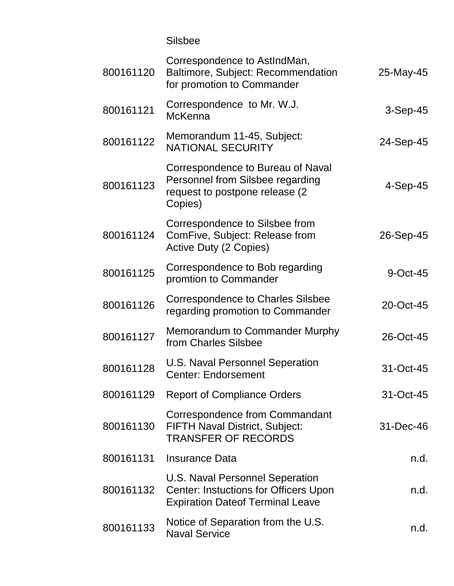Silsbee

| 800161120 | Correspondence to AstIndMan,<br>Baltimore, Subject: Recommendation<br>for promotion to Commander                           | 25-May-45   |
|-----------|----------------------------------------------------------------------------------------------------------------------------|-------------|
| 800161121 | Correspondence to Mr. W.J.<br><b>McKenna</b>                                                                               | $3-Sep-45$  |
| 800161122 | Memorandum 11-45, Subject:<br><b>NATIONAL SECURITY</b>                                                                     | 24-Sep-45   |
| 800161123 | Correspondence to Bureau of Naval<br>Personnel from Silsbee regarding<br>request to postpone release (2)<br>Copies)        | 4-Sep-45    |
| 800161124 | Correspondence to Silsbee from<br>ComFive, Subject: Release from<br>Active Duty (2 Copies)                                 | 26-Sep-45   |
| 800161125 | Correspondence to Bob regarding<br>promtion to Commander                                                                   | $9$ -Oct-45 |
| 800161126 | <b>Correspondence to Charles Silsbee</b><br>regarding promotion to Commander                                               | 20-Oct-45   |
| 800161127 | Memorandum to Commander Murphy<br>from Charles Silsbee                                                                     | 26-Oct-45   |
| 800161128 | U.S. Naval Personnel Seperation<br><b>Center: Endorsement</b>                                                              | 31-Oct-45   |
| 800161129 | <b>Report of Compliance Orders</b>                                                                                         | 31-Oct-45   |
| 800161130 | Correspondence from Commandant<br><b>FIFTH Naval District, Subject:</b><br><b>TRANSFER OF RECORDS</b>                      | 31-Dec-46   |
| 800161131 | <b>Insurance Data</b>                                                                                                      | n.d.        |
| 800161132 | U.S. Naval Personnel Seperation<br><b>Center: Instuctions for Officers Upon</b><br><b>Expiration Dateof Terminal Leave</b> | n.d.        |
| 800161133 | Notice of Separation from the U.S.<br><b>Naval Service</b>                                                                 | n.d.        |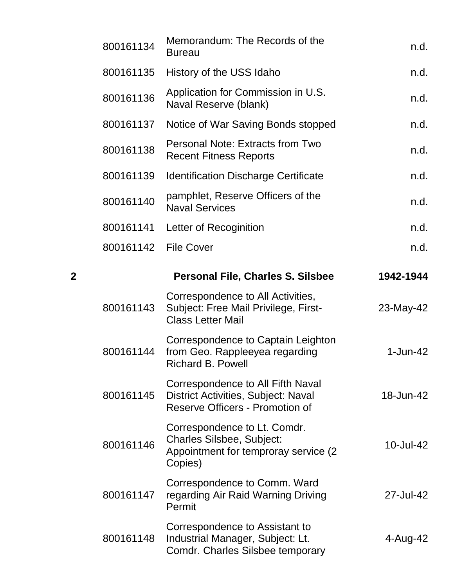|   | 800161134 | Memorandum: The Records of the<br><b>Bureau</b>                                                                           | n.d.       |
|---|-----------|---------------------------------------------------------------------------------------------------------------------------|------------|
|   | 800161135 | History of the USS Idaho                                                                                                  | n.d.       |
|   | 800161136 | Application for Commission in U.S.<br>Naval Reserve (blank)                                                               | n.d.       |
|   | 800161137 | Notice of War Saving Bonds stopped                                                                                        | n.d.       |
|   | 800161138 | <b>Personal Note: Extracts from Two</b><br><b>Recent Fitness Reports</b>                                                  | n.d.       |
|   | 800161139 | <b>Identification Discharge Certificate</b>                                                                               | n.d.       |
|   | 800161140 | pamphlet, Reserve Officers of the<br><b>Naval Services</b>                                                                | n.d.       |
|   | 800161141 | Letter of Recoginition                                                                                                    | n.d.       |
|   | 800161142 | <b>File Cover</b>                                                                                                         | n.d.       |
| 2 |           | <b>Personal File, Charles S. Silsbee</b>                                                                                  | 1942-1944  |
|   | 800161143 | Correspondence to All Activities,<br>Subject: Free Mail Privilege, First-<br><b>Class Letter Mail</b>                     | 23-May-42  |
|   | 800161144 | Correspondence to Captain Leighton<br>from Geo. Rappleeyea regarding<br><b>Richard B. Powell</b>                          | $1-Jun-42$ |
|   | 800161145 | Correspondence to All Fifth Naval<br><b>District Activities, Subject: Naval</b><br><b>Reserve Officers - Promotion of</b> | 18-Jun-42  |
|   | 800161146 | Correspondence to Lt. Comdr.<br><b>Charles Silsbee, Subject:</b><br>Appointment for temproray service (2)<br>Copies)      | 10-Jul-42  |
|   | 800161147 | Correspondence to Comm. Ward<br>regarding Air Raid Warning Driving<br>Permit                                              | 27-Jul-42  |
|   | 800161148 | Correspondence to Assistant to<br>Industrial Manager, Subject: Lt.<br>Comdr. Charles Silsbee temporary                    | 4-Aug-42   |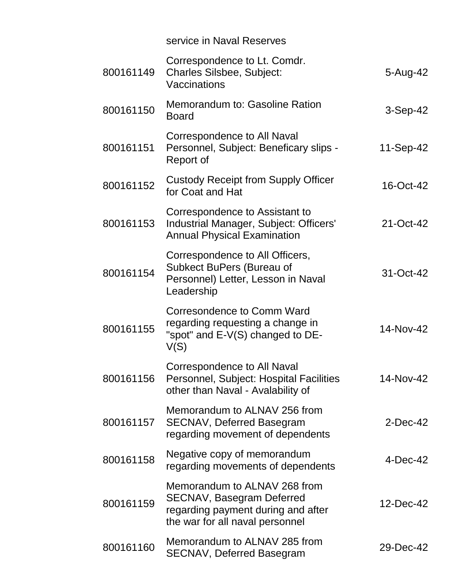|           | service in Naval Reserves                                                                                                                 |             |
|-----------|-------------------------------------------------------------------------------------------------------------------------------------------|-------------|
| 800161149 | Correspondence to Lt. Comdr.<br><b>Charles Silsbee, Subject:</b><br>Vaccinations                                                          | 5-Aug-42    |
| 800161150 | Memorandum to: Gasoline Ration<br><b>Board</b>                                                                                            | $3-Sep-42$  |
| 800161151 | Correspondence to All Naval<br>Personnel, Subject: Beneficary slips -<br>Report of                                                        | 11-Sep-42   |
| 800161152 | <b>Custody Receipt from Supply Officer</b><br>for Coat and Hat                                                                            | 16-Oct-42   |
| 800161153 | Correspondence to Assistant to<br>Industrial Manager, Subject: Officers'<br><b>Annual Physical Examination</b>                            | 21-Oct-42   |
| 800161154 | Correspondence to All Officers,<br>Subkect BuPers (Bureau of<br>Personnel) Letter, Lesson in Naval<br>Leadership                          | 31-Oct-42   |
| 800161155 | Corresondence to Comm Ward<br>regarding requesting a change in<br>"spot" and $E-V(S)$ changed to DE-<br>V(S)                              | 14-Nov-42   |
| 800161156 | Correspondence to All Naval<br>Personnel, Subject: Hospital Facilities<br>other than Naval - Avalability of                               | 14-Nov-42   |
| 800161157 | Memorandum to ALNAV 256 from<br><b>SECNAV, Deferred Basegram</b><br>regarding movement of dependents                                      | $2$ -Dec-42 |
| 800161158 | Negative copy of memorandum<br>regarding movements of dependents                                                                          | $4-Dec-42$  |
| 800161159 | Memorandum to ALNAV 268 from<br><b>SECNAV, Basegram Deferred</b><br>regarding payment during and after<br>the war for all naval personnel | 12-Dec-42   |
| 800161160 | Memorandum to ALNAV 285 from<br><b>SECNAV, Deferred Basegram</b>                                                                          | 29-Dec-42   |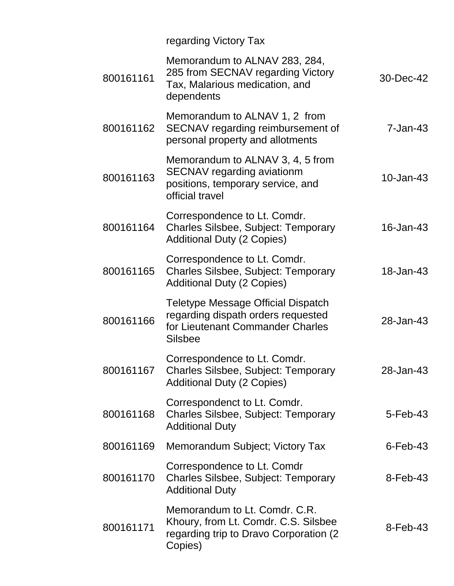|           | regarding Victory Tax                                                                                                          |                |
|-----------|--------------------------------------------------------------------------------------------------------------------------------|----------------|
| 800161161 | Memorandum to ALNAV 283, 284,<br>285 from SECNAV regarding Victory<br>Tax, Malarious medication, and<br>dependents             | 30-Dec-42      |
| 800161162 | Memorandum to ALNAV 1, 2 from<br>SECNAV regarding reimbursement of<br>personal property and allotments                         | $7 - Jan-43$   |
| 800161163 | Memorandum to ALNAV 3, 4, 5 from<br><b>SECNAV</b> regarding aviationm<br>positions, temporary service, and<br>official travel  | 10-Jan-43      |
| 800161164 | Correspondence to Lt. Comdr.<br><b>Charles Silsbee, Subject: Temporary</b><br><b>Additional Duty (2 Copies)</b>                | 16-Jan-43      |
| 800161165 | Correspondence to Lt. Comdr.<br><b>Charles Silsbee, Subject: Temporary</b><br><b>Additional Duty (2 Copies)</b>                | 18-Jan-43      |
| 800161166 | Teletype Message Official Dispatch<br>regarding dispath orders requested<br>for Lieutenant Commander Charles<br><b>Silsbee</b> | 28-Jan-43      |
|           | Correspondence to Lt. Comdr.<br>800161167 Charles Silsbee, Subject: Temporary<br><b>Additional Duty (2 Copies)</b>             | 28-Jan-43      |
| 800161168 | Correspondenct to Lt. Comdr.<br><b>Charles Silsbee, Subject: Temporary</b><br><b>Additional Duty</b>                           | $5 - Feb - 43$ |
| 800161169 | Memorandum Subject; Victory Tax                                                                                                | $6$ -Feb-43    |
| 800161170 | Correspondence to Lt. Comdr<br><b>Charles Silsbee, Subject: Temporary</b><br><b>Additional Duty</b>                            | $8$ -Feb-43    |
| 800161171 | Memorandum to Lt. Comdr. C.R.<br>Khoury, from Lt. Comdr. C.S. Silsbee<br>regarding trip to Dravo Corporation (2)<br>Copies)    | $8$ -Feb-43    |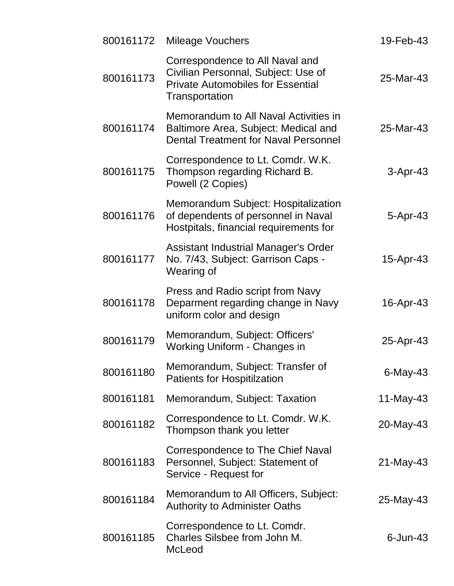|           | 800161172 Mileage Vouchers                                                                                                           | 19-Feb-43   |
|-----------|--------------------------------------------------------------------------------------------------------------------------------------|-------------|
| 800161173 | Correspondence to All Naval and<br>Civilian Personnal, Subject: Use of<br><b>Private Automobiles for Essential</b><br>Transportation | 25-Mar-43   |
| 800161174 | Memorandum to All Naval Activities in<br>Baltimore Area, Subject: Medical and<br><b>Dental Treatment for Naval Personnel</b>         | 25-Mar-43   |
| 800161175 | Correspondence to Lt. Comdr. W.K.<br>Thompson regarding Richard B.<br>Powell (2 Copies)                                              | $3-Apr-43$  |
| 800161176 | Memorandum Subject: Hospitalization<br>of dependents of personnel in Naval<br>Hostpitals, financial requirements for                 | 5-Apr-43    |
| 800161177 | <b>Assistant Industrial Manager's Order</b><br>No. 7/43, Subject: Garrison Caps -<br>Wearing of                                      | 15-Apr-43   |
| 800161178 | Press and Radio script from Navy<br>Deparment regarding change in Navy<br>uniform color and design                                   | 16-Apr-43   |
| 800161179 | Memorandum, Subject: Officers'<br><b>Working Uniform - Changes in</b>                                                                | 25-Apr-43   |
| 800161180 | Memorandum, Subject: Transfer of<br><b>Patients for Hospitilzation</b>                                                               | $6$ -May-43 |
| 800161181 | Memorandum, Subject: Taxation                                                                                                        | 11-May-43   |
| 800161182 | Correspondence to Lt. Comdr. W.K.<br>Thompson thank you letter                                                                       | 20-May-43   |
| 800161183 | Correspondence to The Chief Naval<br>Personnel, Subject: Statement of<br>Service - Request for                                       | 21-May-43   |
| 800161184 | Memorandum to All Officers, Subject:<br><b>Authority to Administer Oaths</b>                                                         | 25-May-43   |
| 800161185 | Correspondence to Lt. Comdr.<br>Charles Silsbee from John M.<br>McLeod                                                               | $6$ -Jun-43 |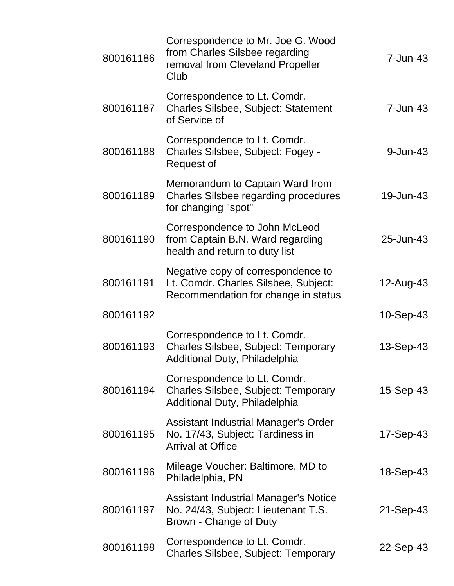| 800161186 | Correspondence to Mr. Joe G. Wood<br>from Charles Silsbee regarding<br>removal from Cleveland Propeller<br>Club   | 7-Jun-43     |
|-----------|-------------------------------------------------------------------------------------------------------------------|--------------|
| 800161187 | Correspondence to Lt. Comdr.<br><b>Charles Silsbee, Subject: Statement</b><br>of Service of                       | $7 - Jun-43$ |
| 800161188 | Correspondence to Lt. Comdr.<br>Charles Silsbee, Subject: Fogey -<br>Request of                                   | 9-Jun-43     |
| 800161189 | Memorandum to Captain Ward from<br><b>Charles Silsbee regarding procedures</b><br>for changing "spot"             | 19-Jun-43    |
| 800161190 | Correspondence to John McLeod<br>from Captain B.N. Ward regarding<br>health and return to duty list               | 25-Jun-43    |
| 800161191 | Negative copy of correspondence to<br>Lt. Comdr. Charles Silsbee, Subject:<br>Recommendation for change in status | 12-Aug-43    |
| 800161192 |                                                                                                                   | $10-Sep-43$  |
| 800161193 | Correspondence to Lt. Comdr.<br>Charles Silsbee, Subject: Temporary<br>Additional Duty, Philadelphia              | 13-Sep-43    |
| 800161194 | Correspondence to Lt. Comdr.<br><b>Charles Silsbee, Subject: Temporary</b><br>Additional Duty, Philadelphia       | 15-Sep-43    |
| 800161195 | Assistant Industrial Manager's Order<br>No. 17/43, Subject: Tardiness in<br><b>Arrival at Office</b>              | 17-Sep-43    |
| 800161196 | Mileage Voucher: Baltimore, MD to<br>Philadelphia, PN                                                             | 18-Sep-43    |
| 800161197 | Assistant Industrial Manager's Notice<br>No. 24/43, Subject: Lieutenant T.S.<br>Brown - Change of Duty            | 21-Sep-43    |
| 800161198 | Correspondence to Lt. Comdr.<br><b>Charles Silsbee, Subject: Temporary</b>                                        | 22-Sep-43    |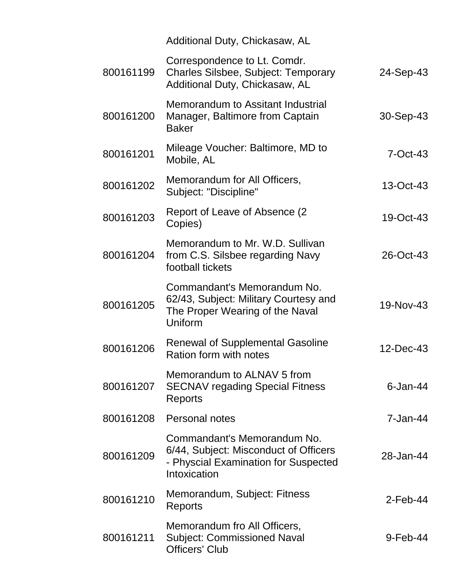|           | Additional Duty, Chickasaw, AL                                                                                               |              |
|-----------|------------------------------------------------------------------------------------------------------------------------------|--------------|
| 800161199 | Correspondence to Lt. Comdr.<br><b>Charles Silsbee, Subject: Temporary</b><br>Additional Duty, Chickasaw, AL                 | 24-Sep-43    |
| 800161200 | Memorandum to Assitant Industrial<br>Manager, Baltimore from Captain<br><b>Baker</b>                                         | 30-Sep-43    |
| 800161201 | Mileage Voucher: Baltimore, MD to<br>Mobile, AL                                                                              | $7-Oct-43$   |
| 800161202 | Memorandum for All Officers,<br>Subject: "Discipline"                                                                        | 13-Oct-43    |
| 800161203 | Report of Leave of Absence (2)<br>Copies)                                                                                    | 19-Oct-43    |
| 800161204 | Memorandum to Mr. W.D. Sullivan<br>from C.S. Silsbee regarding Navy<br>football tickets                                      | 26-Oct-43    |
| 800161205 | Commandant's Memorandum No.<br>62/43, Subject: Military Courtesy and<br>The Proper Wearing of the Naval<br>Uniform           | 19-Nov-43    |
| 800161206 | <b>Renewal of Supplemental Gasoline</b><br>Ration form with notes                                                            | 12-Dec-43    |
| 800161207 | Memorandum to ALNAV 5 from<br><b>SECNAV regading Special Fitness</b><br>Reports                                              | $6$ -Jan-44  |
| 800161208 | Personal notes                                                                                                               | $7 - Jan-44$ |
| 800161209 | Commandant's Memorandum No.<br>6/44, Subject: Misconduct of Officers<br>- Physcial Examination for Suspected<br>Intoxication | 28-Jan-44    |
| 800161210 | Memorandum, Subject: Fitness<br>Reports                                                                                      | $2$ -Feb-44  |
| 800161211 | Memorandum fro All Officers,<br><b>Subject: Commissioned Naval</b><br><b>Officers' Club</b>                                  | 9-Feb-44     |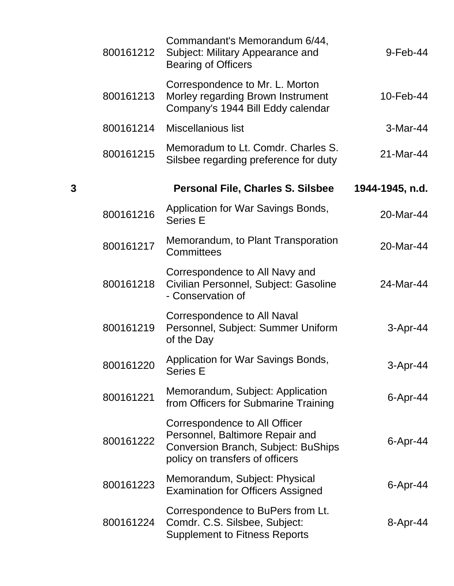|   | 800161212 | Commandant's Memorandum 6/44,<br>Subject: Military Appearance and<br><b>Bearing of Officers</b>                                            | 9-Feb-44        |
|---|-----------|--------------------------------------------------------------------------------------------------------------------------------------------|-----------------|
|   | 800161213 | Correspondence to Mr. L. Morton<br>Morley regarding Brown Instrument<br>Company's 1944 Bill Eddy calendar                                  | 10-Feb-44       |
|   | 800161214 | <b>Miscellanious list</b>                                                                                                                  | 3-Mar-44        |
|   | 800161215 | Memoradum to Lt. Comdr. Charles S.<br>Silsbee regarding preference for duty                                                                | 21-Mar-44       |
| 3 |           | <b>Personal File, Charles S. Silsbee</b>                                                                                                   | 1944-1945, n.d. |
|   | 800161216 | Application for War Savings Bonds,<br><b>Series E</b>                                                                                      | 20-Mar-44       |
|   | 800161217 | Memorandum, to Plant Transporation<br>Committees                                                                                           | 20-Mar-44       |
|   | 800161218 | Correspondence to All Navy and<br>Civilian Personnel, Subject: Gasoline<br>- Conservation of                                               | 24-Mar-44       |
|   | 800161219 | Correspondence to All Naval<br>Personnel, Subject: Summer Uniform<br>of the Day                                                            | 3-Apr-44        |
|   | 800161220 | Application for War Savings Bonds,<br><b>Series E</b>                                                                                      | 3-Apr-44        |
|   | 800161221 | Memorandum, Subject: Application<br>from Officers for Submarine Training                                                                   | $6 -$ Apr $-44$ |
|   | 800161222 | Correspondence to All Officer<br>Personnel, Baltimore Repair and<br>Conversion Branch, Subject: BuShips<br>policy on transfers of officers | $6$ -Apr-44     |
|   | 800161223 | Memorandum, Subject: Physical<br><b>Examination for Officers Assigned</b>                                                                  | $6 - Apr - 44$  |
|   | 800161224 | Correspondence to BuPers from Lt.<br>Comdr. C.S. Silsbee, Subject:<br><b>Supplement to Fitness Reports</b>                                 | 8-Apr-44        |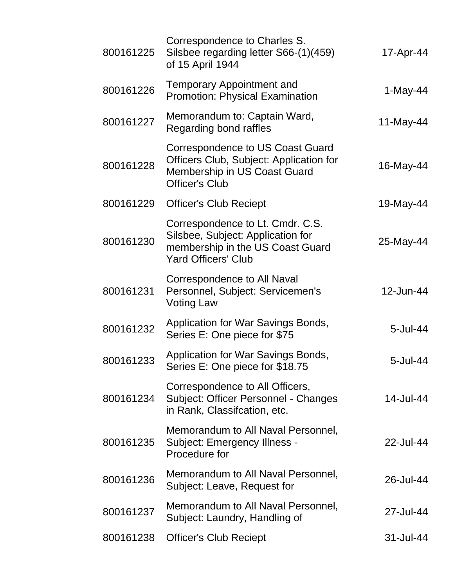| 800161225 | Correspondence to Charles S.<br>Silsbee regarding letter S66-(1)(459)<br>of 15 April 1944                                               | 17-Apr-44   |
|-----------|-----------------------------------------------------------------------------------------------------------------------------------------|-------------|
| 800161226 | <b>Temporary Appointment and</b><br><b>Promotion: Physical Examination</b>                                                              | $1-May-44$  |
| 800161227 | Memorandum to: Captain Ward,<br>Regarding bond raffles                                                                                  | 11-May-44   |
| 800161228 | Correspondence to US Coast Guard<br>Officers Club, Subject: Application for<br>Membership in US Coast Guard<br><b>Officer's Club</b>    | 16-May-44   |
| 800161229 | <b>Officer's Club Reciept</b>                                                                                                           | 19-May-44   |
| 800161230 | Correspondence to Lt. Cmdr. C.S.<br>Silsbee, Subject: Application for<br>membership in the US Coast Guard<br><b>Yard Officers' Club</b> | 25-May-44   |
| 800161231 | Correspondence to All Naval<br>Personnel, Subject: Servicemen's<br><b>Voting Law</b>                                                    | 12-Jun-44   |
| 800161232 | Application for War Savings Bonds,<br>Series E: One piece for \$75                                                                      | 5-Jul-44    |
| 800161233 | Application for War Savings Bonds,<br>Series E: One piece for \$18.75                                                                   | $5$ -Jul-44 |
| 800161234 | Correspondence to All Officers,<br>Subject: Officer Personnel - Changes<br>in Rank, Classifcation, etc.                                 | 14-Jul-44   |
| 800161235 | Memorandum to All Naval Personnel,<br>Subject: Emergency Illness -<br>Procedure for                                                     | 22-Jul-44   |
| 800161236 | Memorandum to All Naval Personnel,<br>Subject: Leave, Request for                                                                       | 26-Jul-44   |
| 800161237 | Memorandum to All Naval Personnel,<br>Subject: Laundry, Handling of                                                                     | 27-Jul-44   |
| 800161238 | <b>Officer's Club Reciept</b>                                                                                                           | 31-Jul-44   |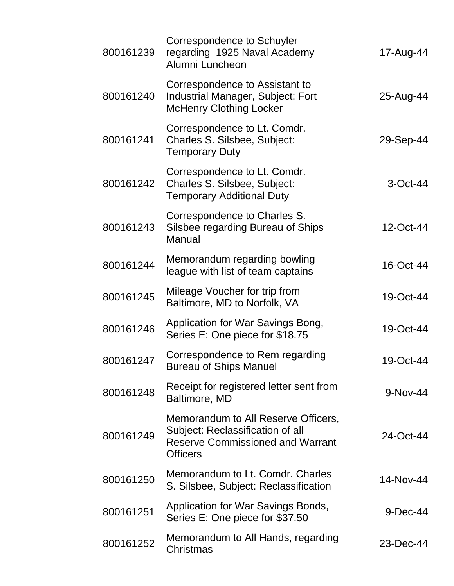| 800161239 | <b>Correspondence to Schuyler</b><br>regarding 1925 Naval Academy<br>Alumni Luncheon                                                  | 17-Aug-44   |
|-----------|---------------------------------------------------------------------------------------------------------------------------------------|-------------|
| 800161240 | Correspondence to Assistant to<br><b>Industrial Manager, Subject: Fort</b><br><b>McHenry Clothing Locker</b>                          | 25-Aug-44   |
| 800161241 | Correspondence to Lt. Comdr.<br>Charles S. Silsbee, Subject:<br><b>Temporary Duty</b>                                                 | 29-Sep-44   |
| 800161242 | Correspondence to Lt. Comdr.<br>Charles S. Silsbee, Subject:<br><b>Temporary Additional Duty</b>                                      | $3$ -Oct-44 |
| 800161243 | Correspondence to Charles S.<br>Silsbee regarding Bureau of Ships<br>Manual                                                           | 12-Oct-44   |
| 800161244 | Memorandum regarding bowling<br>league with list of team captains                                                                     | 16-Oct-44   |
| 800161245 | Mileage Voucher for trip from<br>Baltimore, MD to Norfolk, VA                                                                         | 19-Oct-44   |
| 800161246 | Application for War Savings Bong,<br>Series E: One piece for \$18.75                                                                  | 19-Oct-44   |
| 800161247 | Correspondence to Rem regarding<br><b>Bureau of Ships Manuel</b>                                                                      | 19-Oct-44   |
| 800161248 | Receipt for registered letter sent from<br>Baltimore, MD                                                                              | $9-Nov-44$  |
| 800161249 | Memorandum to All Reserve Officers,<br>Subject: Reclassification of all<br><b>Reserve Commissioned and Warrant</b><br><b>Officers</b> | 24-Oct-44   |
| 800161250 | Memorandum to Lt. Comdr. Charles<br>S. Silsbee, Subject: Reclassification                                                             | 14-Nov-44   |
| 800161251 | Application for War Savings Bonds,<br>Series E: One piece for \$37.50                                                                 | 9-Dec-44    |
| 800161252 | Memorandum to All Hands, regarding<br>Christmas                                                                                       | 23-Dec-44   |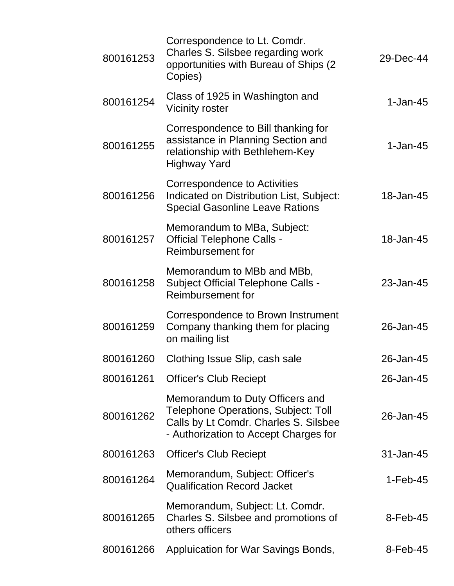| 800161253 | Correspondence to Lt. Comdr.<br>Charles S. Silsbee regarding work<br>opportunities with Bureau of Ships (2)<br>Copies)                                          | 29-Dec-44   |
|-----------|-----------------------------------------------------------------------------------------------------------------------------------------------------------------|-------------|
| 800161254 | Class of 1925 in Washington and<br><b>Vicinity roster</b>                                                                                                       | $1$ -Jan-45 |
| 800161255 | Correspondence to Bill thanking for<br>assistance in Planning Section and<br>relationship with Bethlehem-Key<br><b>Highway Yard</b>                             | $1$ -Jan-45 |
| 800161256 | Correspondence to Activities<br>Indicated on Distribution List, Subject:<br><b>Special Gasonline Leave Rations</b>                                              | 18-Jan-45   |
| 800161257 | Memorandum to MBa, Subject:<br><b>Official Telephone Calls -</b><br>Reimbursement for                                                                           | 18-Jan-45   |
| 800161258 | Memorandum to MBb and MBb,<br><b>Subject Official Telephone Calls -</b><br>Reimbursement for                                                                    | 23-Jan-45   |
| 800161259 | Correspondence to Brown Instrument<br>Company thanking them for placing<br>on mailing list                                                                      | 26-Jan-45   |
| 800161260 | Clothing Issue Slip, cash sale                                                                                                                                  | 26-Jan-45   |
| 800161261 | <b>Officer's Club Reciept</b>                                                                                                                                   | 26-Jan-45   |
| 800161262 | Memorandum to Duty Officers and<br><b>Telephone Operations, Subject: Toll</b><br>Calls by Lt Comdr. Charles S. Silsbee<br>- Authorization to Accept Charges for | 26-Jan-45   |
| 800161263 | <b>Officer's Club Reciept</b>                                                                                                                                   | 31-Jan-45   |
| 800161264 | Memorandum, Subject: Officer's<br><b>Qualification Record Jacket</b>                                                                                            | $1-Feb-45$  |
| 800161265 | Memorandum, Subject: Lt. Comdr.<br>Charles S. Silsbee and promotions of<br>others officers                                                                      | $8$ -Feb-45 |
| 800161266 | Appluication for War Savings Bonds,                                                                                                                             | $8$ -Feb-45 |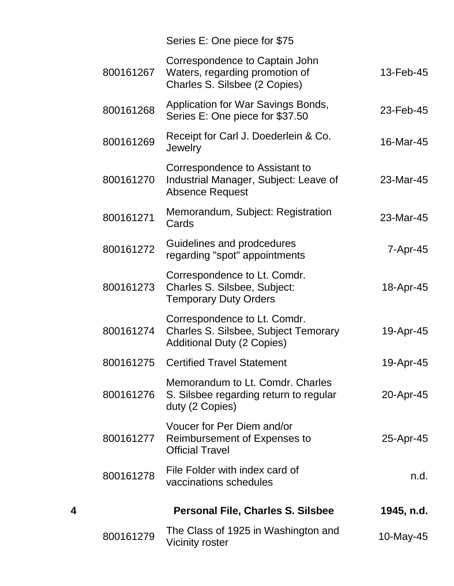|                | Series E: One piece for \$75                                                                                     |           |
|----------------|------------------------------------------------------------------------------------------------------------------|-----------|
| 13-Feb-45      | Correspondence to Captain John<br>Waters, regarding promotion of<br>Charles S. Silsbee (2 Copies)                | 800161267 |
| 23-Feb-45      | Application for War Savings Bonds,<br>Series E: One piece for \$37.50                                            | 800161268 |
| 16-Mar-45      | Receipt for Carl J. Doederlein & Co.<br>Jewelry                                                                  | 800161269 |
| 23-Mar-45      | Correspondence to Assistant to<br>Industrial Manager, Subject: Leave of<br><b>Absence Request</b>                | 800161270 |
| 23-Mar-45      | Memorandum, Subject: Registration<br>Cards                                                                       | 800161271 |
| $7 - Apr - 45$ | Guidelines and prodcedures<br>regarding "spot" appointments                                                      | 800161272 |
| 18-Apr-45      | Correspondence to Lt. Comdr.<br>Charles S. Silsbee, Subject:<br><b>Temporary Duty Orders</b>                     | 800161273 |
| 19-Apr-45      | Correspondence to Lt. Comdr.<br><b>Charles S. Silsbee, Subject Temorary</b><br><b>Additional Duty (2 Copies)</b> | 800161274 |
| 19-Apr-45      | <b>Certified Travel Statement</b>                                                                                | 800161275 |
| 20-Apr-45      | Memorandum to Lt. Comdr. Charles<br>S. Silsbee regarding return to regular<br>duty (2 Copies)                    | 800161276 |
| 25-Apr-45      | Voucer for Per Diem and/or<br>Reimbursement of Expenses to<br><b>Official Travel</b>                             | 800161277 |
| n.d.           | File Folder with index card of<br>vaccinations schedules                                                         | 800161278 |
| 1945, n.d.     | <b>Personal File, Charles S. Silsbee</b>                                                                         | 4         |
| 10-May-45      | The Class of 1925 in Washington and<br><b>Vicinity roster</b>                                                    | 800161279 |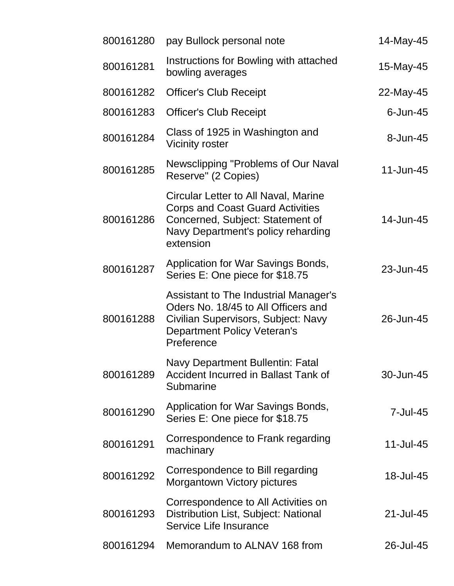| 800161280 | pay Bullock personal note                                                                                                                                               | 14-May-45   |
|-----------|-------------------------------------------------------------------------------------------------------------------------------------------------------------------------|-------------|
| 800161281 | Instructions for Bowling with attached<br>bowling averages                                                                                                              | 15-May-45   |
| 800161282 | <b>Officer's Club Receipt</b>                                                                                                                                           | 22-May-45   |
| 800161283 | <b>Officer's Club Receipt</b>                                                                                                                                           | $6$ -Jun-45 |
| 800161284 | Class of 1925 in Washington and<br><b>Vicinity roster</b>                                                                                                               | 8-Jun-45    |
| 800161285 | Newsclipping "Problems of Our Naval<br>Reserve" (2 Copies)                                                                                                              | 11-Jun-45   |
| 800161286 | Circular Letter to All Naval, Marine<br><b>Corps and Coast Guard Activities</b><br>Concerned, Subject: Statement of<br>Navy Department's policy reharding<br>extension  | 14-Jun-45   |
| 800161287 | Application for War Savings Bonds,<br>Series E: One piece for \$18.75                                                                                                   | 23-Jun-45   |
| 800161288 | Assistant to The Industrial Manager's<br>Oders No. 18/45 to All Officers and<br>Civilian Supervisors, Subject: Navy<br><b>Department Policy Veteran's</b><br>Preference | 26-Jun-45   |
| 800161289 | Navy Department Bullentin: Fatal<br>Accident Incurred in Ballast Tank of<br>Submarine                                                                                   | 30-Jun-45   |
| 800161290 | Application for War Savings Bonds,<br>Series E: One piece for \$18.75                                                                                                   | 7-Jul-45    |
| 800161291 | Correspondence to Frank regarding<br>machinary                                                                                                                          | 11-Jul-45   |
| 800161292 | Correspondence to Bill regarding<br><b>Morgantown Victory pictures</b>                                                                                                  | 18-Jul-45   |
| 800161293 | Correspondence to All Activities on<br>Distribution List, Subject: National<br>Service Life Insurance                                                                   | 21-Jul-45   |
| 800161294 | Memorandum to ALNAV 168 from                                                                                                                                            | 26-Jul-45   |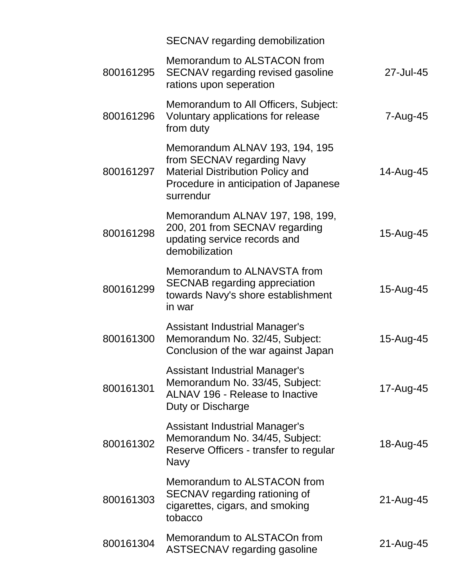|           | SECNAV regarding demobilization                                                                                                                               |           |
|-----------|---------------------------------------------------------------------------------------------------------------------------------------------------------------|-----------|
| 800161295 | Memorandum to ALSTACON from<br>SECNAV regarding revised gasoline<br>rations upon seperation                                                                   | 27-Jul-45 |
| 800161296 | Memorandum to All Officers, Subject:<br>Voluntary applications for release<br>from duty                                                                       | 7-Aug-45  |
| 800161297 | Memorandum ALNAV 193, 194, 195<br>from SECNAV regarding Navy<br><b>Material Distribution Policy and</b><br>Procedure in anticipation of Japanese<br>surrendur | 14-Aug-45 |
| 800161298 | Memorandum ALNAV 197, 198, 199,<br>200, 201 from SECNAV regarding<br>updating service records and<br>demobilization                                           | 15-Aug-45 |
| 800161299 | Memorandum to ALNAVSTA from<br><b>SECNAB</b> regarding appreciation<br>towards Navy's shore establishment<br>in war                                           | 15-Aug-45 |
| 800161300 | <b>Assistant Industrial Manager's</b><br>Memorandum No. 32/45, Subject:<br>Conclusion of the war against Japan                                                | 15-Aug-45 |
| 800161301 | <b>Assistant Industrial Manager's</b><br>Memorandum No. 33/45, Subject:<br><b>ALNAV 196 - Release to Inactive</b><br>Duty or Discharge                        | 17-Aug-45 |
| 800161302 | <b>Assistant Industrial Manager's</b><br>Memorandum No. 34/45, Subject:<br>Reserve Officers - transfer to regular<br><b>Navy</b>                              | 18-Aug-45 |
| 800161303 | Memorandum to ALSTACON from<br>SECNAV regarding rationing of<br>cigarettes, cigars, and smoking<br>tobacco                                                    | 21-Aug-45 |
| 800161304 | Memorandum to ALSTACOn from<br>ASTSECNAV regarding gasoline                                                                                                   | 21-Aug-45 |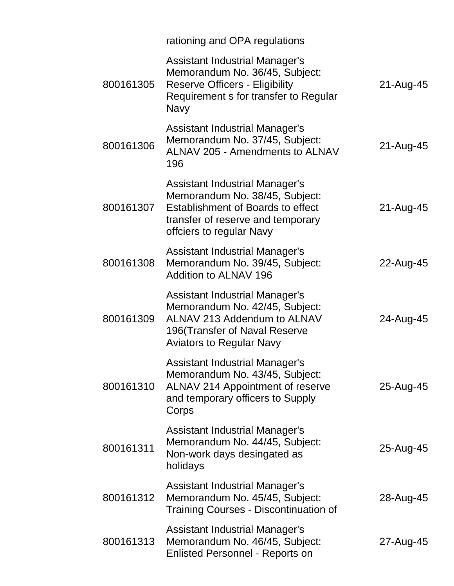|           | rationing and OPA regulations                                                                                                                                                 |           |
|-----------|-------------------------------------------------------------------------------------------------------------------------------------------------------------------------------|-----------|
| 800161305 | <b>Assistant Industrial Manager's</b><br>Memorandum No. 36/45, Subject:<br><b>Reserve Officers - Eligibility</b><br>Requirement s for transfer to Regular<br><b>Navy</b>      | 21-Aug-45 |
| 800161306 | Assistant Industrial Manager's<br>Memorandum No. 37/45, Subject:<br><b>ALNAV 205 - Amendments to ALNAV</b><br>196                                                             | 21-Aug-45 |
| 800161307 | <b>Assistant Industrial Manager's</b><br>Memorandum No. 38/45, Subject:<br>Establishment of Boards to effect<br>transfer of reserve and temporary<br>offciers to regular Navy | 21-Aug-45 |
| 800161308 | <b>Assistant Industrial Manager's</b><br>Memorandum No. 39/45, Subject:<br>Addition to ALNAV 196                                                                              | 22-Aug-45 |
| 800161309 | <b>Assistant Industrial Manager's</b><br>Memorandum No. 42/45, Subject:<br>ALNAV 213 Addendum to ALNAV<br>196(Transfer of Naval Reserve<br><b>Aviators to Regular Navy</b>    | 24-Aug-45 |
| 800161310 | <b>Assistant Industrial Manager's</b><br>Memorandum No. 43/45, Subject:<br>ALNAV 214 Appointment of reserve<br>and temporary officers to Supply<br>Corps                      | 25-Aug-45 |
| 800161311 | <b>Assistant Industrial Manager's</b><br>Memorandum No. 44/45, Subject:<br>Non-work days desingated as<br>holidays                                                            | 25-Aug-45 |
| 800161312 | <b>Assistant Industrial Manager's</b><br>Memorandum No. 45/45, Subject:<br><b>Training Courses - Discontinuation of</b>                                                       | 28-Aug-45 |
| 800161313 | <b>Assistant Industrial Manager's</b><br>Memorandum No. 46/45, Subject:<br><b>Enlisted Personnel - Reports on</b>                                                             | 27-Aug-45 |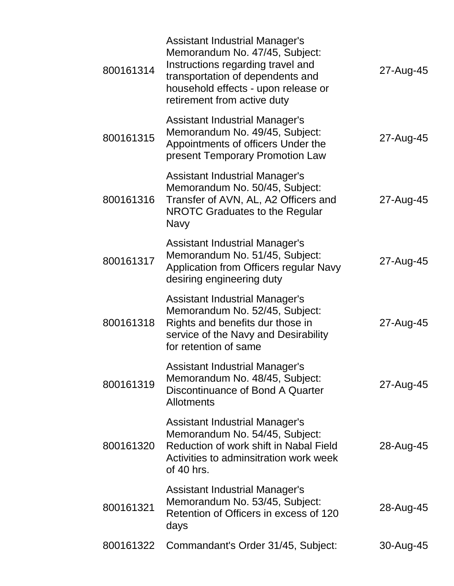| 800161314 | <b>Assistant Industrial Manager's</b><br>Memorandum No. 47/45, Subject:<br>Instructions regarding travel and<br>transportation of dependents and<br>household effects - upon release or<br>retirement from active duty | 27-Aug-45 |
|-----------|------------------------------------------------------------------------------------------------------------------------------------------------------------------------------------------------------------------------|-----------|
| 800161315 | <b>Assistant Industrial Manager's</b><br>Memorandum No. 49/45, Subject:<br>Appointments of officers Under the<br>present Temporary Promotion Law                                                                       | 27-Aug-45 |
| 800161316 | <b>Assistant Industrial Manager's</b><br>Memorandum No. 50/45, Subject:<br>Transfer of AVN, AL, A2 Officers and<br>NROTC Graduates to the Regular<br>Navy                                                              | 27-Aug-45 |
| 800161317 | <b>Assistant Industrial Manager's</b><br>Memorandum No. 51/45, Subject:<br>Application from Officers regular Navy<br>desiring engineering duty                                                                         | 27-Aug-45 |
| 800161318 | <b>Assistant Industrial Manager's</b><br>Memorandum No. 52/45, Subject:<br>Rights and benefits dur those in<br>service of the Navy and Desirability<br>for retention of same                                           | 27-Aug-45 |
| 800161319 | <b>Assistant Industrial Manager's</b><br>Memorandum No. 48/45, Subject:<br>Discontinuance of Bond A Quarter<br><b>Allotments</b>                                                                                       | 27-Aug-45 |
| 800161320 | Assistant Industrial Manager's<br>Memorandum No. 54/45, Subject:<br>Reduction of work shift in Nabal Field<br>Activities to adminsitration work week<br>of 40 hrs.                                                     | 28-Aug-45 |
| 800161321 | Assistant Industrial Manager's<br>Memorandum No. 53/45, Subject:<br>Retention of Officers in excess of 120<br>days                                                                                                     | 28-Aug-45 |
| 800161322 | Commandant's Order 31/45, Subject:                                                                                                                                                                                     | 30-Aug-45 |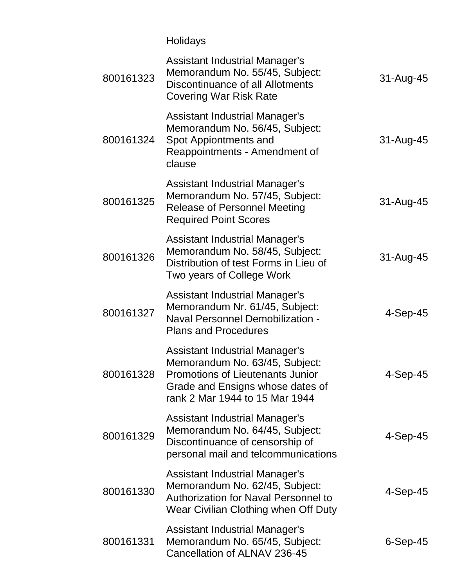Holidays

| 800161323 | <b>Assistant Industrial Manager's</b><br>Memorandum No. 55/45, Subject:<br>Discontinuance of all Allotments<br><b>Covering War Risk Rate</b>                                      | 31-Aug-45  |
|-----------|-----------------------------------------------------------------------------------------------------------------------------------------------------------------------------------|------------|
| 800161324 | <b>Assistant Industrial Manager's</b><br>Memorandum No. 56/45, Subject:<br>Spot Appiontments and<br>Reappointments - Amendment of<br>clause                                       | 31-Aug-45  |
| 800161325 | Assistant Industrial Manager's<br>Memorandum No. 57/45, Subject:<br><b>Release of Personnel Meeting</b><br><b>Required Point Scores</b>                                           | 31-Aug-45  |
| 800161326 | <b>Assistant Industrial Manager's</b><br>Memorandum No. 58/45, Subject:<br>Distribution of test Forms in Lieu of<br>Two years of College Work                                     | 31-Aug-45  |
| 800161327 | <b>Assistant Industrial Manager's</b><br>Memorandum Nr. 61/45, Subject:<br><b>Naval Personnel Demobilization -</b><br><b>Plans and Procedures</b>                                 | $4-Sep-45$ |
| 800161328 | <b>Assistant Industrial Manager's</b><br>Memorandum No. 63/45, Subject:<br>Promotions of Lieutenants Junior<br>Grade and Ensigns whose dates of<br>rank 2 Mar 1944 to 15 Mar 1944 | $4-Sep-45$ |
| 800161329 | <b>Assistant Industrial Manager's</b><br>Memorandum No. 64/45, Subject:<br>Discontinuance of censorship of<br>personal mail and telcommunications                                 | $4-Sep-45$ |
| 800161330 | <b>Assistant Industrial Manager's</b><br>Memorandum No. 62/45, Subject:<br><b>Authorization for Naval Personnel to</b><br>Wear Civilian Clothing when Off Duty                    | 4-Sep-45   |
| 800161331 | <b>Assistant Industrial Manager's</b><br>Memorandum No. 65/45, Subject:<br>Cancellation of ALNAV 236-45                                                                           | 6-Sep-45   |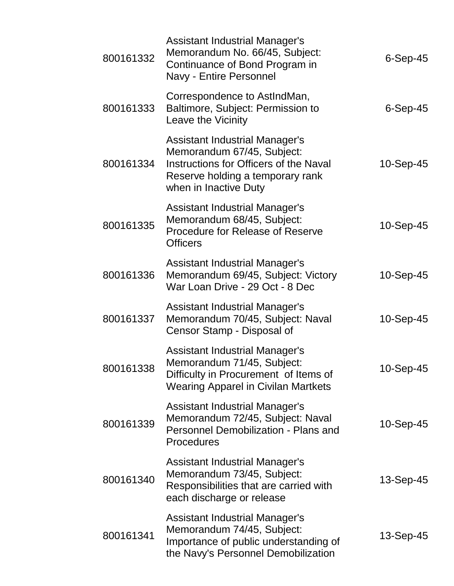| 800161332 | <b>Assistant Industrial Manager's</b><br>Memorandum No. 66/45, Subject:<br>Continuance of Bond Program in<br>Navy - Entire Personnel                                       | $6-Sep-45$ |
|-----------|----------------------------------------------------------------------------------------------------------------------------------------------------------------------------|------------|
| 800161333 | Correspondence to AstIndMan,<br>Baltimore, Subject: Permission to<br>Leave the Vicinity                                                                                    | $6-Sep-45$ |
| 800161334 | <b>Assistant Industrial Manager's</b><br>Memorandum 67/45, Subject:<br>Instructions for Officers of the Naval<br>Reserve holding a temporary rank<br>when in Inactive Duty | 10-Sep-45  |
| 800161335 | <b>Assistant Industrial Manager's</b><br>Memorandum 68/45, Subject:<br><b>Procedure for Release of Reserve</b><br><b>Officers</b>                                          | 10-Sep-45  |
| 800161336 | <b>Assistant Industrial Manager's</b><br>Memorandum 69/45, Subject: Victory<br>War Loan Drive - 29 Oct - 8 Dec                                                             | 10-Sep-45  |
| 800161337 | <b>Assistant Industrial Manager's</b><br>Memorandum 70/45, Subject: Naval<br>Censor Stamp - Disposal of                                                                    | 10-Sep-45  |
| 800161338 | <b>Assistant Industrial Manager's</b><br>Memorandum 71/45, Subject:<br>Difficulty in Procurement of Items of<br><b>Wearing Apparel in Civilan Martkets</b>                 | 10-Sep-45  |
| 800161339 | <b>Assistant Industrial Manager's</b><br>Memorandum 72/45, Subject: Naval<br>Personnel Demobilization - Plans and<br><b>Procedures</b>                                     | 10-Sep-45  |
| 800161340 | Assistant Industrial Manager's<br>Memorandum 73/45, Subject:<br>Responsibilities that are carried with<br>each discharge or release                                        | 13-Sep-45  |
| 800161341 | <b>Assistant Industrial Manager's</b><br>Memorandum 74/45, Subject:<br>Importance of public understanding of<br>the Navy's Personnel Demobilization                        | 13-Sep-45  |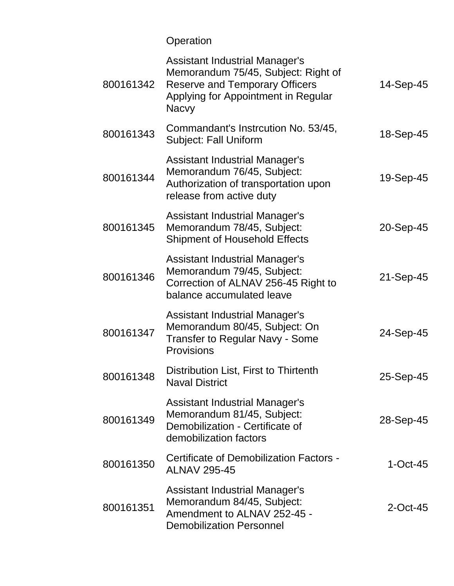# Operation

| 800161342 | <b>Assistant Industrial Manager's</b><br>Memorandum 75/45, Subject: Right of<br><b>Reserve and Temporary Officers</b><br>Applying for Appointment in Regular<br><b>Nacvy</b> | 14-Sep-45   |
|-----------|------------------------------------------------------------------------------------------------------------------------------------------------------------------------------|-------------|
| 800161343 | Commandant's Instrcution No. 53/45,<br><b>Subject: Fall Uniform</b>                                                                                                          | 18-Sep-45   |
| 800161344 | <b>Assistant Industrial Manager's</b><br>Memorandum 76/45, Subject:<br>Authorization of transportation upon<br>release from active duty                                      | 19-Sep-45   |
| 800161345 | <b>Assistant Industrial Manager's</b><br>Memorandum 78/45, Subject:<br><b>Shipment of Household Effects</b>                                                                  | 20-Sep-45   |
| 800161346 | <b>Assistant Industrial Manager's</b><br>Memorandum 79/45, Subject:<br>Correction of ALNAV 256-45 Right to<br>balance accumulated leave                                      | 21-Sep-45   |
| 800161347 | <b>Assistant Industrial Manager's</b><br>Memorandum 80/45, Subject: On<br><b>Transfer to Regular Navy - Some</b><br>Provisions                                               | 24-Sep-45   |
| 800161348 | Distribution List, First to Thirtenth<br><b>Naval District</b>                                                                                                               | 25-Sep-45   |
| 800161349 | Assistant Industrial Manager's<br>Memorandum 81/45, Subject:<br>Demobilization - Certificate of<br>demobilization factors                                                    | 28-Sep-45   |
| 800161350 | Certificate of Demobilization Factors -<br><b>ALNAV 295-45</b>                                                                                                               | $1-Oct-45$  |
| 800161351 | Assistant Industrial Manager's<br>Memorandum 84/45, Subject:<br>Amendment to ALNAV 252-45 -<br><b>Demobilization Personnel</b>                                               | $2$ -Oct-45 |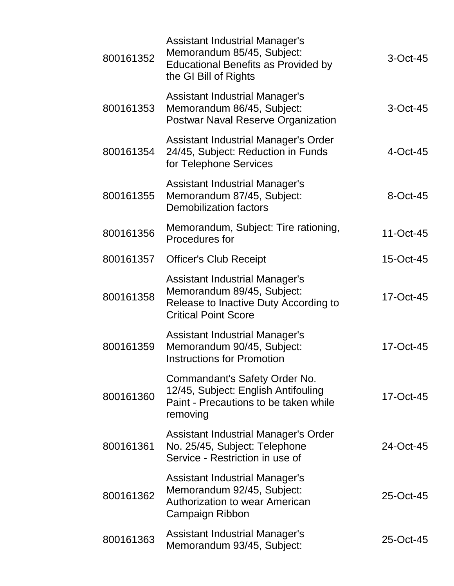| 800161352 | <b>Assistant Industrial Manager's</b><br>Memorandum 85/45, Subject:<br><b>Educational Benefits as Provided by</b><br>the GI Bill of Rights  | $3$ -Oct-45 |
|-----------|---------------------------------------------------------------------------------------------------------------------------------------------|-------------|
| 800161353 | <b>Assistant Industrial Manager's</b><br>Memorandum 86/45, Subject:<br><b>Postwar Naval Reserve Organization</b>                            | $3$ -Oct-45 |
| 800161354 | Assistant Industrial Manager's Order<br>24/45, Subject: Reduction in Funds<br>for Telephone Services                                        | 4-Oct-45    |
| 800161355 | <b>Assistant Industrial Manager's</b><br>Memorandum 87/45, Subject:<br><b>Demobilization factors</b>                                        | 8-Oct-45    |
| 800161356 | Memorandum, Subject: Tire rationing,<br>Procedures for                                                                                      | 11-Oct-45   |
| 800161357 | <b>Officer's Club Receipt</b>                                                                                                               | 15-Oct-45   |
| 800161358 | <b>Assistant Industrial Manager's</b><br>Memorandum 89/45, Subject:<br>Release to Inactive Duty According to<br><b>Critical Point Score</b> | 17-Oct-45   |
| 800161359 | <b>Assistant Industrial Manager's</b><br>Memorandum 90/45, Subject:<br><b>Instructions for Promotion</b>                                    | 17-Oct-45   |
| 800161360 | Commandant's Safety Order No.<br>12/45, Subject: English Antifouling<br>Paint - Precautions to be taken while<br>removing                   | 17-Oct-45   |
| 800161361 | Assistant Industrial Manager's Order<br>No. 25/45, Subject: Telephone<br>Service - Restriction in use of                                    | 24-Oct-45   |
| 800161362 | Assistant Industrial Manager's<br>Memorandum 92/45, Subject:<br><b>Authorization to wear American</b><br>Campaign Ribbon                    | 25-Oct-45   |
| 800161363 | Assistant Industrial Manager's<br>Memorandum 93/45, Subject:                                                                                | 25-Oct-45   |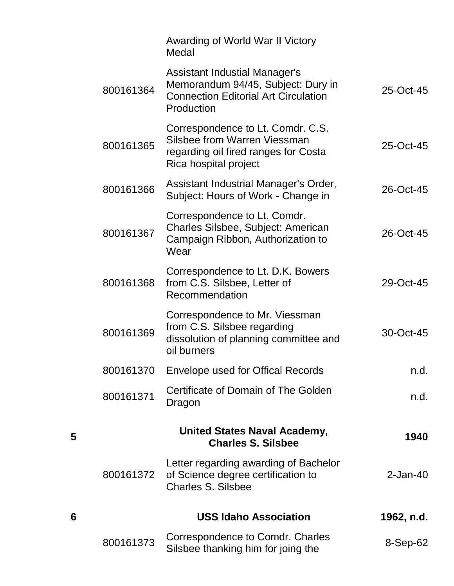|   |           | Awarding of World War II Victory<br>Medal                                                                                               |                |
|---|-----------|-----------------------------------------------------------------------------------------------------------------------------------------|----------------|
|   | 800161364 | <b>Assistant Industial Manager's</b><br>Memorandum 94/45, Subject: Dury in<br><b>Connection Editorial Art Circulation</b><br>Production | 25-Oct-45      |
|   | 800161365 | Correspondence to Lt. Comdr. C.S.<br>Silsbee from Warren Viessman<br>regarding oil fired ranges for Costa<br>Rica hospital project      | 25-Oct-45      |
|   | 800161366 | Assistant Industrial Manager's Order,<br>Subject: Hours of Work - Change in                                                             | 26-Oct-45      |
|   | 800161367 | Correspondence to Lt. Comdr.<br>Charles Silsbee, Subject: American<br>Campaign Ribbon, Authorization to<br>Wear                         | 26-Oct-45      |
|   | 800161368 | Correspondence to Lt. D.K. Bowers<br>from C.S. Silsbee, Letter of<br>Recommendation                                                     | 29-Oct-45      |
|   | 800161369 | Correspondence to Mr. Viessman<br>from C.S. Silsbee regarding<br>dissolution of planning committee and<br>oil burners                   | 30-Oct-45      |
|   | 800161370 | <b>Envelope used for Offical Records</b>                                                                                                | n.d.           |
|   | 800161371 | Certificate of Domain of The Golden<br>Dragon                                                                                           | n.d.           |
| 5 |           | <b>United States Naval Academy,</b><br><b>Charles S. Silsbee</b>                                                                        | 1940           |
|   | 800161372 | Letter regarding awarding of Bachelor<br>of Science degree certification to<br><b>Charles S. Silsbee</b>                                | $2$ -Jan-40    |
| 6 |           | <b>USS Idaho Association</b>                                                                                                            | 1962, n.d.     |
|   | 800161373 | Correspondence to Comdr. Charles<br>Silsbee thanking him for joing the                                                                  | $8-$ Sep $-62$ |

**5**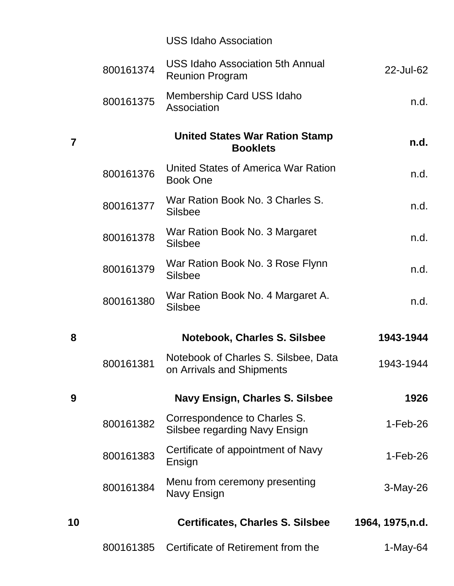|                |           | <b>USS Idaho Association</b>                                      |                  |
|----------------|-----------|-------------------------------------------------------------------|------------------|
|                | 800161374 | <b>USS Idaho Association 5th Annual</b><br><b>Reunion Program</b> | 22-Jul-62        |
|                | 800161375 | Membership Card USS Idaho<br>Association                          | n.d.             |
| $\overline{7}$ |           | <b>United States War Ration Stamp</b><br><b>Booklets</b>          | n.d.             |
|                | 800161376 | United States of America War Ration<br><b>Book One</b>            | n.d.             |
|                | 800161377 | War Ration Book No. 3 Charles S.<br><b>Silsbee</b>                | n.d.             |
|                | 800161378 | War Ration Book No. 3 Margaret<br><b>Silsbee</b>                  | n.d.             |
|                | 800161379 | War Ration Book No. 3 Rose Flynn<br><b>Silsbee</b>                | n.d.             |
|                | 800161380 | War Ration Book No. 4 Margaret A.<br><b>Silsbee</b>               | n.d.             |
| 8              |           | <b>Notebook, Charles S. Silsbee</b>                               | 1943-1944        |
|                | 800161381 | Notebook of Charles S. Silsbee, Data<br>on Arrivals and Shipments | 1943-1944        |
| 9              |           | <b>Navy Ensign, Charles S. Silsbee</b>                            | 1926             |
|                | 800161382 | Correspondence to Charles S.<br>Silsbee regarding Navy Ensign     | $1-Feb-26$       |
|                | 800161383 | Certificate of appointment of Navy<br>Ensign                      | $1-Feb-26$       |
|                | 800161384 | Menu from ceremony presenting<br>Navy Ensign                      | $3-May-26$       |
| 10             |           | <b>Certificates, Charles S. Silsbee</b>                           | 1964, 1975, n.d. |
|                | 800161385 | Certificate of Retirement from the                                | $1-May-64$       |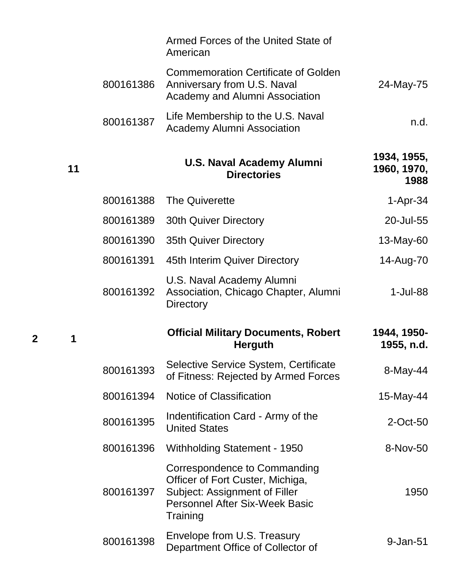|    |           | Armed Forces of the United State of<br>American                                                                                                        |                                    |
|----|-----------|--------------------------------------------------------------------------------------------------------------------------------------------------------|------------------------------------|
|    | 800161386 | <b>Commemoration Certificate of Golden</b><br>Anniversary from U.S. Naval<br>Academy and Alumni Association                                            | 24-May-75                          |
|    | 800161387 | Life Membership to the U.S. Naval<br><b>Academy Alumni Association</b>                                                                                 | n.d.                               |
| 11 |           | <b>U.S. Naval Academy Alumni</b><br><b>Directories</b>                                                                                                 | 1934, 1955,<br>1960, 1970,<br>1988 |
|    | 800161388 | <b>The Quiverette</b>                                                                                                                                  | $1-Apr-34$                         |
|    | 800161389 | <b>30th Quiver Directory</b>                                                                                                                           | 20-Jul-55                          |
|    | 800161390 | <b>35th Quiver Directory</b>                                                                                                                           | 13-May-60                          |
|    | 800161391 | 45th Interim Quiver Directory                                                                                                                          | 14-Aug-70                          |
|    | 800161392 | U.S. Naval Academy Alumni<br>Association, Chicago Chapter, Alumni<br><b>Directory</b>                                                                  | 1-Jul-88                           |
| 1  |           | <b>Official Military Documents, Robert</b><br><b>Herguth</b>                                                                                           | 1944, 1950-<br>1955, n.d.          |
|    | 800161393 | Selective Service System, Certificate<br>of Fitness: Rejected by Armed Forces                                                                          | 8-May-44                           |
|    | 800161394 | <b>Notice of Classification</b>                                                                                                                        | 15-May-44                          |
|    | 800161395 | Indentification Card - Army of the<br><b>United States</b>                                                                                             | 2-Oct-50                           |
|    | 800161396 | Withholding Statement - 1950                                                                                                                           | 8-Nov-50                           |
|    | 800161397 | Correspondence to Commanding<br>Officer of Fort Custer, Michiga,<br>Subject: Assignment of Filler<br><b>Personnel After Six-Week Basic</b><br>Training | 1950                               |
|    | 800161398 | Envelope from U.S. Treasury<br>Department Office of Collector of                                                                                       | 9-Jan-51                           |

**2 1**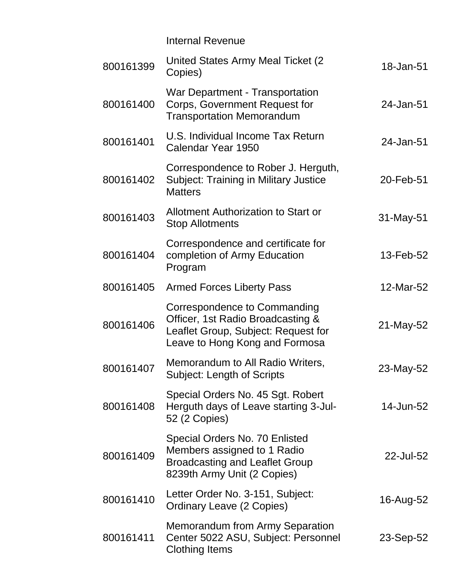|           | <b>Internal Revenue</b>                                                                                                                    |           |
|-----------|--------------------------------------------------------------------------------------------------------------------------------------------|-----------|
| 800161399 | United States Army Meal Ticket (2)<br>Copies)                                                                                              | 18-Jan-51 |
| 800161400 | <b>War Department - Transportation</b><br>Corps, Government Request for<br><b>Transportation Memorandum</b>                                | 24-Jan-51 |
| 800161401 | U.S. Individual Income Tax Return<br>Calendar Year 1950                                                                                    | 24-Jan-51 |
| 800161402 | Correspondence to Rober J. Herguth,<br><b>Subject: Training in Military Justice</b><br><b>Matters</b>                                      | 20-Feb-51 |
| 800161403 | <b>Allotment Authorization to Start or</b><br><b>Stop Allotments</b>                                                                       | 31-May-51 |
| 800161404 | Correspondence and certificate for<br>completion of Army Education<br>Program                                                              | 13-Feb-52 |
| 800161405 | <b>Armed Forces Liberty Pass</b>                                                                                                           | 12-Mar-52 |
| 800161406 | Correspondence to Commanding<br>Officer, 1st Radio Broadcasting &<br>Leaflet Group, Subject: Request for<br>Leave to Hong Kong and Formosa | 21-May-52 |
| 800161407 | <b>Memorandum to All Radio Writers</b><br><b>Subject: Length of Scripts</b>                                                                | 23-May-52 |
| 800161408 | Special Orders No. 45 Sgt. Robert<br>Herguth days of Leave starting 3-Jul-<br>52 (2 Copies)                                                | 14-Jun-52 |
| 800161409 | Special Orders No. 70 Enlisted<br>Members assigned to 1 Radio<br><b>Broadcasting and Leaflet Group</b><br>8239th Army Unit (2 Copies)      | 22-Jul-52 |
| 800161410 | Letter Order No. 3-151, Subject:<br><b>Ordinary Leave (2 Copies)</b>                                                                       | 16-Aug-52 |
| 800161411 | Memorandum from Army Separation<br>Center 5022 ASU, Subject: Personnel<br><b>Clothing Items</b>                                            | 23-Sep-52 |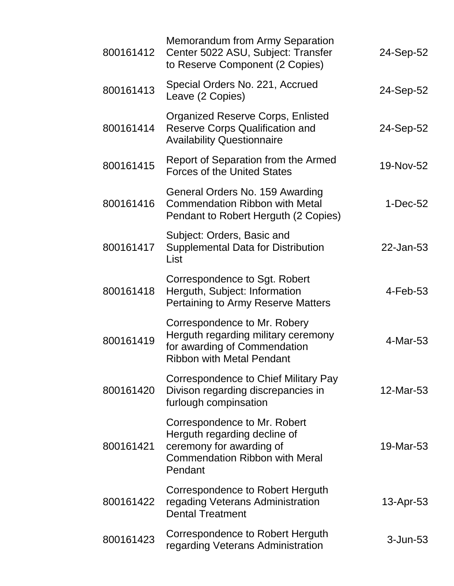| 800161412 | <b>Memorandum from Army Separation</b><br>Center 5022 ASU, Subject: Transfer<br>to Reserve Component (2 Copies)                              | 24-Sep-52    |
|-----------|----------------------------------------------------------------------------------------------------------------------------------------------|--------------|
| 800161413 | Special Orders No. 221, Accrued<br>Leave (2 Copies)                                                                                          | 24-Sep-52    |
| 800161414 | <b>Organized Reserve Corps, Enlisted</b><br><b>Reserve Corps Qualification and</b><br><b>Availability Questionnaire</b>                      | 24-Sep-52    |
| 800161415 | Report of Separation from the Armed<br><b>Forces of the United States</b>                                                                    | 19-Nov-52    |
| 800161416 | General Orders No. 159 Awarding<br><b>Commendation Ribbon with Metal</b><br>Pendant to Robert Herguth (2 Copies)                             | $1-Dec-52$   |
| 800161417 | Subject: Orders, Basic and<br><b>Supplemental Data for Distribution</b><br>List                                                              | 22-Jan-53    |
| 800161418 | Correspondence to Sgt. Robert<br>Herguth, Subject: Information<br>Pertaining to Army Reserve Matters                                         | $4$ -Feb-53  |
| 800161419 | Correspondence to Mr. Robery<br>Herguth regarding military ceremony<br>for awarding of Commendation<br><b>Ribbon with Metal Pendant</b>      | 4-Mar-53     |
| 800161420 | Correspondence to Chief Military Pay<br>Divison regarding discrepancies in<br>furlough compinsation                                          | 12-Mar-53    |
| 800161421 | Correspondence to Mr. Robert<br>Herguth regarding decline of<br>ceremony for awarding of<br><b>Commendation Ribbon with Meral</b><br>Pendant | 19-Mar-53    |
| 800161422 | Correspondence to Robert Herguth<br>regading Veterans Administration<br><b>Dental Treatment</b>                                              | $13$ -Apr-53 |
| 800161423 | Correspondence to Robert Herguth<br>regarding Veterans Administration                                                                        | $3 - Jun-53$ |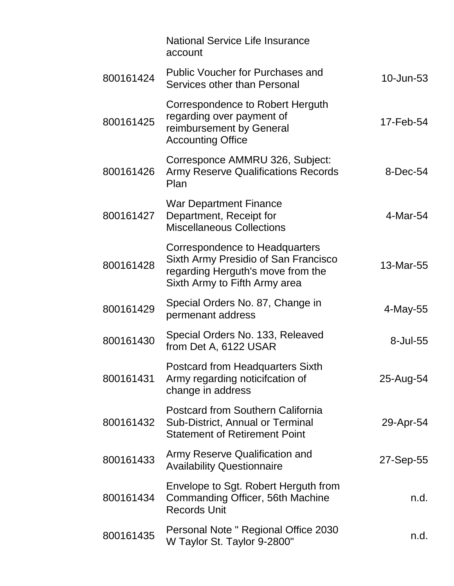|           | <b>National Service Life Insurance</b><br>account                                                                                            |                 |
|-----------|----------------------------------------------------------------------------------------------------------------------------------------------|-----------------|
| 800161424 | <b>Public Voucher for Purchases and</b><br>Services other than Personal                                                                      | $10$ -Jun- $53$ |
| 800161425 | Correspondence to Robert Herguth<br>regarding over payment of<br>reimbursement by General<br><b>Accounting Office</b>                        | 17-Feb-54       |
| 800161426 | Corresponce AMMRU 326, Subject:<br><b>Army Reserve Qualifications Records</b><br>Plan                                                        | 8-Dec-54        |
| 800161427 | <b>War Department Finance</b><br>Department, Receipt for<br><b>Miscellaneous Collections</b>                                                 | 4-Mar-54        |
| 800161428 | Correspondence to Headquarters<br>Sixth Army Presidio of San Francisco<br>regarding Herguth's move from the<br>Sixth Army to Fifth Army area | 13-Mar-55       |
| 800161429 | Special Orders No. 87, Change in<br>permenant address                                                                                        | 4-May-55        |
| 800161430 | Special Orders No. 133, Releaved<br>from Det A, 6122 USAR                                                                                    | 8-Jul-55        |
| 800161431 | <b>Postcard from Headquarters Sixth</b><br>Army regarding noticification of<br>change in address                                             | 25-Aug-54       |
| 800161432 | <b>Postcard from Southern California</b><br>Sub-District, Annual or Terminal<br><b>Statement of Retirement Point</b>                         | 29-Apr-54       |
| 800161433 | Army Reserve Qualification and<br><b>Availability Questionnaire</b>                                                                          | 27-Sep-55       |
| 800161434 | Envelope to Sgt. Robert Herguth from<br>Commanding Officer, 56th Machine<br><b>Records Unit</b>                                              | n.d.            |
| 800161435 | Personal Note " Regional Office 2030<br>W Taylor St. Taylor 9-2800"                                                                          | n.d.            |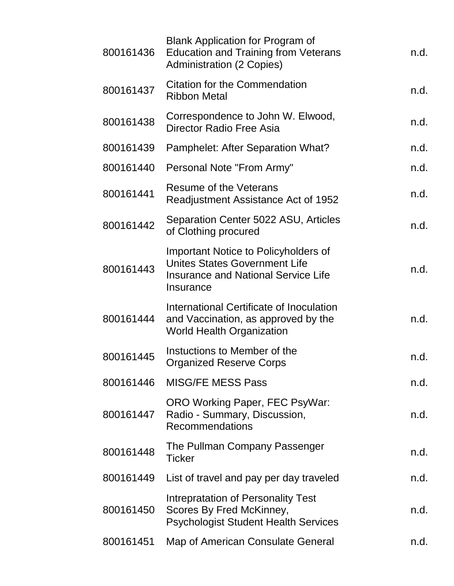| 800161436 | <b>Blank Application for Program of</b><br><b>Education and Training from Veterans</b><br><b>Administration (2 Copies)</b>              | n.d. |
|-----------|-----------------------------------------------------------------------------------------------------------------------------------------|------|
| 800161437 | <b>Citation for the Commendation</b><br><b>Ribbon Metal</b>                                                                             | n.d. |
| 800161438 | Correspondence to John W. Elwood,<br>Director Radio Free Asia                                                                           | n.d. |
| 800161439 | Pamphelet: After Separation What?                                                                                                       | n.d. |
| 800161440 | Personal Note "From Army"                                                                                                               | n.d. |
| 800161441 | Resume of the Veterans<br>Readjustment Assistance Act of 1952                                                                           | n.d. |
| 800161442 | Separation Center 5022 ASU, Articles<br>of Clothing procured                                                                            | n.d. |
| 800161443 | Important Notice to Policyholders of<br><b>Unites States Government Life</b><br><b>Insurance and National Service Life</b><br>Insurance | n.d. |
| 800161444 | International Certificate of Inoculation<br>and Vaccination, as approved by the<br><b>World Health Organization</b>                     | n.d. |
| 800161445 | Instuctions to Member of the<br><b>Organized Reserve Corps</b>                                                                          | n.d. |
| 800161446 | <b>MISG/FE MESS Pass</b>                                                                                                                | n.d. |
| 800161447 | ORO Working Paper, FEC PsyWar:<br>Radio - Summary, Discussion,<br>Recommendations                                                       | n.d. |
| 800161448 | The Pullman Company Passenger<br><b>Ticker</b>                                                                                          | n.d. |
| 800161449 | List of travel and pay per day traveled                                                                                                 | n.d. |
| 800161450 | Intrepratation of Personality Test<br>Scores By Fred McKinney,<br><b>Psychologist Student Health Services</b>                           | n.d. |
| 800161451 | Map of American Consulate General                                                                                                       | n.d. |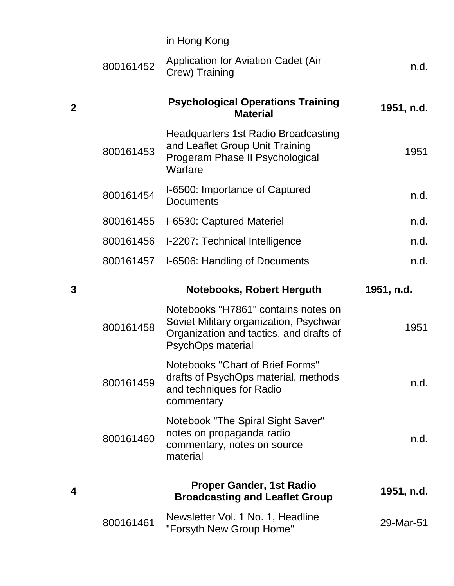|                |           | in Hong Kong                                                                                                                                  |            |
|----------------|-----------|-----------------------------------------------------------------------------------------------------------------------------------------------|------------|
|                | 800161452 | Application for Aviation Cadet (Air<br>Crew) Training                                                                                         | n.d.       |
| $\overline{2}$ |           | <b>Psychological Operations Training</b><br><b>Material</b>                                                                                   | 1951, n.d. |
|                | 800161453 | <b>Headquarters 1st Radio Broadcasting</b><br>and Leaflet Group Unit Training<br>Progeram Phase II Psychological<br>Warfare                   | 1951       |
|                | 800161454 | I-6500: Importance of Captured<br><b>Documents</b>                                                                                            | n.d.       |
|                | 800161455 | I-6530: Captured Materiel                                                                                                                     | n.d.       |
|                | 800161456 | I-2207: Technical Intelligence                                                                                                                | n.d.       |
|                | 800161457 | I-6506: Handling of Documents                                                                                                                 | n.d.       |
|                |           |                                                                                                                                               |            |
| 3              |           | <b>Notebooks, Robert Herguth</b>                                                                                                              | 1951, n.d. |
|                | 800161458 | Notebooks "H7861" contains notes on<br>Soviet Military organization, Psychwar<br>Organization and tactics, and drafts of<br>PsychOps material | 1951       |
|                | 800161459 | Notebooks "Chart of Brief Forms"<br>drafts of PsychOps material, methods<br>and techniques for Radio<br>commentary                            | n.d.       |
|                | 800161460 | Notebook "The Spiral Sight Saver"<br>notes on propaganda radio<br>commentary, notes on source<br>material                                     | n.d.       |
| 4              |           | <b>Proper Gander, 1st Radio</b><br><b>Broadcasting and Leaflet Group</b>                                                                      | 1951, n.d. |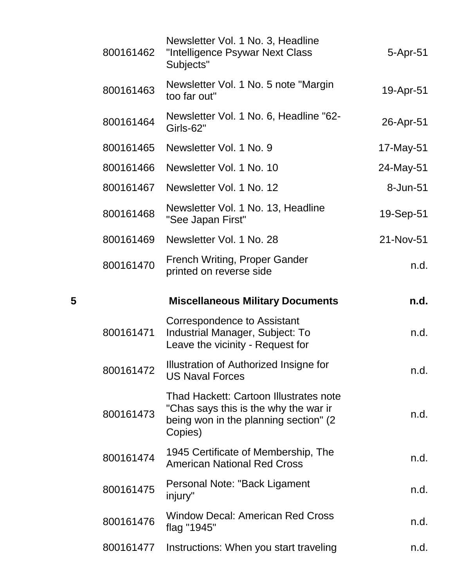|   | 800161462 | Newsletter Vol. 1 No. 3, Headline<br>"Intelligence Psywar Next Class<br>Subjects"                                                    | 5-Apr-51  |
|---|-----------|--------------------------------------------------------------------------------------------------------------------------------------|-----------|
|   | 800161463 | Newsletter Vol. 1 No. 5 note "Margin"<br>too far out"                                                                                | 19-Apr-51 |
|   | 800161464 | Newsletter Vol. 1 No. 6, Headline "62-<br>Girls-62"                                                                                  | 26-Apr-51 |
|   | 800161465 | Newsletter Vol. 1 No. 9                                                                                                              | 17-May-51 |
|   | 800161466 | Newsletter Vol. 1 No. 10                                                                                                             | 24-May-51 |
|   | 800161467 | Newsletter Vol. 1 No. 12                                                                                                             | 8-Jun-51  |
|   | 800161468 | Newsletter Vol. 1 No. 13, Headline<br>"See Japan First"                                                                              | 19-Sep-51 |
|   | 800161469 | Newsletter Vol. 1 No. 28                                                                                                             | 21-Nov-51 |
|   | 800161470 | French Writing, Proper Gander<br>printed on reverse side                                                                             | n.d.      |
| 5 |           | <b>Miscellaneous Military Documents</b>                                                                                              | n.d.      |
|   |           | <b>Correspondence to Assistant</b>                                                                                                   |           |
|   | 800161471 | Industrial Manager, Subject: To<br>Leave the vicinity - Request for                                                                  | n.d.      |
|   | 800161472 | Illustration of Authorized Insigne for<br><b>US Naval Forces</b>                                                                     | n.d.      |
|   | 800161473 | Thad Hackett: Cartoon Illustrates note<br>"Chas says this is the why the war ir<br>being won in the planning section" (2)<br>Copies) | n.d.      |
|   | 800161474 | 1945 Certificate of Membership, The<br><b>American National Red Cross</b>                                                            | n.d.      |
|   | 800161475 | Personal Note: "Back Ligament<br>injury"                                                                                             | n.d.      |
|   | 800161476 | <b>Window Decal: American Red Cross</b><br>flag "1945"                                                                               | n.d.      |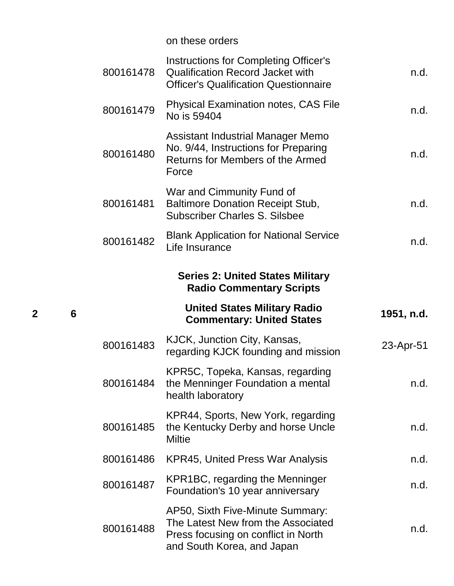|           | on these orders                                                                                                                         |            |
|-----------|-----------------------------------------------------------------------------------------------------------------------------------------|------------|
| 800161478 | <b>Instructions for Completing Officer's</b><br><b>Qualification Record Jacket with</b><br><b>Officer's Qualification Questionnaire</b> | n.d.       |
| 800161479 | <b>Physical Examination notes, CAS File</b><br>No is 59404                                                                              | n.d.       |
| 800161480 | Assistant Industrial Manager Memo<br>No. 9/44, Instructions for Preparing<br>Returns for Members of the Armed<br>Force                  | n.d.       |
| 800161481 | War and Cimmunity Fund of<br><b>Baltimore Donation Receipt Stub,</b><br><b>Subscriber Charles S. Silsbee</b>                            | n.d.       |
| 800161482 | <b>Blank Application for National Service</b><br>Life Insurance                                                                         | n.d.       |
|           | <b>Series 2: United States Military</b>                                                                                                 |            |
|           | <b>Radio Commentary Scripts</b>                                                                                                         |            |
|           | <b>United States Military Radio</b><br><b>Commentary: United States</b>                                                                 | 1951, n.d. |
| 800161483 | KJCK, Junction City, Kansas,<br>regarding KJCK founding and mission                                                                     | 23-Apr-51  |
| 800161484 | KPR5C, Topeka, Kansas, regarding<br>the Menninger Foundation a mental<br>health laboratory                                              | n.d.       |
| 800161485 | KPR44, Sports, New York, regarding<br>the Kentucky Derby and horse Uncle<br><b>Miltie</b>                                               | n.d.       |
| 800161486 | <b>KPR45, United Press War Analysis</b>                                                                                                 | n.d.       |
| 800161487 | KPR1BC, regarding the Menninger<br>Foundation's 10 year anniversary                                                                     | n.d.       |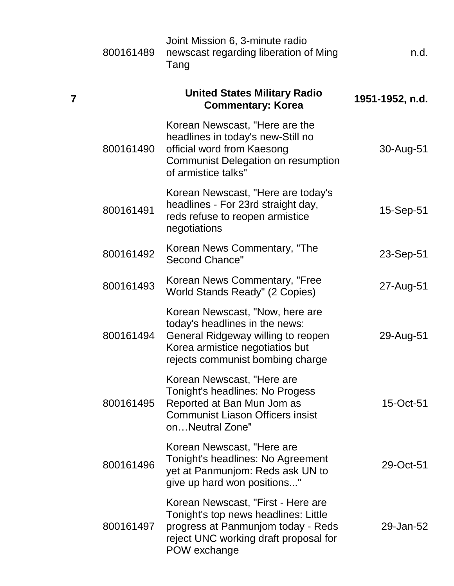| 800161489               | Joint Mission 6, 3-minute radio<br>newscast regarding liberation of Ming<br>Tang                                                                                               | n.d.            |
|-------------------------|--------------------------------------------------------------------------------------------------------------------------------------------------------------------------------|-----------------|
| $\overline{\mathbf{7}}$ | <b>United States Military Radio</b><br><b>Commentary: Korea</b>                                                                                                                | 1951-1952, n.d. |
| 800161490               | Korean Newscast, "Here are the<br>headlines in today's new-Still no<br>official word from Kaesong<br><b>Communist Delegation on resumption</b><br>of armistice talks"          | 30-Aug-51       |
| 800161491               | Korean Newscast, "Here are today's<br>headlines - For 23rd straight day,<br>reds refuse to reopen armistice<br>negotiations                                                    | 15-Sep-51       |
| 800161492               | Korean News Commentary, "The<br><b>Second Chance"</b>                                                                                                                          | 23-Sep-51       |
| 800161493               | Korean News Commentary, "Free<br>World Stands Ready" (2 Copies)                                                                                                                | 27-Aug-51       |
| 800161494               | Korean Newscast, "Now, here are<br>today's headlines in the news:<br>General Ridgeway willing to reopen<br>Korea armistice negotiatios but<br>rejects communist bombing charge | 29-Aug-51       |
| 800161495               | Korean Newscast, "Here are<br>Tonight's headlines: No Progess<br>Reported at Ban Mun Jom as<br><b>Communist Liason Officers insist</b><br>onNeutral Zone"                      | 15-Oct-51       |
| 800161496               | Korean Newscast, "Here are<br>Tonight's headlines: No Agreement<br>yet at Panmunjom: Reds ask UN to<br>give up hard won positions"                                             | 29-Oct-51       |
| 800161497               | Korean Newscast, "First - Here are<br>Tonight's top news headlines: Little<br>progress at Panmunjom today - Reds<br>reject UNC working draft proposal for<br>POW exchange      | 29-Jan-52       |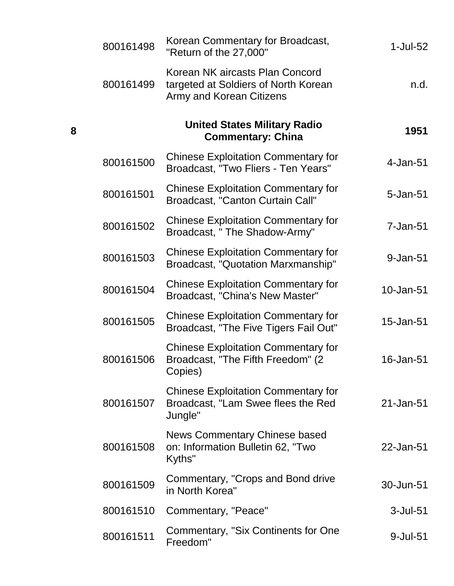| 1-Jul-52       | Korean Commentary for Broadcast,<br>"Return of the 27,000"                                                 | 800161498 |
|----------------|------------------------------------------------------------------------------------------------------------|-----------|
| n.d.           | Korean NK aircasts Plan Concord<br>targeted at Soldiers of North Korean<br><b>Army and Korean Citizens</b> | 800161499 |
| 1951           | <b>United States Military Radio</b><br><b>Commentary: China</b>                                            |           |
| $4$ -Jan- $51$ | <b>Chinese Exploitation Commentary for</b><br>Broadcast, "Two Fliers - Ten Years"                          | 800161500 |
| 5-Jan-51       | <b>Chinese Exploitation Commentary for</b><br>Broadcast, "Canton Curtain Call"                             | 800161501 |
| 7-Jan-51       | <b>Chinese Exploitation Commentary for</b><br>Broadcast, " The Shadow-Army"                                | 800161502 |
| 9-Jan-51       | <b>Chinese Exploitation Commentary for</b><br>Broadcast, "Quotation Marxmanship"                           | 800161503 |
| 10-Jan-51      | <b>Chinese Exploitation Commentary for</b><br>Broadcast, "China's New Master"                              | 800161504 |
| 15-Jan-51      | <b>Chinese Exploitation Commentary for</b><br>Broadcast, "The Five Tigers Fail Out"                        | 800161505 |
| 16-Jan-51      | <b>Chinese Exploitation Commentary for</b><br>Broadcast, "The Fifth Freedom" (2<br>Copies)                 | 800161506 |
| 21-Jan-51      | <b>Chinese Exploitation Commentary for</b><br>Broadcast, "Lam Swee flees the Red<br>Jungle"                | 800161507 |
| 22-Jan-51      | News Commentary Chinese based<br>on: Information Bulletin 62, "Two<br>Kyths"                               | 800161508 |
| 30-Jun-51      | Commentary, "Crops and Bond drive<br>in North Korea"                                                       | 800161509 |
| $3$ -Jul- $51$ | Commentary, "Peace"                                                                                        | 800161510 |
| 9-Jul-51       | Commentary, "Six Continents for One<br>Freedom"                                                            | 800161511 |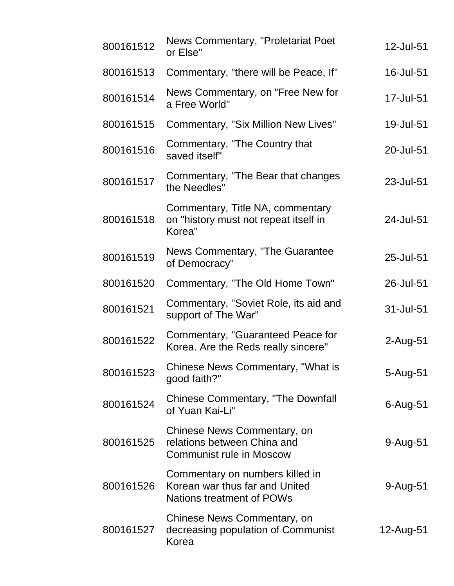| 800161512 | <b>News Commentary, "Proletariat Poet</b><br>or Else"                                                 | 12-Jul-51   |
|-----------|-------------------------------------------------------------------------------------------------------|-------------|
| 800161513 | Commentary, "there will be Peace, If"                                                                 | 16-Jul-51   |
| 800161514 | News Commentary, on "Free New for<br>a Free World"                                                    | 17-Jul-51   |
| 800161515 | <b>Commentary, "Six Million New Lives"</b>                                                            | 19-Jul-51   |
| 800161516 | Commentary, "The Country that<br>saved itself"                                                        | 20-Jul-51   |
| 800161517 | Commentary, "The Bear that changes<br>the Needles"                                                    | 23-Jul-51   |
| 800161518 | Commentary, Title NA, commentary<br>on "history must not repeat itself in<br>Korea"                   | 24-Jul-51   |
| 800161519 | News Commentary, "The Guarantee<br>of Democracy"                                                      | 25-Jul-51   |
| 800161520 | Commentary, "The Old Home Town"                                                                       | 26-Jul-51   |
| 800161521 | Commentary, "Soviet Role, its aid and<br>support of The War"                                          | 31-Jul-51   |
| 800161522 | Commentary, "Guaranteed Peace for<br>Korea. Are the Reds really sincere"                              | $2$ -Aug-51 |
| 800161523 | Chinese News Commentary, "What is<br>good faith?"                                                     | 5-Aug-51    |
| 800161524 | <b>Chinese Commentary, "The Downfall</b><br>of Yuan Kai-Li"                                           | $6$ -Aug-51 |
| 800161525 | Chinese News Commentary, on<br>relations between China and<br><b>Communist rule in Moscow</b>         | 9-Aug-51    |
| 800161526 | Commentary on numbers killed in<br>Korean war thus far and United<br><b>Nations treatment of POWs</b> | $9-Au$ g-51 |
| 800161527 | Chinese News Commentary, on<br>decreasing population of Communist<br>Korea                            | 12-Aug-51   |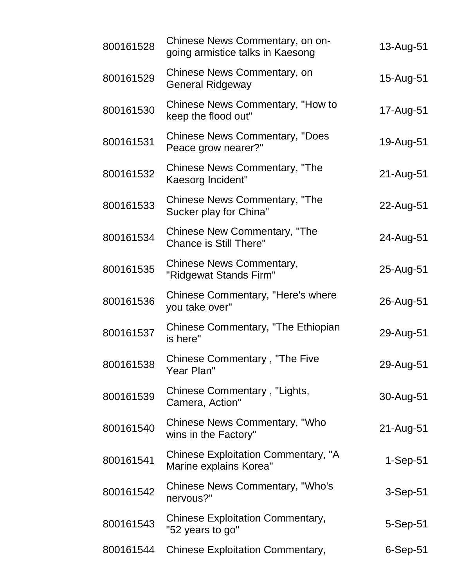| 800161528 | Chinese News Commentary, on on-<br>going armistice talks in Kaesong  | 13-Aug-51  |
|-----------|----------------------------------------------------------------------|------------|
| 800161529 | Chinese News Commentary, on<br><b>General Ridgeway</b>               | 15-Aug-51  |
| 800161530 | Chinese News Commentary, "How to<br>keep the flood out"              | 17-Aug-51  |
| 800161531 | <b>Chinese News Commentary, "Does</b><br>Peace grow nearer?"         | 19-Aug-51  |
| 800161532 | Chinese News Commentary, "The<br>Kaesorg Incident"                   | 21-Aug-51  |
| 800161533 | Chinese News Commentary, "The<br>Sucker play for China"              | 22-Aug-51  |
| 800161534 | <b>Chinese New Commentary, "The</b><br><b>Chance is Still There"</b> | 24-Aug-51  |
| 800161535 | <b>Chinese News Commentary,</b><br>"Ridgewat Stands Firm"            | 25-Aug-51  |
| 800161536 | Chinese Commentary, "Here's where<br>you take over"                  | 26-Aug-51  |
| 800161537 | Chinese Commentary, "The Ethiopian<br>is here"                       | 29-Aug-51  |
| 800161538 | <b>Chinese Commentary, "The Five</b><br>Year Plan"                   | 29-Aug-51  |
| 800161539 | Chinese Commentary, "Lights,<br>Camera, Action"                      | 30-Aug-51  |
| 800161540 | Chinese News Commentary, "Who<br>wins in the Factory"                | 21-Aug-51  |
| 800161541 | Chinese Exploitation Commentary, "A<br>Marine explains Korea"        | $1-Sep-51$ |
| 800161542 | Chinese News Commentary, "Who's<br>nervous?"                         | 3-Sep-51   |
| 800161543 | <b>Chinese Exploitation Commentary,</b><br>"52 years to go"          | 5-Sep-51   |
| 800161544 | <b>Chinese Exploitation Commentary,</b>                              | 6-Sep-51   |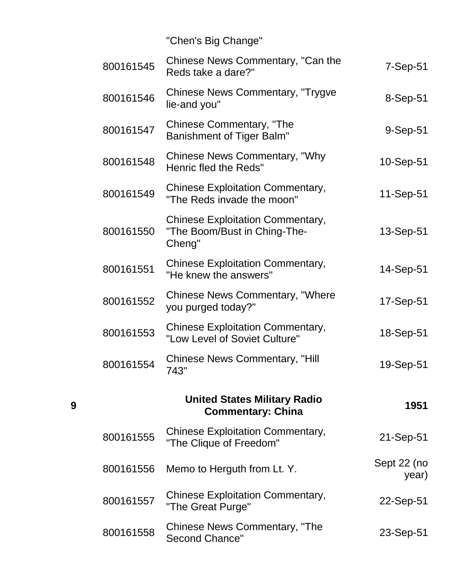"Chen's Big Change"

| 800161545 | Chinese News Commentary, "Can the<br>Reds take a dare?"                           | $7-Sep-51$           |
|-----------|-----------------------------------------------------------------------------------|----------------------|
| 800161546 | <b>Chinese News Commentary, "Trygve</b><br>lie-and you"                           | 8-Sep-51             |
| 800161547 | Chinese Commentary, "The<br><b>Banishment of Tiger Balm"</b>                      | 9-Sep-51             |
| 800161548 | Chinese News Commentary, "Why<br>Henric fled the Reds"                            | 10-Sep-51            |
| 800161549 | <b>Chinese Exploitation Commentary,</b><br>"The Reds invade the moon"             | 11-Sep-51            |
| 800161550 | <b>Chinese Exploitation Commentary,</b><br>"The Boom/Bust in Ching-The-<br>Cheng" | 13-Sep-51            |
| 800161551 | <b>Chinese Exploitation Commentary,</b><br>"He knew the answers"                  | 14-Sep-51            |
| 800161552 | <b>Chinese News Commentary, "Where</b><br>you purged today?"                      | 17-Sep-51            |
| 800161553 | <b>Chinese Exploitation Commentary,</b><br>"Low Level of Soviet Culture"          | 18-Sep-51            |
| 800161554 | <b>Chinese News Commentary, "Hill</b><br>743"                                     | 19-Sep-51            |
|           | <b>United States Military Radio</b><br><b>Commentary: China</b>                   | 1951                 |
| 800161555 | <b>Chinese Exploitation Commentary,</b><br>"The Clique of Freedom"                | 21-Sep-51            |
| 800161556 | Memo to Herguth from Lt. Y.                                                       | Sept 22 (no<br>year) |
| 800161557 | <b>Chinese Exploitation Commentary,</b><br>"The Great Purge"                      | 22-Sep-51            |
| 800161558 | <b>Chinese News Commentary, "The</b><br><b>Second Chance"</b>                     | 23-Sep-51            |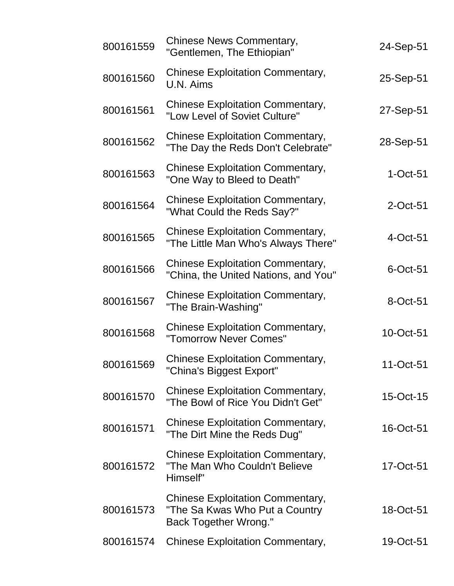| 800161559 | Chinese News Commentary,<br>"Gentlemen, The Ethiopian"                                                     | 24-Sep-51   |
|-----------|------------------------------------------------------------------------------------------------------------|-------------|
| 800161560 | <b>Chinese Exploitation Commentary,</b><br>U.N. Aims                                                       | 25-Sep-51   |
| 800161561 | <b>Chinese Exploitation Commentary,</b><br>"Low Level of Soviet Culture"                                   | 27-Sep-51   |
| 800161562 | <b>Chinese Exploitation Commentary,</b><br>"The Day the Reds Don't Celebrate"                              | 28-Sep-51   |
| 800161563 | <b>Chinese Exploitation Commentary,</b><br>"One Way to Bleed to Death"                                     | $1-Oct-51$  |
| 800161564 | <b>Chinese Exploitation Commentary,</b><br>"What Could the Reds Say?"                                      | $2$ -Oct-51 |
| 800161565 | <b>Chinese Exploitation Commentary,</b><br>"The Little Man Who's Always There"                             | 4-Oct-51    |
| 800161566 | <b>Chinese Exploitation Commentary,</b><br>"China, the United Nations, and You"                            | $6$ -Oct-51 |
| 800161567 | <b>Chinese Exploitation Commentary,</b><br>"The Brain-Washing"                                             | 8-Oct-51    |
| 800161568 | <b>Chinese Exploitation Commentary,</b><br>"Tomorrow Never Comes"                                          | 10-Oct-51   |
| 800161569 | <b>Chinese Exploitation Commentary,</b><br>"China's Biggest Export"                                        | 11-Oct-51   |
| 800161570 | <b>Chinese Exploitation Commentary,</b><br>"The Bowl of Rice You Didn't Get"                               | 15-Oct-15   |
| 800161571 | <b>Chinese Exploitation Commentary,</b><br>"The Dirt Mine the Reds Dug"                                    | 16-Oct-51   |
| 800161572 | <b>Chinese Exploitation Commentary,</b><br>"The Man Who Couldn't Believe<br>Himself"                       | 17-Oct-51   |
| 800161573 | <b>Chinese Exploitation Commentary,</b><br>"The Sa Kwas Who Put a Country"<br><b>Back Together Wrong."</b> | 18-Oct-51   |
| 800161574 | <b>Chinese Exploitation Commentary,</b>                                                                    | 19-Oct-51   |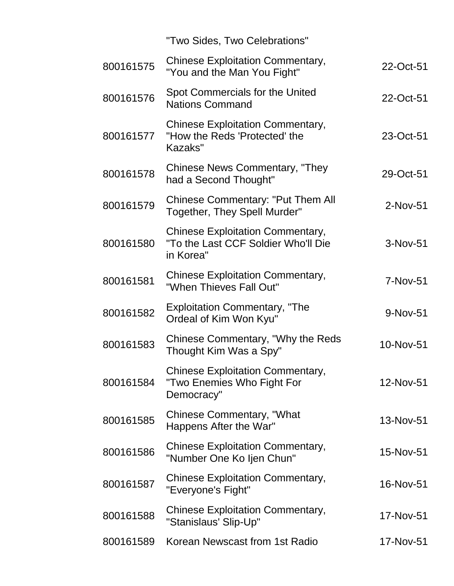|           | "Two Sides, Two Celebrations"                                                               |           |
|-----------|---------------------------------------------------------------------------------------------|-----------|
| 800161575 | <b>Chinese Exploitation Commentary,</b><br>"You and the Man You Fight"                      | 22-Oct-51 |
| 800161576 | Spot Commercials for the United<br><b>Nations Command</b>                                   | 22-Oct-51 |
| 800161577 | <b>Chinese Exploitation Commentary,</b><br>"How the Reds 'Protected' the<br>Kazaks"         | 23-Oct-51 |
| 800161578 | Chinese News Commentary, "They"<br>had a Second Thought"                                    | 29-Oct-51 |
| 800161579 | <b>Chinese Commentary: "Put Them All</b><br>Together, They Spell Murder"                    | 2-Nov-51  |
| 800161580 | <b>Chinese Exploitation Commentary,</b><br>"To the Last CCF Soldier Who'll Die<br>in Korea" | 3-Nov-51  |
| 800161581 | <b>Chinese Exploitation Commentary,</b><br>"When Thieves Fall Out"                          | 7-Nov-51  |
| 800161582 | <b>Exploitation Commentary, "The</b><br>Ordeal of Kim Won Kyu"                              | 9-Nov-51  |
| 800161583 | Chinese Commentary, "Why the Reds<br>Thought Kim Was a Spy"                                 | 10-Nov-51 |
| 800161584 | <b>Chinese Exploitation Commentary,</b><br>"Two Enemies Who Fight For<br>Democracy"         | 12-Nov-51 |
| 800161585 | <b>Chinese Commentary, "What</b><br>Happens After the War"                                  | 13-Nov-51 |
| 800161586 | <b>Chinese Exploitation Commentary,</b><br>"Number One Ko Ijen Chun"                        | 15-Nov-51 |
| 800161587 | <b>Chinese Exploitation Commentary,</b><br>"Everyone's Fight"                               | 16-Nov-51 |
| 800161588 | <b>Chinese Exploitation Commentary,</b><br>"Stanislaus' Slip-Up"                            | 17-Nov-51 |
| 800161589 | Korean Newscast from 1st Radio                                                              | 17-Nov-51 |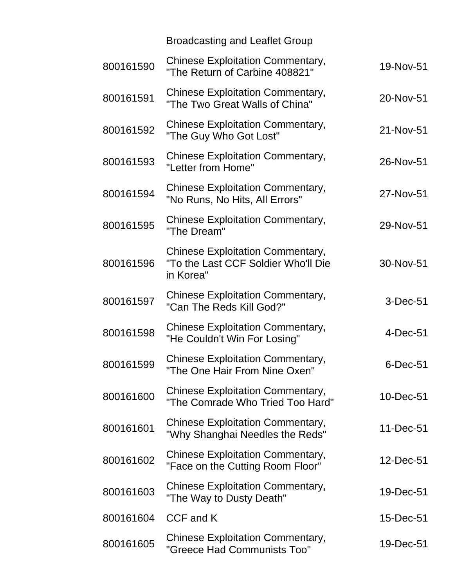|           | <b>Broadcasting and Leaflet Group</b>                                                       |            |
|-----------|---------------------------------------------------------------------------------------------|------------|
| 800161590 | <b>Chinese Exploitation Commentary,</b><br>"The Return of Carbine 408821"                   | 19-Nov-51  |
| 800161591 | <b>Chinese Exploitation Commentary,</b><br>"The Two Great Walls of China"                   | 20-Nov-51  |
| 800161592 | <b>Chinese Exploitation Commentary,</b><br>"The Guy Who Got Lost"                           | 21-Nov-51  |
| 800161593 | <b>Chinese Exploitation Commentary,</b><br>"Letter from Home"                               | 26-Nov-51  |
| 800161594 | <b>Chinese Exploitation Commentary,</b><br>"No Runs, No Hits, All Errors"                   | 27-Nov-51  |
| 800161595 | <b>Chinese Exploitation Commentary,</b><br>"The Dream"                                      | 29-Nov-51  |
| 800161596 | <b>Chinese Exploitation Commentary,</b><br>"To the Last CCF Soldier Who'll Die<br>in Korea" | 30-Nov-51  |
| 800161597 | <b>Chinese Exploitation Commentary,</b><br>"Can The Reds Kill God?"                         | 3-Dec-51   |
| 800161598 | <b>Chinese Exploitation Commentary,</b><br>"He Couldn't Win For Losing"                     | $4-Dec-51$ |
| 800161599 | <b>Chinese Exploitation Commentary,</b><br>"The One Hair From Nine Oxen"                    | 6-Dec-51   |
| 800161600 | <b>Chinese Exploitation Commentary,</b><br>"The Comrade Who Tried Too Hard"                 | 10-Dec-51  |
| 800161601 | <b>Chinese Exploitation Commentary,</b><br>"Why Shanghai Needles the Reds"                  | 11-Dec-51  |
| 800161602 | <b>Chinese Exploitation Commentary,</b><br>"Face on the Cutting Room Floor"                 | 12-Dec-51  |
| 800161603 | <b>Chinese Exploitation Commentary,</b><br>"The Way to Dusty Death"                         | 19-Dec-51  |
| 800161604 | CCF and K                                                                                   | 15-Dec-51  |
| 800161605 | <b>Chinese Exploitation Commentary,</b><br>"Greece Had Communists Too"                      | 19-Dec-51  |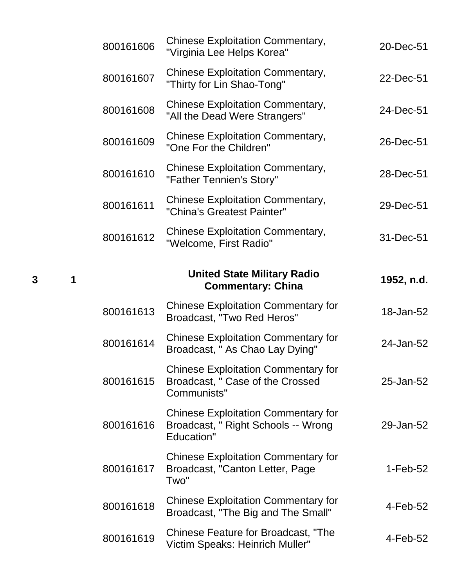| 800161606 | <b>Chinese Exploitation Commentary,</b><br>"Virginia Lee Helps Korea"                         | 20-Dec-51  |
|-----------|-----------------------------------------------------------------------------------------------|------------|
| 800161607 | <b>Chinese Exploitation Commentary,</b><br>"Thirty for Lin Shao-Tong"                         | 22-Dec-51  |
| 800161608 | <b>Chinese Exploitation Commentary,</b><br>"All the Dead Were Strangers"                      | 24-Dec-51  |
| 800161609 | <b>Chinese Exploitation Commentary,</b><br>"One For the Children"                             | 26-Dec-51  |
| 800161610 | <b>Chinese Exploitation Commentary,</b><br>"Father Tennien's Story"                           | 28-Dec-51  |
| 800161611 | <b>Chinese Exploitation Commentary,</b><br>"China's Greatest Painter"                         | 29-Dec-51  |
| 800161612 | <b>Chinese Exploitation Commentary,</b><br>"Welcome, First Radio"                             | 31-Dec-51  |
|           | <b>United State Military Radio</b><br><b>Commentary: China</b>                                | 1952, n.d. |
| 800161613 | <b>Chinese Exploitation Commentary for</b><br>Broadcast, "Two Red Heros"                      | 18-Jan-52  |
| 800161614 | <b>Chinese Exploitation Commentary for</b><br>Broadcast, "As Chao Lay Dying"                  | 24-Jan-52  |
| 800161615 | <b>Chinese Exploitation Commentary for</b><br>Broadcast, " Case of the Crossed<br>Communists" | 25-Jan-52  |
| 800161616 | <b>Chinese Exploitation Commentary for</b>                                                    |            |
|           | Broadcast, " Right Schools -- Wrong<br><b>Education"</b>                                      | 29-Jan-52  |
| 800161617 | <b>Chinese Exploitation Commentary for</b><br>Broadcast, "Canton Letter, Page<br>Two"         | 1-Feb-52   |
| 800161618 | <b>Chinese Exploitation Commentary for</b><br>Broadcast, "The Big and The Small"              | 4-Feb-52   |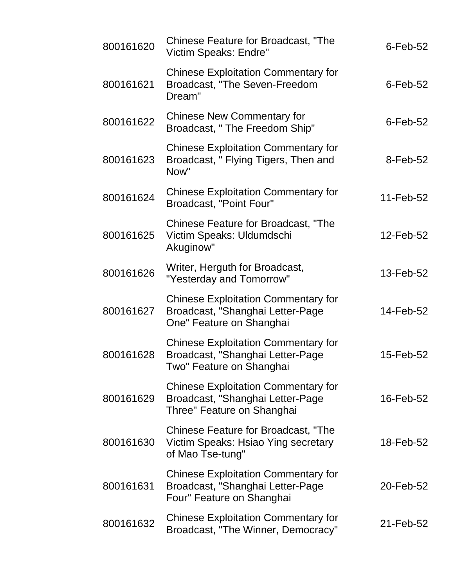| 800161620 | <b>Chinese Feature for Broadcast, "The</b><br>Victim Speaks: Endre"                                          | $6$ -Feb-52 |
|-----------|--------------------------------------------------------------------------------------------------------------|-------------|
| 800161621 | <b>Chinese Exploitation Commentary for</b><br>Broadcast, "The Seven-Freedom<br>Dream"                        | $6$ -Feb-52 |
| 800161622 | <b>Chinese New Commentary for</b><br>Broadcast, " The Freedom Ship"                                          | $6$ -Feb-52 |
| 800161623 | <b>Chinese Exploitation Commentary for</b><br>Broadcast, " Flying Tigers, Then and<br>Now"                   | 8-Feb-52    |
| 800161624 | <b>Chinese Exploitation Commentary for</b><br>Broadcast, "Point Four"                                        | 11-Feb-52   |
| 800161625 | <b>Chinese Feature for Broadcast, "The</b><br>Victim Speaks: Uldumdschi<br>Akuginow"                         | 12-Feb-52   |
| 800161626 | Writer, Herguth for Broadcast,<br>"Yesterday and Tomorrow"                                                   | 13-Feb-52   |
| 800161627 | <b>Chinese Exploitation Commentary for</b><br>Broadcast, "Shanghai Letter-Page<br>One" Feature on Shanghai   | 14-Feb-52   |
| 800161628 | <b>Chinese Exploitation Commentary for</b><br>Broadcast, "Shanghai Letter-Page<br>Two" Feature on Shanghai   | 15-Feb-52   |
| 800161629 | <b>Chinese Exploitation Commentary for</b><br>Broadcast, "Shanghai Letter-Page<br>Three" Feature on Shanghai | 16-Feb-52   |
| 800161630 | Chinese Feature for Broadcast, "The<br>Victim Speaks: Hsiao Ying secretary<br>of Mao Tse-tung"               | 18-Feb-52   |
| 800161631 | <b>Chinese Exploitation Commentary for</b><br>Broadcast, "Shanghai Letter-Page<br>Four" Feature on Shanghai  | 20-Feb-52   |
| 800161632 | <b>Chinese Exploitation Commentary for</b><br>Broadcast, "The Winner, Democracy"                             | 21-Feb-52   |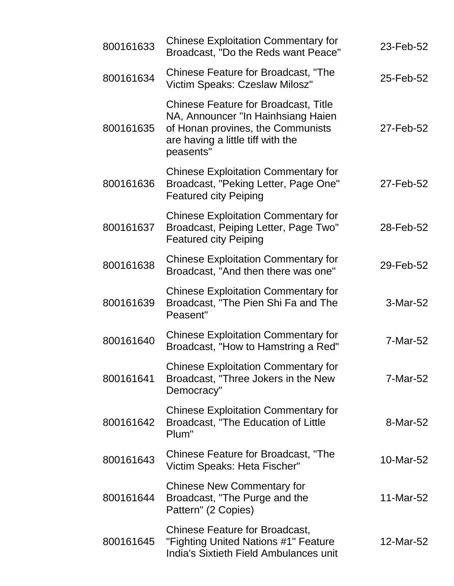| 800161633 | <b>Chinese Exploitation Commentary for</b><br>Broadcast, "Do the Reds want Peace"                                                                                        | 23-Feb-52 |
|-----------|--------------------------------------------------------------------------------------------------------------------------------------------------------------------------|-----------|
| 800161634 | Chinese Feature for Broadcast, "The<br>Victim Speaks: Czeslaw Milosz"                                                                                                    | 25-Feb-52 |
| 800161635 | <b>Chinese Feature for Broadcast, Title</b><br>NA, Announcer "In Hainhsiang Haien<br>of Honan provines, the Communists<br>are having a little tiff with the<br>peasents" | 27-Feb-52 |
| 800161636 | <b>Chinese Exploitation Commentary for</b><br>Broadcast, "Peking Letter, Page One"<br><b>Featured city Peiping</b>                                                       | 27-Feb-52 |
| 800161637 | <b>Chinese Exploitation Commentary for</b><br>Broadcast, Peiping Letter, Page Two"<br><b>Featured city Peiping</b>                                                       | 28-Feb-52 |
| 800161638 | <b>Chinese Exploitation Commentary for</b><br>Broadcast, "And then there was one"                                                                                        | 29-Feb-52 |
| 800161639 | <b>Chinese Exploitation Commentary for</b><br>Broadcast, "The Pien Shi Fa and The<br>Peasent"                                                                            | 3-Mar-52  |
| 800161640 | <b>Chinese Exploitation Commentary for</b><br>Broadcast, "How to Hamstring a Red"                                                                                        | 7-Mar-52  |
| 800161641 | <b>Chinese Exploitation Commentary for</b><br>Broadcast, "Three Jokers in the New<br>Democracy"                                                                          | 7-Mar-52  |
| 800161642 | <b>Chinese Exploitation Commentary for</b><br>Broadcast, "The Education of Little<br>Plum"                                                                               | 8-Mar-52  |
| 800161643 | Chinese Feature for Broadcast, "The<br>Victim Speaks: Heta Fischer"                                                                                                      | 10-Mar-52 |
| 800161644 | <b>Chinese New Commentary for</b><br>Broadcast, "The Purge and the<br>Pattern" (2 Copies)                                                                                | 11-Mar-52 |
| 800161645 | <b>Chinese Feature for Broadcast,</b><br>"Fighting United Nations #1" Feature<br><b>India's Sixtieth Field Ambulances unit</b>                                           | 12-Mar-52 |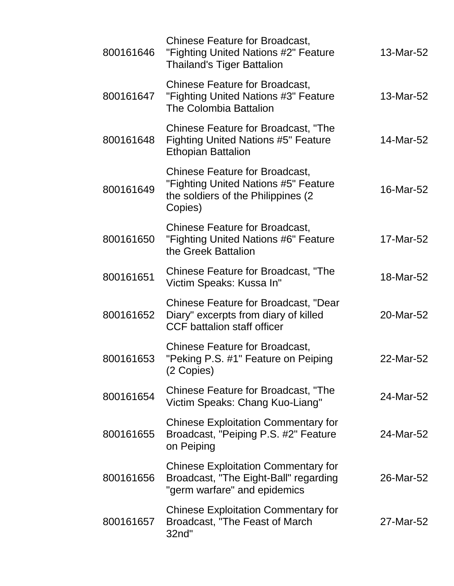| 800161646 | <b>Chinese Feature for Broadcast,</b><br>"Fighting United Nations #2" Feature<br><b>Thailand's Tiger Battalion</b>              | 13-Mar-52 |
|-----------|---------------------------------------------------------------------------------------------------------------------------------|-----------|
| 800161647 | <b>Chinese Feature for Broadcast,</b><br>"Fighting United Nations #3" Feature<br><b>The Colombia Battalion</b>                  | 13-Mar-52 |
| 800161648 | Chinese Feature for Broadcast, "The<br><b>Fighting United Nations #5" Feature</b><br><b>Ethopian Battalion</b>                  | 14-Mar-52 |
| 800161649 | <b>Chinese Feature for Broadcast,</b><br>"Fighting United Nations #5" Feature<br>the soldiers of the Philippines (2)<br>Copies) | 16-Mar-52 |
| 800161650 | <b>Chinese Feature for Broadcast,</b><br>"Fighting United Nations #6" Feature<br>the Greek Battalion                            | 17-Mar-52 |
| 800161651 | Chinese Feature for Broadcast, "The<br>Victim Speaks: Kussa In"                                                                 | 18-Mar-52 |
| 800161652 | <b>Chinese Feature for Broadcast, "Dear</b><br>Diary" excerpts from diary of killed<br><b>CCF battalion staff officer</b>       | 20-Mar-52 |
| 800161653 | <b>Chinese Feature for Broadcast,</b><br>"Peking P.S. #1" Feature on Peiping<br>(2 Copies)                                      | 22-Mar-52 |
| 800161654 | Chinese Feature for Broadcast, "The<br>Victim Speaks: Chang Kuo-Liang"                                                          | 24-Mar-52 |
| 800161655 | <b>Chinese Exploitation Commentary for</b><br>Broadcast, "Peiping P.S. #2" Feature<br>on Peiping                                | 24-Mar-52 |
| 800161656 | <b>Chinese Exploitation Commentary for</b><br>Broadcast, "The Eight-Ball" regarding<br>"germ warfare" and epidemics             | 26-Mar-52 |
| 800161657 | <b>Chinese Exploitation Commentary for</b><br>Broadcast, "The Feast of March"<br>32nd"                                          | 27-Mar-52 |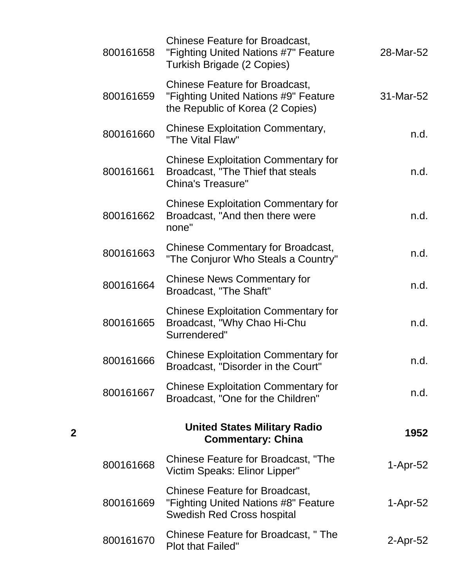| 800161658 | <b>Chinese Feature for Broadcast,</b><br>"Fighting United Nations #7" Feature<br><b>Turkish Brigade (2 Copies)</b> | 28-Mar-52   |
|-----------|--------------------------------------------------------------------------------------------------------------------|-------------|
| 800161659 | <b>Chinese Feature for Broadcast,</b><br>"Fighting United Nations #9" Feature<br>the Republic of Korea (2 Copies)  | 31-Mar-52   |
| 800161660 | <b>Chinese Exploitation Commentary,</b><br>"The Vital Flaw"                                                        | n.d.        |
| 800161661 | <b>Chinese Exploitation Commentary for</b><br>Broadcast, "The Thief that steals<br><b>China's Treasure"</b>        | n.d.        |
| 800161662 | <b>Chinese Exploitation Commentary for</b><br>Broadcast, "And then there were<br>none"                             | n.d.        |
| 800161663 | <b>Chinese Commentary for Broadcast,</b><br>"The Conjuror Who Steals a Country"                                    | n.d.        |
| 800161664 | <b>Chinese News Commentary for</b><br>Broadcast, "The Shaft"                                                       | n.d.        |
| 800161665 | <b>Chinese Exploitation Commentary for</b><br>Broadcast, "Why Chao Hi-Chu<br>Surrendered"                          | n.d.        |
| 800161666 | <b>Chinese Exploitation Commentary for</b><br>Broadcast, "Disorder in the Court"                                   | n.d.        |
| 800161667 | <b>Chinese Exploitation Commentary for</b><br>Broadcast, "One for the Children"                                    | n.d.        |
|           | <b>United States Military Radio</b><br><b>Commentary: China</b>                                                    | 1952        |
| 800161668 | Chinese Feature for Broadcast, "The<br>Victim Speaks: Elinor Lipper"                                               | $1-Apr-52$  |
| 800161669 | <b>Chinese Feature for Broadcast,</b><br>"Fighting United Nations #8" Feature<br><b>Swedish Red Cross hospital</b> | $1-Apr-52$  |
| 800161670 | Chinese Feature for Broadcast, "The<br><b>Plot that Failed"</b>                                                    | $2$ -Apr-52 |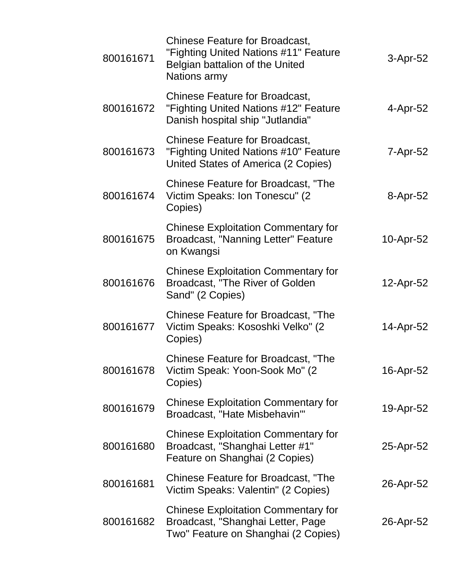| 800161671 | <b>Chinese Feature for Broadcast,</b><br>"Fighting United Nations #11" Feature<br>Belgian battalion of the United<br>Nations army | 3-Apr-52  |
|-----------|-----------------------------------------------------------------------------------------------------------------------------------|-----------|
| 800161672 | <b>Chinese Feature for Broadcast,</b><br>"Fighting United Nations #12" Feature<br>Danish hospital ship "Jutlandia"                | 4-Apr-52  |
| 800161673 | <b>Chinese Feature for Broadcast,</b><br>"Fighting United Nations #10" Feature<br>United States of America (2 Copies)             | 7-Apr-52  |
| 800161674 | <b>Chinese Feature for Broadcast, "The</b><br>Victim Speaks: Ion Tonescu" (2)<br>Copies)                                          | 8-Apr-52  |
| 800161675 | <b>Chinese Exploitation Commentary for</b><br>Broadcast, "Nanning Letter" Feature<br>on Kwangsi                                   | 10-Apr-52 |
| 800161676 | <b>Chinese Exploitation Commentary for</b><br>Broadcast, "The River of Golden<br>Sand" (2 Copies)                                 | 12-Apr-52 |
| 800161677 | Chinese Feature for Broadcast, "The<br>Victim Speaks: Kososhki Velko" (2)<br>Copies)                                              | 14-Apr-52 |
| 800161678 | <b>Chinese Feature for Broadcast, "The</b><br>Victim Speak: Yoon-Sook Mo" (2<br>Copies)                                           | 16-Apr-52 |
| 800161679 | <b>Chinese Exploitation Commentary for</b><br>Broadcast, "Hate Misbehavin'"                                                       | 19-Apr-52 |
| 800161680 | <b>Chinese Exploitation Commentary for</b><br>Broadcast, "Shanghai Letter #1"<br>Feature on Shanghai (2 Copies)                   | 25-Apr-52 |
| 800161681 | <b>Chinese Feature for Broadcast, "The</b><br>Victim Speaks: Valentin" (2 Copies)                                                 | 26-Apr-52 |
| 800161682 | <b>Chinese Exploitation Commentary for</b><br>Broadcast, "Shanghai Letter, Page<br>Two" Feature on Shanghai (2 Copies)            | 26-Apr-52 |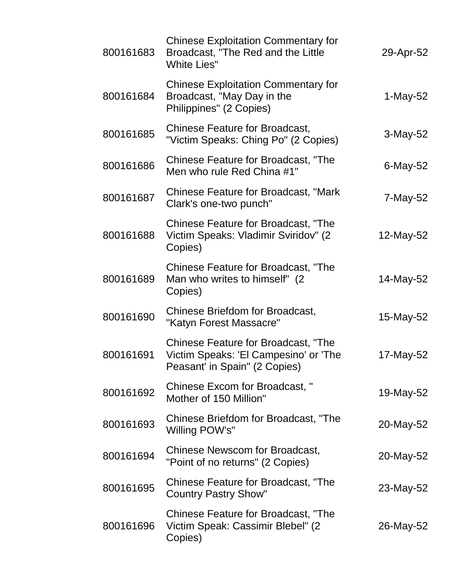| 800161683 | <b>Chinese Exploitation Commentary for</b><br>Broadcast, "The Red and the Little<br><b>White Lies"</b>               | 29-Apr-52   |
|-----------|----------------------------------------------------------------------------------------------------------------------|-------------|
| 800161684 | <b>Chinese Exploitation Commentary for</b><br>Broadcast, "May Day in the<br>Philippines" (2 Copies)                  | 1-May-52    |
| 800161685 | <b>Chinese Feature for Broadcast,</b><br>"Victim Speaks: Ching Po" (2 Copies)                                        | 3-May-52    |
| 800161686 | Chinese Feature for Broadcast, "The<br>Men who rule Red China #1"                                                    | $6$ -May-52 |
| 800161687 | <b>Chinese Feature for Broadcast, "Mark</b><br>Clark's one-two punch"                                                | 7-May-52    |
| 800161688 | <b>Chinese Feature for Broadcast, "The</b><br>Victim Speaks: Vladimir Sviridov" (2)<br>Copies)                       | 12-May-52   |
| 800161689 | <b>Chinese Feature for Broadcast, "The</b><br>Man who writes to himself" (2)<br>Copies)                              | 14-May-52   |
| 800161690 | Chinese Briefdom for Broadcast,<br>"Katyn Forest Massacre"                                                           | 15-May-52   |
| 800161691 | <b>Chinese Feature for Broadcast, "The</b><br>Victim Speaks: 'El Campesino' or 'The<br>Peasant' in Spain" (2 Copies) | 17-May-52   |
| 800161692 | Chinese Excom for Broadcast, "<br>Mother of 150 Million"                                                             | 19-May-52   |
| 800161693 | Chinese Briefdom for Broadcast, "The<br>Willing POW's"                                                               | 20-May-52   |
| 800161694 | <b>Chinese Newscom for Broadcast,</b><br>"Point of no returns" (2 Copies)                                            | 20-May-52   |
| 800161695 | Chinese Feature for Broadcast, "The<br><b>Country Pastry Show"</b>                                                   | 23-May-52   |
| 800161696 | Chinese Feature for Broadcast, "The<br>Victim Speak: Cassimir Blebel" (2)<br>Copies)                                 | 26-May-52   |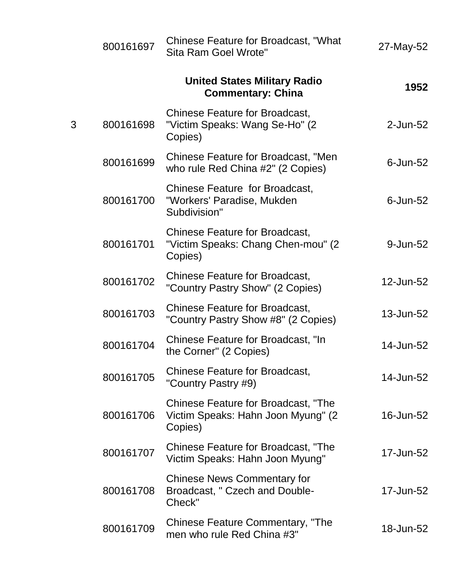| 27-May-52      | Chinese Feature for Broadcast, "What<br>Sita Ram Goel Wrote"                                 | 800161697      |
|----------------|----------------------------------------------------------------------------------------------|----------------|
| 1952           | <b>United States Military Radio</b><br><b>Commentary: China</b>                              |                |
| $2$ -Jun-52    | <b>Chinese Feature for Broadcast,</b><br>"Victim Speaks: Wang Se-Ho" (2)<br>Copies)          | 800161698<br>3 |
| $6$ -Jun- $52$ | Chinese Feature for Broadcast, "Men<br>who rule Red China #2" (2 Copies)                     | 800161699      |
| $6$ -Jun- $52$ | Chinese Feature for Broadcast,<br>"Workers' Paradise, Mukden<br>Subdivision"                 | 800161700      |
| 9-Jun-52       | <b>Chinese Feature for Broadcast,</b><br>"Victim Speaks: Chang Chen-mou" (2)<br>Copies)      | 800161701      |
| 12-Jun-52      | <b>Chinese Feature for Broadcast,</b><br>"Country Pastry Show" (2 Copies)                    | 800161702      |
| 13-Jun-52      | <b>Chinese Feature for Broadcast,</b><br>"Country Pastry Show #8" (2 Copies)                 | 800161703      |
| 14-Jun-52      | Chinese Feature for Broadcast, "In<br>the Corner" (2 Copies)                                 | 800161704      |
| 14-Jun-52      | <b>Chinese Feature for Broadcast,</b><br>"Country Pastry #9)                                 | 800161705      |
| 16-Jun-52      | <b>Chinese Feature for Broadcast, "The</b><br>Victim Speaks: Hahn Joon Myung" (2)<br>Copies) | 800161706      |
| 17-Jun-52      | <b>Chinese Feature for Broadcast, "The</b><br>Victim Speaks: Hahn Joon Myung"                | 800161707      |
| 17-Jun-52      | <b>Chinese News Commentary for</b><br>Broadcast, " Czech and Double-<br>Check"               | 800161708      |
| 18-Jun-52      | <b>Chinese Feature Commentary, "The</b><br>men who rule Red China #3"                        | 800161709      |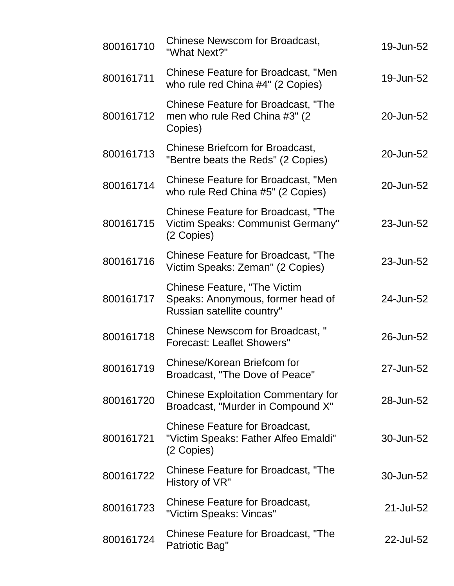| 800161710 | Chinese Newscom for Broadcast,<br>"What Next?"                                                         | 19-Jun-52 |
|-----------|--------------------------------------------------------------------------------------------------------|-----------|
| 800161711 | <b>Chinese Feature for Broadcast, "Men</b><br>who rule red China #4" (2 Copies)                        | 19-Jun-52 |
| 800161712 | <b>Chinese Feature for Broadcast, "The</b><br>men who rule Red China #3" (2)<br>Copies)                | 20-Jun-52 |
| 800161713 | Chinese Briefcom for Broadcast,<br>"Bentre beats the Reds" (2 Copies)                                  | 20-Jun-52 |
| 800161714 | <b>Chinese Feature for Broadcast, "Men</b><br>who rule Red China #5" (2 Copies)                        | 20-Jun-52 |
| 800161715 | <b>Chinese Feature for Broadcast, "The</b><br>Victim Speaks: Communist Germany"<br>(2 Copies)          | 23-Jun-52 |
| 800161716 | Chinese Feature for Broadcast, "The<br>Victim Speaks: Zeman" (2 Copies)                                | 23-Jun-52 |
| 800161717 | <b>Chinese Feature, "The Victim</b><br>Speaks: Anonymous, former head of<br>Russian satellite country" | 24-Jun-52 |
| 800161718 | Chinese Newscom for Broadcast, "<br><b>Forecast: Leaflet Showers"</b>                                  | 26-Jun-52 |
| 800161719 | Chinese/Korean Briefcom for<br>Broadcast, "The Dove of Peace"                                          | 27-Jun-52 |
| 800161720 | <b>Chinese Exploitation Commentary for</b><br>Broadcast, "Murder in Compound X"                        | 28-Jun-52 |
| 800161721 | <b>Chinese Feature for Broadcast,</b><br>"Victim Speaks: Father Alfeo Emaldi"<br>(2 Copies)            | 30-Jun-52 |
| 800161722 | <b>Chinese Feature for Broadcast, "The</b><br>History of VR"                                           | 30-Jun-52 |
| 800161723 | <b>Chinese Feature for Broadcast,</b><br>"Victim Speaks: Vincas"                                       | 21-Jul-52 |
| 800161724 | <b>Chinese Feature for Broadcast, "The</b><br>Patriotic Bag"                                           | 22-Jul-52 |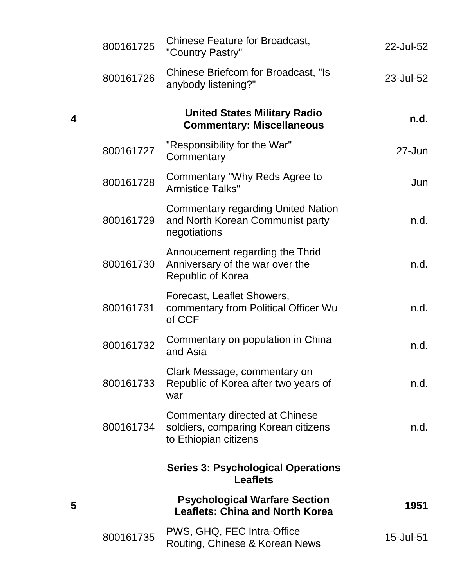| 22-Jul-52  | <b>Chinese Feature for Broadcast,</b><br>"Country Pastry"                                      | 800161725 |
|------------|------------------------------------------------------------------------------------------------|-----------|
| 23-Jul-52  | Chinese Briefcom for Broadcast, "Is<br>anybody listening?"                                     | 800161726 |
| n.d.       | <b>United States Military Radio</b><br><b>Commentary: Miscellaneous</b>                        |           |
| $27 - Jun$ | "Responsibility for the War"<br>Commentary                                                     | 800161727 |
| Jun        | Commentary "Why Reds Agree to<br><b>Armistice Talks"</b>                                       | 800161728 |
| n.d.       | <b>Commentary regarding United Nation</b><br>and North Korean Communist party<br>negotiations  | 800161729 |
| n.d.       | Annoucement regarding the Thrid<br>Anniversary of the war over the<br><b>Republic of Korea</b> | 800161730 |
| n.d.       | Forecast, Leaflet Showers,<br>commentary from Political Officer Wu<br>of CCF                   | 800161731 |
| n.d.       | Commentary on population in China<br>and Asia                                                  | 800161732 |
| n.d.       | Clark Message, commentary on<br>Republic of Korea after two years of<br>war                    | 800161733 |
| n.d.       | Commentary directed at Chinese<br>soldiers, comparing Korean citizens<br>to Ethiopian citizens | 800161734 |
|            | <b>Series 3: Psychological Operations</b><br><b>Leaflets</b>                                   |           |
| 1951       | <b>Psychological Warfare Section</b><br><b>Leaflets: China and North Korea</b>                 |           |
| 15-Jul-51  | PWS, GHQ, FEC Intra-Office<br>Routing, Chinese & Korean News                                   | 800161735 |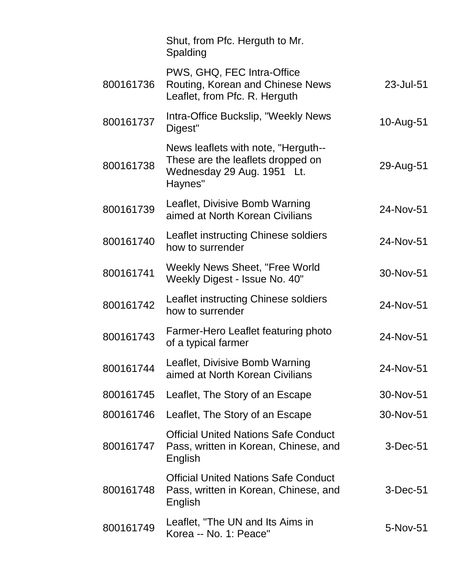|           | Shut, from Pfc. Herguth to Mr.<br>Spalding                                                                        |            |
|-----------|-------------------------------------------------------------------------------------------------------------------|------------|
| 800161736 | PWS, GHQ, FEC Intra-Office<br>Routing, Korean and Chinese News<br>Leaflet, from Pfc. R. Herguth                   | 23-Jul-51  |
| 800161737 | Intra-Office Buckslip, "Weekly News<br>Digest"                                                                    | 10-Aug-51  |
| 800161738 | News leaflets with note, "Herguth--<br>These are the leaflets dropped on<br>Wednesday 29 Aug. 1951 Lt.<br>Haynes" | 29-Aug-51  |
| 800161739 | Leaflet, Divisive Bomb Warning<br>aimed at North Korean Civilians                                                 | 24-Nov-51  |
| 800161740 | Leaflet instructing Chinese soldiers<br>how to surrender                                                          | 24-Nov-51  |
| 800161741 | Weekly News Sheet, "Free World<br>Weekly Digest - Issue No. 40"                                                   | 30-Nov-51  |
| 800161742 | Leaflet instructing Chinese soldiers<br>how to surrender                                                          | 24-Nov-51  |
| 800161743 | Farmer-Hero Leaflet featuring photo<br>of a typical farmer                                                        | 24-Nov-51  |
| 800161744 | Leaflet, Divisive Bomb Warning<br>aimed at North Korean Civilians                                                 | 24-Nov-51  |
| 800161745 | Leaflet, The Story of an Escape                                                                                   | 30-Nov-51  |
| 800161746 | Leaflet, The Story of an Escape                                                                                   | 30-Nov-51  |
| 800161747 | <b>Official United Nations Safe Conduct</b><br>Pass, written in Korean, Chinese, and<br>English                   | $3-Dec-51$ |
| 800161748 | <b>Official United Nations Safe Conduct</b><br>Pass, written in Korean, Chinese, and<br>English                   | $3-Dec-51$ |
| 800161749 | Leaflet, "The UN and Its Aims in<br>Korea -- No. 1: Peace"                                                        | 5-Nov-51   |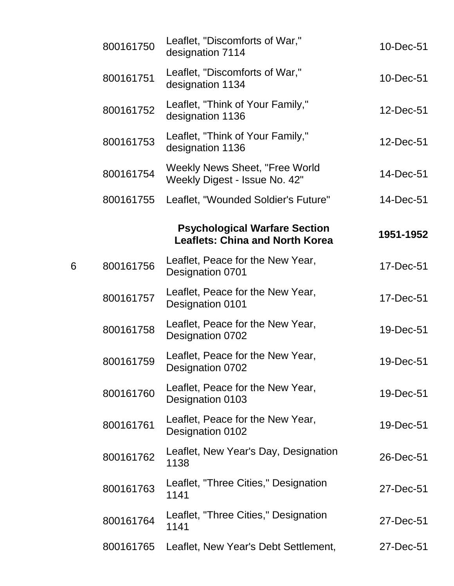|   | 800161750 | Leaflet, "Discomforts of War,"<br>designation 7114                             | 10-Dec-51 |
|---|-----------|--------------------------------------------------------------------------------|-----------|
|   | 800161751 | Leaflet, "Discomforts of War,"<br>designation 1134                             | 10-Dec-51 |
|   | 800161752 | Leaflet, "Think of Your Family,"<br>designation 1136                           | 12-Dec-51 |
|   | 800161753 | Leaflet, "Think of Your Family,"<br>designation 1136                           | 12-Dec-51 |
|   | 800161754 | <b>Weekly News Sheet, "Free World</b><br>Weekly Digest - Issue No. 42"         | 14-Dec-51 |
|   | 800161755 | Leaflet, "Wounded Soldier's Future"                                            | 14-Dec-51 |
|   |           | <b>Psychological Warfare Section</b><br><b>Leaflets: China and North Korea</b> | 1951-1952 |
| 6 | 800161756 | Leaflet, Peace for the New Year,<br>Designation 0701                           | 17-Dec-51 |
|   | 800161757 | Leaflet, Peace for the New Year,<br>Designation 0101                           | 17-Dec-51 |
|   | 800161758 | Leaflet, Peace for the New Year,<br>Designation 0702                           | 19-Dec-51 |
|   | 800161759 | Leaflet, Peace for the New Year,<br>Designation 0702                           | 19-Dec-51 |
|   | 800161760 | Leaflet, Peace for the New Year,<br>Designation 0103                           | 19-Dec-51 |
|   | 800161761 | Leaflet, Peace for the New Year,<br>Designation 0102                           | 19-Dec-51 |
|   | 800161762 | Leaflet, New Year's Day, Designation<br>1138                                   | 26-Dec-51 |
|   | 800161763 | Leaflet, "Three Cities," Designation<br>1141                                   | 27-Dec-51 |
|   | 800161764 | Leaflet, "Three Cities," Designation<br>1141                                   | 27-Dec-51 |
|   | 800161765 | Leaflet, New Year's Debt Settlement,                                           | 27-Dec-51 |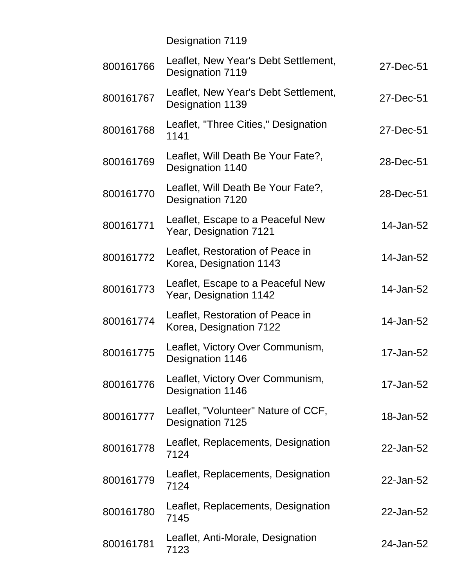Designation 7119

| 800161766 | Leaflet, New Year's Debt Settlement,<br>Designation 7119    | 27-Dec-51 |
|-----------|-------------------------------------------------------------|-----------|
| 800161767 | Leaflet, New Year's Debt Settlement,<br>Designation 1139    | 27-Dec-51 |
| 800161768 | Leaflet, "Three Cities," Designation<br>1141                | 27-Dec-51 |
| 800161769 | Leaflet, Will Death Be Your Fate?,<br>Designation 1140      | 28-Dec-51 |
| 800161770 | Leaflet, Will Death Be Your Fate?,<br>Designation 7120      | 28-Dec-51 |
| 800161771 | Leaflet, Escape to a Peaceful New<br>Year, Designation 7121 | 14-Jan-52 |
| 800161772 | Leaflet, Restoration of Peace in<br>Korea, Designation 1143 | 14-Jan-52 |
| 800161773 | Leaflet, Escape to a Peaceful New<br>Year, Designation 1142 | 14-Jan-52 |
| 800161774 | Leaflet, Restoration of Peace in<br>Korea, Designation 7122 | 14-Jan-52 |
| 800161775 | Leaflet, Victory Over Communism,<br>Designation 1146        | 17-Jan-52 |
| 800161776 | Leaflet, Victory Over Communism,<br>Designation 1146        | 17-Jan-52 |
| 800161777 | Leaflet, "Volunteer" Nature of CCF,<br>Designation 7125     | 18-Jan-52 |
| 800161778 | Leaflet, Replacements, Designation<br>7124                  | 22-Jan-52 |
| 800161779 | Leaflet, Replacements, Designation<br>7124                  | 22-Jan-52 |
| 800161780 | Leaflet, Replacements, Designation<br>7145                  | 22-Jan-52 |
| 800161781 | Leaflet, Anti-Morale, Designation<br>7123                   | 24-Jan-52 |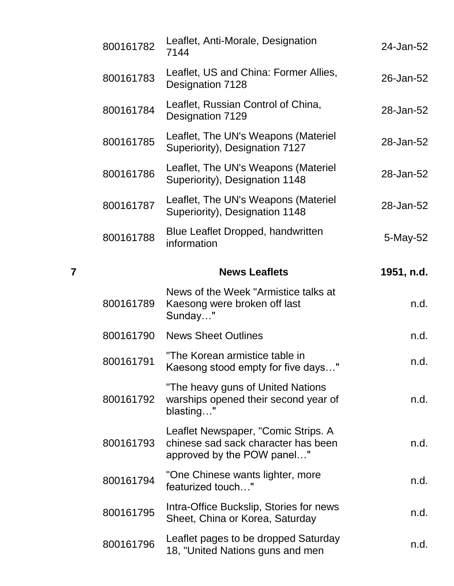|   | 800161782 | Leaflet, Anti-Morale, Designation<br>7144                                                                | 24-Jan-52  |
|---|-----------|----------------------------------------------------------------------------------------------------------|------------|
|   | 800161783 | Leaflet, US and China: Former Allies,<br>Designation 7128                                                | 26-Jan-52  |
|   | 800161784 | Leaflet, Russian Control of China,<br>Designation 7129                                                   | 28-Jan-52  |
|   | 800161785 | Leaflet, The UN's Weapons (Materiel<br>Superiority), Designation 7127                                    | 28-Jan-52  |
|   | 800161786 | Leaflet, The UN's Weapons (Materiel<br>Superiority), Designation 1148                                    | 28-Jan-52  |
|   | 800161787 | Leaflet, The UN's Weapons (Materiel<br>Superiority), Designation 1148                                    | 28-Jan-52  |
|   | 800161788 | Blue Leaflet Dropped, handwritten<br>information                                                         | 5-May-52   |
| 7 |           | <b>News Leaflets</b>                                                                                     | 1951, n.d. |
|   | 800161789 | News of the Week "Armistice talks at<br>Kaesong were broken off last<br>Sunday"                          | n.d.       |
|   | 800161790 | <b>News Sheet Outlines</b>                                                                               | n.d.       |
|   | 800161791 | "The Korean armistice table in<br>Kaesong stood empty for five days                                      | n.d.       |
|   | 800161792 | "The heavy guns of United Nations<br>warships opened their second year of<br>blasting"                   | n.d.       |
|   | 800161793 | Leaflet Newspaper, "Comic Strips. A<br>chinese sad sack character has been<br>approved by the POW panel" | n.d.       |
|   | 800161794 | "One Chinese wants lighter, more<br>featurized touch"                                                    | n.d.       |
|   | 800161795 | Intra-Office Buckslip, Stories for news<br>Sheet, China or Korea, Saturday                               | n.d.       |
|   | 800161796 | Leaflet pages to be dropped Saturday<br>18, "United Nations guns and men                                 | n.d.       |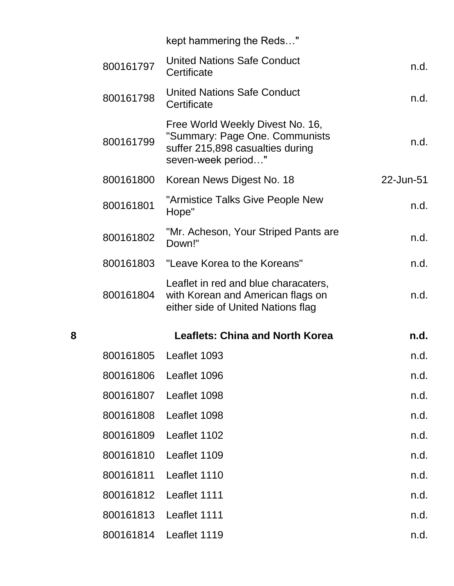|   |           | kept hammering the Reds"                                                                                                     |           |
|---|-----------|------------------------------------------------------------------------------------------------------------------------------|-----------|
|   | 800161797 | <b>United Nations Safe Conduct</b><br>Certificate                                                                            | n.d.      |
|   | 800161798 | <b>United Nations Safe Conduct</b><br>Certificate                                                                            | n.d.      |
|   | 800161799 | Free World Weekly Divest No. 16,<br>"Summary: Page One. Communists<br>suffer 215,898 casualties during<br>seven-week period" | n.d.      |
|   | 800161800 | Korean News Digest No. 18                                                                                                    | 22-Jun-51 |
|   | 800161801 | "Armistice Talks Give People New<br>Hope"                                                                                    | n.d.      |
|   | 800161802 | "Mr. Acheson, Your Striped Pants are<br>Down!"                                                                               | n.d.      |
|   |           | 800161803 "Leave Korea to the Koreans"                                                                                       | n.d.      |
|   | 800161804 | Leaflet in red and blue characaters,<br>with Korean and American flags on<br>either side of United Nations flag              | n.d.      |
| 8 |           | <b>Leaflets: China and North Korea</b>                                                                                       | n.d.      |
|   |           | 800161805 Leaflet 1093                                                                                                       | n.d.      |
|   | 800161806 | Leaflet 1096                                                                                                                 | n.d.      |
|   | 800161807 | Leaflet 1098                                                                                                                 | n.d.      |
|   | 800161808 | Leaflet 1098                                                                                                                 | n.d.      |
|   | 800161809 | Leaflet 1102                                                                                                                 | n.d.      |
|   | 800161810 | Leaflet 1109                                                                                                                 | n.d.      |
|   | 800161811 | Leaflet 1110                                                                                                                 | n.d.      |
|   | 800161812 | Leaflet 1111                                                                                                                 | n.d.      |
|   | 800161813 | Leaflet 1111                                                                                                                 | n.d.      |
|   | 800161814 | Leaflet 1119                                                                                                                 | n.d.      |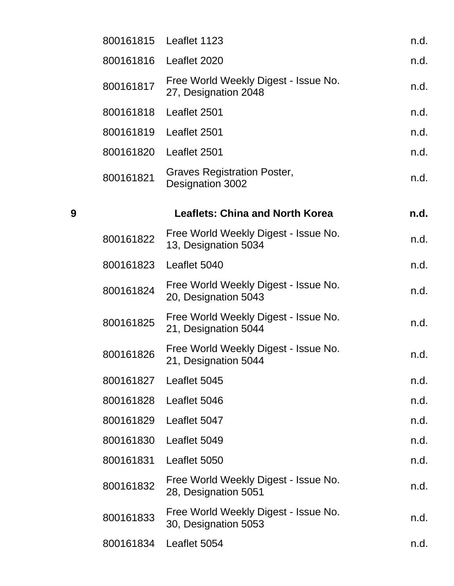|   | 800161815 | Leaflet 1123                                                 | n.d. |
|---|-----------|--------------------------------------------------------------|------|
|   | 800161816 | Leaflet 2020                                                 | n.d. |
|   | 800161817 | Free World Weekly Digest - Issue No.<br>27, Designation 2048 | n.d. |
|   | 800161818 | Leaflet 2501                                                 | n.d. |
|   | 800161819 | Leaflet 2501                                                 | n.d. |
|   | 800161820 | Leaflet 2501                                                 | n.d. |
|   | 800161821 | <b>Graves Registration Poster,</b><br>Designation 3002       | n.d. |
| 9 |           | <b>Leaflets: China and North Korea</b>                       | n.d. |
|   | 800161822 | Free World Weekly Digest - Issue No.<br>13, Designation 5034 | n.d. |
|   | 800161823 | Leaflet 5040                                                 | n.d. |
|   | 800161824 | Free World Weekly Digest - Issue No.<br>20, Designation 5043 | n.d. |
|   | 800161825 | Free World Weekly Digest - Issue No.<br>21, Designation 5044 | n.d. |
|   | 800161826 | Free World Weekly Digest - Issue No.<br>21, Designation 5044 | n.d. |
|   | 800161827 | Leaflet 5045                                                 | n.d. |
|   | 800161828 | Leaflet 5046                                                 | n.d. |
|   | 800161829 | Leaflet 5047                                                 | n.d. |
|   | 800161830 | Leaflet 5049                                                 | n.d. |
|   | 800161831 | Leaflet 5050                                                 | n.d. |
|   | 800161832 | Free World Weekly Digest - Issue No.<br>28, Designation 5051 | n.d. |
|   | 800161833 | Free World Weekly Digest - Issue No.<br>30, Designation 5053 | n.d. |
|   | 800161834 | Leaflet 5054                                                 | n.d. |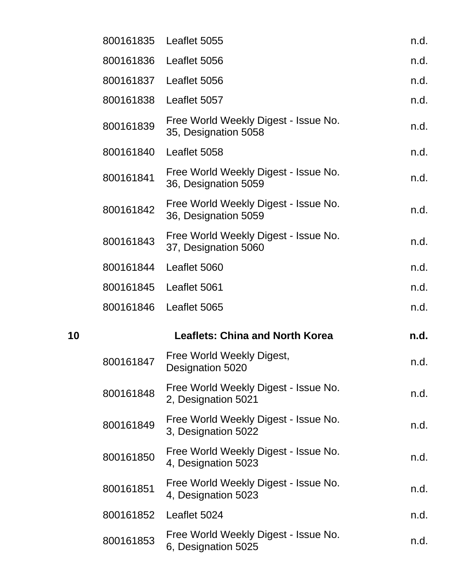|    | 800161835 | Leaflet 5055                                                 | n.d. |
|----|-----------|--------------------------------------------------------------|------|
|    | 800161836 | Leaflet 5056                                                 | n.d. |
|    | 800161837 | Leaflet 5056                                                 | n.d. |
|    | 800161838 | Leaflet 5057                                                 | n.d. |
|    | 800161839 | Free World Weekly Digest - Issue No.<br>35, Designation 5058 | n.d. |
|    | 800161840 | Leaflet 5058                                                 | n.d. |
|    | 800161841 | Free World Weekly Digest - Issue No.<br>36, Designation 5059 | n.d. |
|    | 800161842 | Free World Weekly Digest - Issue No.<br>36, Designation 5059 | n.d. |
|    | 800161843 | Free World Weekly Digest - Issue No.<br>37, Designation 5060 | n.d. |
|    | 800161844 | Leaflet 5060                                                 | n.d. |
|    | 800161845 | Leaflet 5061                                                 | n.d. |
|    | 800161846 | Leaflet 5065                                                 | n.d. |
| 10 |           | <b>Leaflets: China and North Korea</b>                       | n.d. |
|    | 800161847 | Free World Weekly Digest,<br>Designation 5020                | n.d. |
|    | 800161848 | Free World Weekly Digest - Issue No.<br>2, Designation 5021  | n.d. |
|    | 800161849 | Free World Weekly Digest - Issue No.<br>3, Designation 5022  | n.d. |
|    | 800161850 | Free World Weekly Digest - Issue No.<br>4, Designation 5023  | n.d. |
|    |           | Free World Weekly Digest - Issue No.                         |      |
|    | 800161851 | 4, Designation 5023                                          | n.d. |
|    | 800161852 | Leaflet 5024                                                 | n.d. |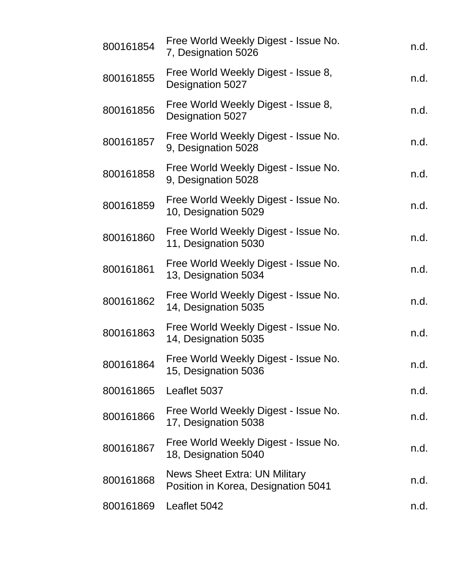| 800161854 | Free World Weekly Digest - Issue No.<br>7, Designation 5026                 | n.d. |
|-----------|-----------------------------------------------------------------------------|------|
| 800161855 | Free World Weekly Digest - Issue 8,<br>Designation 5027                     | n.d. |
| 800161856 | Free World Weekly Digest - Issue 8,<br>Designation 5027                     | n.d. |
| 800161857 | Free World Weekly Digest - Issue No.<br>9, Designation 5028                 | n.d. |
| 800161858 | Free World Weekly Digest - Issue No.<br>9, Designation 5028                 | n.d. |
| 800161859 | Free World Weekly Digest - Issue No.<br>10, Designation 5029                | n.d. |
| 800161860 | Free World Weekly Digest - Issue No.<br>11, Designation 5030                | n.d. |
| 800161861 | Free World Weekly Digest - Issue No.<br>13, Designation 5034                | n.d. |
| 800161862 | Free World Weekly Digest - Issue No.<br>14, Designation 5035                | n.d. |
| 800161863 | Free World Weekly Digest - Issue No.<br>14, Designation 5035                | n.d. |
| 800161864 | Free World Weekly Digest - Issue No.<br>15, Designation 5036                | n.d. |
| 800161865 | Leaflet 5037                                                                | n.d. |
| 800161866 | Free World Weekly Digest - Issue No.<br>17, Designation 5038                | n.d. |
| 800161867 | Free World Weekly Digest - Issue No.<br>18, Designation 5040                | n.d. |
| 800161868 | <b>News Sheet Extra: UN Military</b><br>Position in Korea, Designation 5041 | n.d. |
| 800161869 | Leaflet 5042                                                                | n.d. |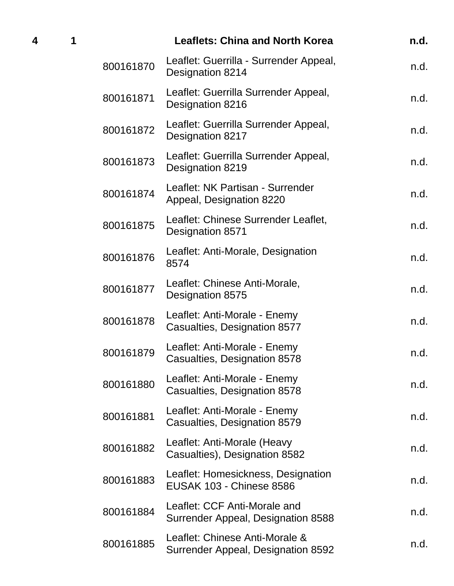| 1 |           | <b>Leaflets: China and North Korea</b>                                | n.d. |
|---|-----------|-----------------------------------------------------------------------|------|
|   | 800161870 | Leaflet: Guerrilla - Surrender Appeal,<br>Designation 8214            | n.d. |
|   | 800161871 | Leaflet: Guerrilla Surrender Appeal,<br>Designation 8216              | n.d. |
|   | 800161872 | Leaflet: Guerrilla Surrender Appeal,<br>Designation 8217              | n.d. |
|   | 800161873 | Leaflet: Guerrilla Surrender Appeal,<br>Designation 8219              | n.d. |
|   | 800161874 | Leaflet: NK Partisan - Surrender<br>Appeal, Designation 8220          | n.d. |
|   | 800161875 | Leaflet: Chinese Surrender Leaflet,<br>Designation 8571               | n.d. |
|   | 800161876 | Leaflet: Anti-Morale, Designation<br>8574                             | n.d. |
|   | 800161877 | Leaflet: Chinese Anti-Morale,<br>Designation 8575                     | n.d. |
|   | 800161878 | Leaflet: Anti-Morale - Enemy<br>Casualties, Designation 8577          | n.d. |
|   | 800161879 | Leaflet: Anti-Morale - Enemy<br>Casualties, Designation 8578          | n.d. |
|   | 800161880 | Leaflet: Anti-Morale - Enemy<br>Casualties, Designation 8578          | n.d. |
|   | 800161881 | Leaflet: Anti-Morale - Enemy<br>Casualties, Designation 8579          | n.d. |
|   | 800161882 | Leaflet: Anti-Morale (Heavy<br>Casualties), Designation 8582          | n.d. |
|   | 800161883 | Leaflet: Homesickness, Designation<br><b>EUSAK 103 - Chinese 8586</b> | n.d. |
|   | 800161884 | Leaflet: CCF Anti-Morale and<br>Surrender Appeal, Designation 8588    | n.d. |
|   | 800161885 | Leaflet: Chinese Anti-Morale &<br>Surrender Appeal, Designation 8592  | n.d. |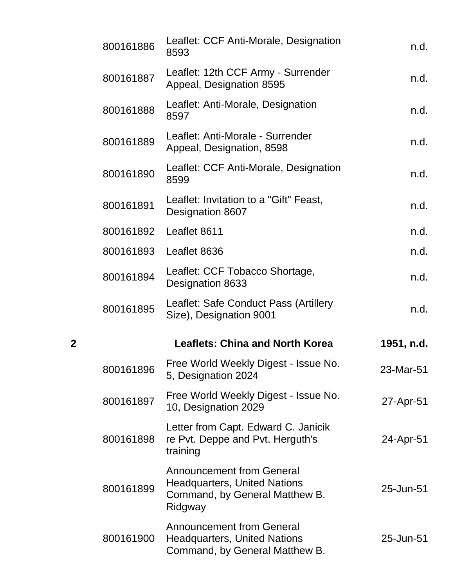|   | 800161886 | Leaflet: CCF Anti-Morale, Designation<br>8593                                                                        | n.d.       |
|---|-----------|----------------------------------------------------------------------------------------------------------------------|------------|
|   | 800161887 | Leaflet: 12th CCF Army - Surrender<br>Appeal, Designation 8595                                                       | n.d.       |
|   | 800161888 | Leaflet: Anti-Morale, Designation<br>8597                                                                            | n.d.       |
|   | 800161889 | Leaflet: Anti-Morale - Surrender<br>Appeal, Designation, 8598                                                        | n.d.       |
|   | 800161890 | Leaflet: CCF Anti-Morale, Designation<br>8599                                                                        | n.d.       |
|   | 800161891 | Leaflet: Invitation to a "Gift" Feast,<br>Designation 8607                                                           | n.d.       |
|   | 800161892 | Leaflet 8611                                                                                                         | n.d.       |
|   | 800161893 | Leaflet 8636                                                                                                         | n.d.       |
|   | 800161894 | Leaflet: CCF Tobacco Shortage,<br>Designation 8633                                                                   | n.d.       |
|   | 800161895 | Leaflet: Safe Conduct Pass (Artillery<br>Size), Designation 9001                                                     | n.d.       |
| 2 |           | <b>Leaflets: China and North Korea</b>                                                                               | 1951, n.d. |
|   | 800161896 | Free World Weekly Digest - Issue No.<br>5, Designation 2024                                                          | 23-Mar-51  |
|   | 800161897 | Free World Weekly Digest - Issue No.<br>10, Designation 2029                                                         | 27-Apr-51  |
|   | 800161898 | Letter from Capt. Edward C. Janicik<br>re Pvt. Deppe and Pvt. Herguth's<br>training                                  | 24-Apr-51  |
|   | 800161899 | <b>Announcement from General</b><br><b>Headquarters, United Nations</b><br>Command, by General Matthew B.<br>Ridgway | 25-Jun-51  |
|   | 800161900 | <b>Announcement from General</b><br><b>Headquarters, United Nations</b><br>Command, by General Matthew B.            | 25-Jun-51  |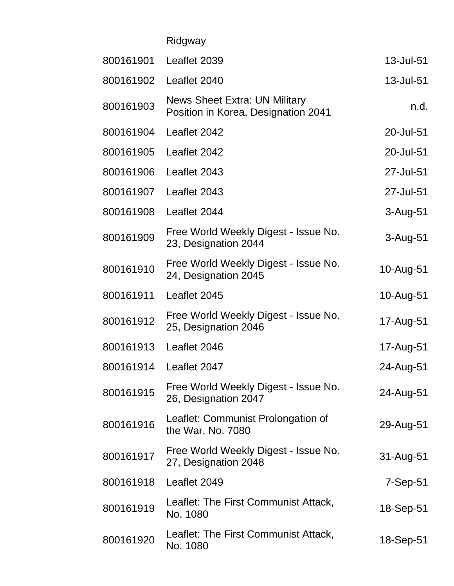| Ridgway |  |
|---------|--|
|         |  |

| 800161901 | Leaflet 2039                                                                | 13-Jul-51    |
|-----------|-----------------------------------------------------------------------------|--------------|
| 800161902 | Leaflet 2040                                                                | 13-Jul-51    |
| 800161903 | <b>News Sheet Extra: UN Military</b><br>Position in Korea, Designation 2041 | n.d.         |
| 800161904 | Leaflet 2042                                                                | 20-Jul-51    |
| 800161905 | Leaflet 2042                                                                | 20-Jul-51    |
| 800161906 | Leaflet 2043                                                                | 27-Jul-51    |
| 800161907 | Leaflet 2043                                                                | 27-Jul-51    |
| 800161908 | Leaflet 2044                                                                | $3 - Aug-51$ |
| 800161909 | Free World Weekly Digest - Issue No.<br>23, Designation 2044                | $3 - Aug-51$ |
| 800161910 | Free World Weekly Digest - Issue No.<br>24, Designation 2045                | 10-Aug-51    |
| 800161911 | Leaflet 2045                                                                | 10-Aug-51    |
| 800161912 | Free World Weekly Digest - Issue No.<br>25, Designation 2046                | 17-Aug-51    |
| 800161913 | Leaflet 2046                                                                | 17-Aug-51    |
| 800161914 | Leaflet 2047                                                                | 24-Aug-51    |
| 800161915 | Free World Weekly Digest - Issue No.<br>26, Designation 2047                | 24-Aug-51    |
| 800161916 | Leaflet: Communist Prolongation of<br>the War, No. 7080                     | 29-Aug-51    |
| 800161917 | Free World Weekly Digest - Issue No.<br>27, Designation 2048                | 31-Aug-51    |
| 800161918 | Leaflet 2049                                                                | $7-Sep-51$   |
| 800161919 | Leaflet: The First Communist Attack,<br>No. 1080                            | 18-Sep-51    |
| 800161920 | Leaflet: The First Communist Attack,<br>No. 1080                            | 18-Sep-51    |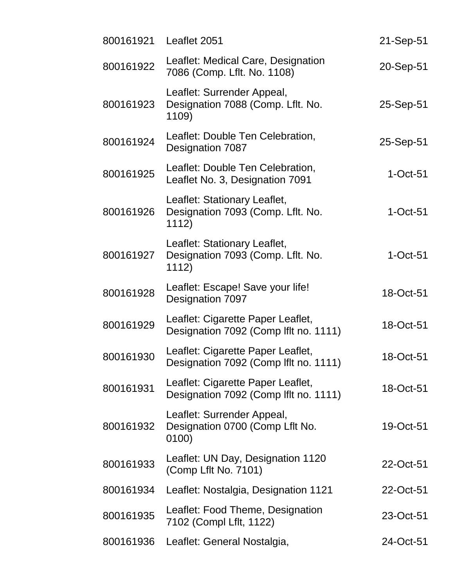| 800161921 | Leaflet 2051                                                                | 21-Sep-51  |
|-----------|-----------------------------------------------------------------------------|------------|
| 800161922 | Leaflet: Medical Care, Designation<br>7086 (Comp. Lflt. No. 1108)           | 20-Sep-51  |
| 800161923 | Leaflet: Surrender Appeal,<br>Designation 7088 (Comp. Lflt. No.<br>1109)    | 25-Sep-51  |
| 800161924 | Leaflet: Double Ten Celebration,<br>Designation 7087                        | 25-Sep-51  |
| 800161925 | Leaflet: Double Ten Celebration,<br>Leaflet No. 3, Designation 7091         | $1-Oct-51$ |
| 800161926 | Leaflet: Stationary Leaflet,<br>Designation 7093 (Comp. Lflt. No.<br>1112)  | $1-Oct-51$ |
| 800161927 | Leaflet: Stationary Leaflet,<br>Designation 7093 (Comp. Lflt. No.<br>1112)  | $1-Oct-51$ |
| 800161928 | Leaflet: Escape! Save your life!<br>Designation 7097                        | 18-Oct-51  |
| 800161929 | Leaflet: Cigarette Paper Leaflet,<br>Designation 7092 (Comp If It no. 1111) | 18-Oct-51  |
| 800161930 | Leaflet: Cigarette Paper Leaflet,<br>Designation 7092 (Comp If t no. 1111)  | 18-Oct-51  |
| 800161931 | Leaflet: Cigarette Paper Leaflet,<br>Designation 7092 (Comp lflt no. 1111)  | 18-Oct-51  |
| 800161932 | Leaflet: Surrender Appeal,<br>Designation 0700 (Comp Lflt No.<br>0100)      | 19-Oct-51  |
| 800161933 | Leaflet: UN Day, Designation 1120<br>(Comp Lflt No. 7101)                   | 22-Oct-51  |
| 800161934 | Leaflet: Nostalgia, Designation 1121                                        | 22-Oct-51  |
| 800161935 | Leaflet: Food Theme, Designation<br>7102 (Compl Lflt, 1122)                 | 23-Oct-51  |
| 800161936 | Leaflet: General Nostalgia,                                                 | 24-Oct-51  |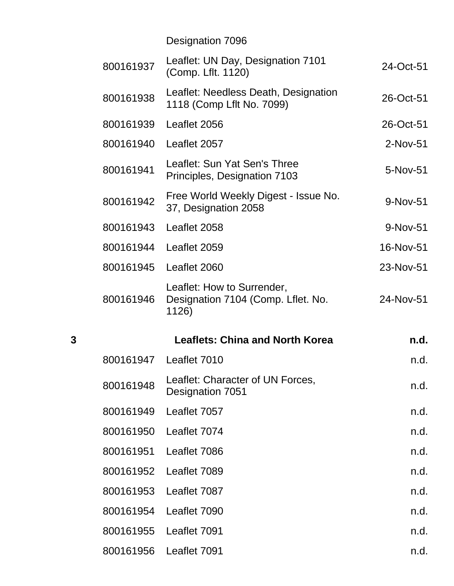Designation 7096

|   | 800161937 | Leaflet: UN Day, Designation 7101<br>(Comp. Lflt. 1120)                   | 24-Oct-51  |
|---|-----------|---------------------------------------------------------------------------|------------|
|   | 800161938 | Leaflet: Needless Death, Designation<br>1118 (Comp Lflt No. 7099)         | 26-Oct-51  |
|   | 800161939 | Leaflet 2056                                                              | 26-Oct-51  |
|   | 800161940 | Leaflet 2057                                                              | $2-Nov-51$ |
|   | 800161941 | Leaflet: Sun Yat Sen's Three<br>Principles, Designation 7103              | 5-Nov-51   |
|   | 800161942 | Free World Weekly Digest - Issue No.<br>37, Designation 2058              | 9-Nov-51   |
|   | 800161943 | Leaflet 2058                                                              | 9-Nov-51   |
|   | 800161944 | Leaflet 2059                                                              | 16-Nov-51  |
|   | 800161945 | Leaflet 2060                                                              | 23-Nov-51  |
|   | 800161946 | Leaflet: How to Surrender,<br>Designation 7104 (Comp. Lflet. No.<br>1126) | 24-Nov-51  |
| 3 |           | <b>Leaflets: China and North Korea</b>                                    | n.d.       |
|   | 800161947 | Leaflet 7010                                                              | n.d.       |
|   | 800161948 | Leaflet: Character of UN Forces,<br>Designation 7051                      | n.d.       |
|   | 800161949 | Leaflet 7057                                                              | n.d.       |
|   | 800161950 | Leaflet 7074                                                              | n.d.       |
|   | 800161951 | Leaflet 7086                                                              | n.d.       |
|   | 800161952 | Leaflet 7089                                                              | n.d.       |
|   | 800161953 | Leaflet 7087                                                              | n.d.       |
|   | 800161954 | Leaflet 7090                                                              | n.d.       |
|   |           |                                                                           |            |
|   | 800161955 | Leaflet 7091                                                              | n.d.       |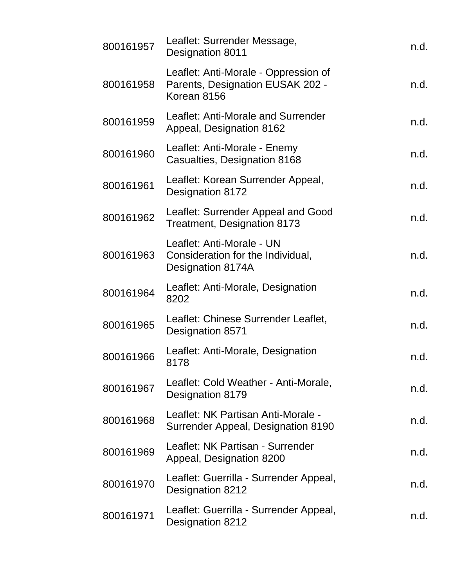| 800161957 | Leaflet: Surrender Message,<br>Designation 8011                                         | n.d. |
|-----------|-----------------------------------------------------------------------------------------|------|
| 800161958 | Leaflet: Anti-Morale - Oppression of<br>Parents, Designation EUSAK 202 -<br>Korean 8156 | n.d. |
| 800161959 | Leaflet: Anti-Morale and Surrender<br>Appeal, Designation 8162                          | n.d. |
| 800161960 | Leaflet: Anti-Morale - Enemy<br>Casualties, Designation 8168                            | n.d. |
| 800161961 | Leaflet: Korean Surrender Appeal,<br>Designation 8172                                   | n.d. |
| 800161962 | Leaflet: Surrender Appeal and Good<br>Treatment, Designation 8173                       | n.d. |
| 800161963 | Leaflet: Anti-Morale - UN<br>Consideration for the Individual,<br>Designation 8174A     | n.d. |
| 800161964 | Leaflet: Anti-Morale, Designation<br>8202                                               | n.d. |
| 800161965 | Leaflet: Chinese Surrender Leaflet,<br>Designation 8571                                 | n.d. |
| 800161966 | Leaflet: Anti-Morale, Designation<br>8178                                               | n.d. |
| 800161967 | Leaflet: Cold Weather - Anti-Morale,<br>Designation 8179                                | n.d. |
| 800161968 | Leaflet: NK Partisan Anti-Morale -<br>Surrender Appeal, Designation 8190                | n.d. |
| 800161969 | Leaflet: NK Partisan - Surrender<br>Appeal, Designation 8200                            | n.d. |
| 800161970 | Leaflet: Guerrilla - Surrender Appeal,<br>Designation 8212                              | n.d. |
| 800161971 | Leaflet: Guerrilla - Surrender Appeal,<br>Designation 8212                              | n.d. |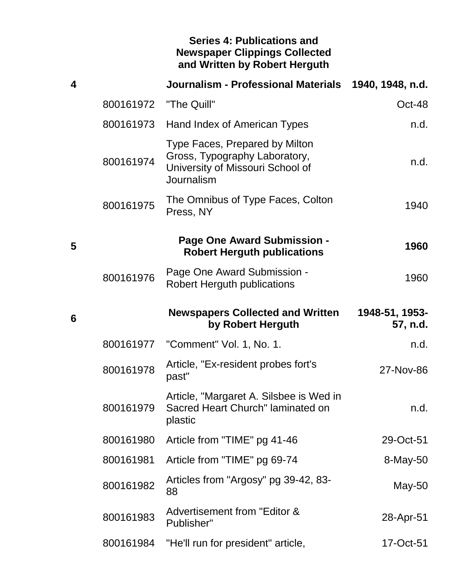## **Series 4: Publications and Newspaper Clippings Collected and Written by Robert Herguth**

| 4 |           | Journalism - Professional Materials                                                                               | 1940, 1948, n.d.           |
|---|-----------|-------------------------------------------------------------------------------------------------------------------|----------------------------|
|   | 800161972 | "The Quill"                                                                                                       | Oct-48                     |
|   | 800161973 | Hand Index of American Types                                                                                      | n.d.                       |
|   | 800161974 | Type Faces, Prepared by Milton<br>Gross, Typography Laboratory,<br>University of Missouri School of<br>Journalism | n.d.                       |
|   | 800161975 | The Omnibus of Type Faces, Colton<br>Press, NY                                                                    | 1940                       |
| 5 |           | Page One Award Submission -<br><b>Robert Herguth publications</b>                                                 | 1960                       |
|   | 800161976 | Page One Award Submission -<br><b>Robert Herguth publications</b>                                                 | 1960                       |
| 6 |           | <b>Newspapers Collected and Written</b><br>by Robert Herguth                                                      | 1948-51, 1953-<br>57, n.d. |
|   | 800161977 | "Comment" Vol. 1, No. 1.                                                                                          | n.d.                       |
|   | 800161978 | Article, "Ex-resident probes fort's<br>past"                                                                      | 27-Nov-86                  |
|   | 800161979 | Article, "Margaret A. Silsbee is Wed in<br>Sacred Heart Church" laminated on<br>plastic                           | n.d.                       |
|   | 800161980 | Article from "TIME" pg 41-46                                                                                      | 29-Oct-51                  |
|   | 800161981 | Article from "TIME" pg 69-74                                                                                      | 8-May-50                   |
|   | 800161982 | Articles from "Argosy" pg 39-42, 83-<br>88                                                                        | May-50                     |
|   | 800161983 | Advertisement from "Editor &<br>Publisher"                                                                        | 28-Apr-51                  |
|   | 800161984 | "He'll run for president" article,                                                                                | 17-Oct-51                  |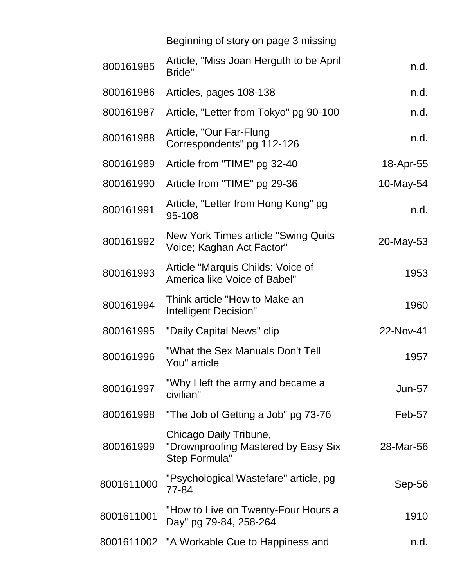| Beginning of story on page 3 missing |  |  |  |
|--------------------------------------|--|--|--|
|                                      |  |  |  |

| 800161985  | Article, "Miss Joan Herguth to be April<br>Bride"                              | n.d.          |
|------------|--------------------------------------------------------------------------------|---------------|
| 800161986  | Articles, pages 108-138                                                        | n.d.          |
| 800161987  | Article, "Letter from Tokyo" pg 90-100                                         | n.d.          |
| 800161988  | Article, "Our Far-Flung<br>Correspondents" pg 112-126                          | n.d.          |
| 800161989  | Article from "TIME" pg 32-40                                                   | 18-Apr-55     |
| 800161990  | Article from "TIME" pg 29-36                                                   | 10-May-54     |
| 800161991  | Article, "Letter from Hong Kong" pg<br>95-108                                  | n.d.          |
| 800161992  | New York Times article "Swing Quits"<br>Voice; Kaghan Act Factor"              | 20-May-53     |
| 800161993  | Article "Marquis Childs: Voice of<br>America like Voice of Babel"              | 1953          |
| 800161994  | Think article "How to Make an<br>Intelligent Decision"                         | 1960          |
| 800161995  | "Daily Capital News" clip                                                      | 22-Nov-41     |
| 800161996  | "What the Sex Manuals Don't Tell<br>You" article                               | 1957          |
| 800161997  | "Why I left the army and became a<br>civilian"                                 | <b>Jun-57</b> |
| 800161998  | "The Job of Getting a Job" pg 73-76                                            | Feb-57        |
| 800161999  | Chicago Daily Tribune,<br>"Drownproofing Mastered by Easy Six<br>Step Formula" | 28-Mar-56     |
| 8001611000 | "Psychological Wastefare" article, pg<br>77-84                                 | Sep-56        |
| 8001611001 | "How to Live on Twenty-Four Hours a<br>Day" pg 79-84, 258-264                  | 1910          |
|            | 8001611002 "A Workable Cue to Happiness and                                    | n.d.          |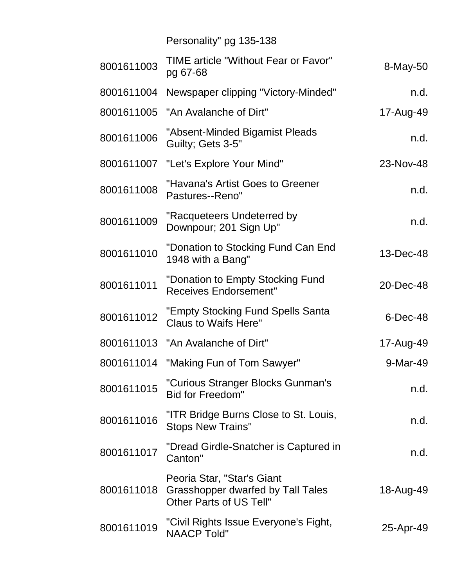|             | Personality" pg 135-138                                                                                      |            |
|-------------|--------------------------------------------------------------------------------------------------------------|------------|
| 8-May-50    | <b>TIME article "Without Fear or Favor"</b><br>pg 67-68                                                      | 8001611003 |
| n.d.        | 8001611004 Newspaper clipping "Victory-Minded"                                                               |            |
| 17-Aug-49   | 8001611005 "An Avalanche of Dirt"                                                                            |            |
| n.d.        | "Absent-Minded Bigamist Pleads<br>Guilty; Gets 3-5"                                                          | 8001611006 |
| 23-Nov-48   | 8001611007 "Let's Explore Your Mind"                                                                         |            |
| n.d.        | "Havana's Artist Goes to Greener<br>Pastures--Reno"                                                          | 8001611008 |
| n.d.        | "Racqueteers Undeterred by<br>Downpour; 201 Sign Up"                                                         | 8001611009 |
| 13-Dec-48   | "Donation to Stocking Fund Can End<br>1948 with a Bang"                                                      | 8001611010 |
| 20-Dec-48   | "Donation to Empty Stocking Fund<br><b>Receives Endorsement"</b>                                             | 8001611011 |
| $6$ -Dec-48 | "Empty Stocking Fund Spells Santa<br>Claus to Waifs Here"                                                    | 8001611012 |
| 17-Aug-49   | 8001611013 "An Avalanche of Dirt"                                                                            |            |
| 9-Mar-49    | 8001611014 "Making Fun of Tom Sawyer"                                                                        |            |
| n.d.        | "Curious Stranger Blocks Gunman's<br><b>Bid for Freedom"</b>                                                 | 8001611015 |
| n.d.        | "ITR Bridge Burns Close to St. Louis,<br><b>Stops New Trains"</b>                                            | 8001611016 |
| n.d.        | "Dread Girdle-Snatcher is Captured in<br>Canton"                                                             | 8001611017 |
| 18-Aug-49   | Peoria Star, "Star's Giant<br>8001611018 Grasshopper dwarfed by Tall Tales<br><b>Other Parts of US Tell"</b> |            |
| 25-Apr-49   | "Civil Rights Issue Everyone's Fight,<br><b>NAACP Told"</b>                                                  | 8001611019 |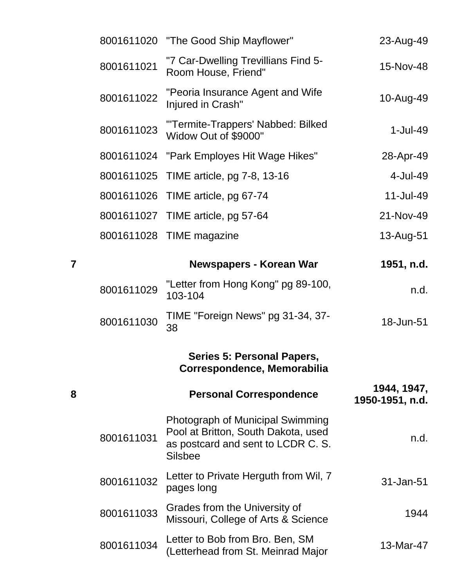| 23-Aug-49                      | "The Good Ship Mayflower"                                                                                                       | 8001611020 |
|--------------------------------|---------------------------------------------------------------------------------------------------------------------------------|------------|
| 15-Nov-48                      | "7 Car-Dwelling Trevillians Find 5-<br>Room House, Friend"                                                                      | 8001611021 |
| 10-Aug-49                      | "Peoria Insurance Agent and Wife<br>Injured in Crash"                                                                           | 8001611022 |
| $1-Jul-49$                     | "Termite-Trappers' Nabbed: Bilked<br>Widow Out of \$9000"                                                                       | 8001611023 |
| 28-Apr-49                      | "Park Employes Hit Wage Hikes"                                                                                                  | 8001611024 |
| 4-Jul-49                       | 8001611025 TIME article, pg 7-8, 13-16                                                                                          |            |
| 11-Jul-49                      | 8001611026 TIME article, pg 67-74                                                                                               |            |
| 21-Nov-49                      | 8001611027 TIME article, pg 57-64                                                                                               |            |
| 13-Aug-51                      | TIME magazine                                                                                                                   | 8001611028 |
| 1951, n.d.                     | Newspapers - Korean War                                                                                                         | 7          |
| n.d.                           | "Letter from Hong Kong" pg 89-100,<br>103-104                                                                                   | 8001611029 |
| 18-Jun-51                      | TIME "Foreign News" pg 31-34, 37-<br>38                                                                                         | 8001611030 |
|                                | <b>Series 5: Personal Papers,</b><br>Correspondence, Memorabilia                                                                |            |
| 1944, 1947,<br>1950-1951, n.d. | <b>Personal Correspondence</b>                                                                                                  | 8          |
| n.d.                           | Photograph of Municipal Swimming<br>Pool at Britton, South Dakota, used<br>as postcard and sent to LCDR C. S.<br><b>Silsbee</b> | 8001611031 |
| 31-Jan-51                      | Letter to Private Herguth from Wil, 7<br>pages long                                                                             | 8001611032 |
| 1944                           | Grades from the University of<br>Missouri, College of Arts & Science                                                            | 8001611033 |
| 13-Mar-47                      | Letter to Bob from Bro. Ben, SM<br>(Letterhead from St. Meinrad Major                                                           | 8001611034 |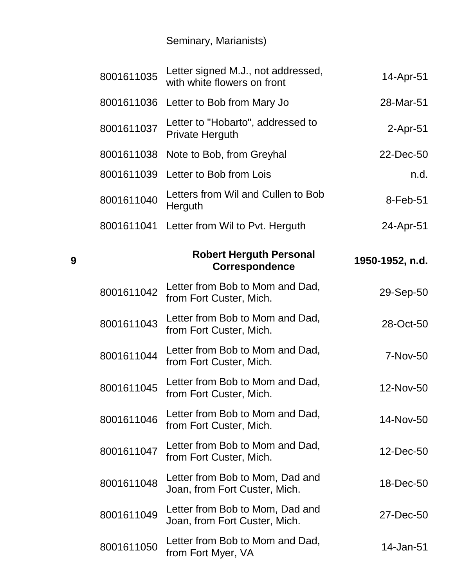## Seminary, Marianists)

**9**

| 8001611035 | Letter signed M.J., not addressed,<br>with white flowers on front | 14-Apr-51       |
|------------|-------------------------------------------------------------------|-----------------|
| 8001611036 | Letter to Bob from Mary Jo                                        | 28-Mar-51       |
| 8001611037 | Letter to "Hobarto", addressed to<br>Private Herguth              | $2-Apr-51$      |
| 8001611038 | Note to Bob, from Greyhal                                         | 22-Dec-50       |
| 8001611039 | Letter to Bob from Lois                                           | n.d.            |
| 8001611040 | Letters from Wil and Cullen to Bob<br>Herguth                     | 8-Feb-51        |
| 8001611041 | Letter from Wil to Pvt. Herguth                                   | 24-Apr-51       |
|            | <b>Robert Herguth Personal</b><br><b>Correspondence</b>           | 1950-1952, n.d. |
| 8001611042 | Letter from Bob to Mom and Dad,<br>from Fort Custer, Mich.        | 29-Sep-50       |
| 8001611043 | Letter from Bob to Mom and Dad,<br>from Fort Custer, Mich.        | 28-Oct-50       |
| 8001611044 | Letter from Bob to Mom and Dad,<br>from Fort Custer, Mich.        | 7-Nov-50        |
| 8001611045 | Letter from Bob to Mom and Dad,<br>from Fort Custer, Mich.        | 12-Nov-50       |
| 8001611046 | Letter from Bob to Mom and Dad,<br>from Fort Custer, Mich.        | 14-Nov-50       |
| 8001611047 | Letter from Bob to Mom and Dad,<br>from Fort Custer, Mich.        | 12-Dec-50       |
| 8001611048 | Letter from Bob to Mom, Dad and<br>Joan, from Fort Custer, Mich.  | 18-Dec-50       |
| 8001611049 | Letter from Bob to Mom, Dad and<br>Joan, from Fort Custer, Mich.  | 27-Dec-50       |
| 8001611050 | Letter from Bob to Mom and Dad,<br>from Fort Myer, VA             | 14-Jan-51       |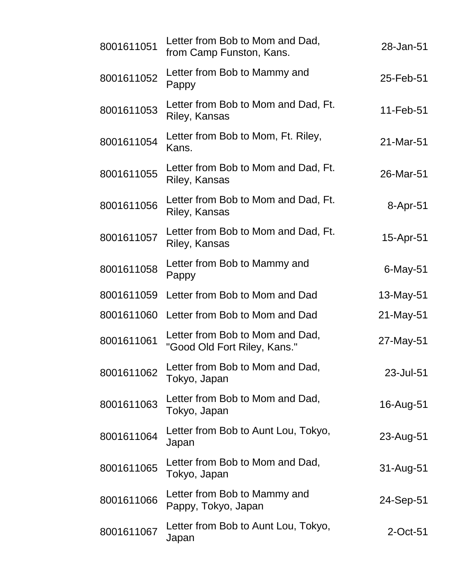| 8001611051 | Letter from Bob to Mom and Dad,<br>from Camp Funston, Kans.     | 28-Jan-51   |
|------------|-----------------------------------------------------------------|-------------|
| 8001611052 | Letter from Bob to Mammy and<br>Pappy                           | 25-Feb-51   |
| 8001611053 | Letter from Bob to Mom and Dad, Ft.<br>Riley, Kansas            | 11-Feb-51   |
| 8001611054 | Letter from Bob to Mom, Ft. Riley,<br>Kans.                     | 21-Mar-51   |
| 8001611055 | Letter from Bob to Mom and Dad, Ft.<br>Riley, Kansas            | 26-Mar-51   |
| 8001611056 | Letter from Bob to Mom and Dad, Ft.<br>Riley, Kansas            | 8-Apr-51    |
| 8001611057 | Letter from Bob to Mom and Dad, Ft.<br>Riley, Kansas            | 15-Apr-51   |
| 8001611058 | Letter from Bob to Mammy and<br>Pappy                           | 6-May-51    |
| 8001611059 | Letter from Bob to Mom and Dad                                  | 13-May-51   |
| 8001611060 | Letter from Bob to Mom and Dad                                  | 21-May-51   |
| 8001611061 | Letter from Bob to Mom and Dad,<br>"Good Old Fort Riley, Kans." | 27-May-51   |
| 8001611062 | Letter from Bob to Mom and Dad,<br>Tokyo, Japan                 | 23-Jul-51   |
| 8001611063 | Letter from Bob to Mom and Dad,<br>Tokyo, Japan                 | 16-Aug-51   |
| 8001611064 | Letter from Bob to Aunt Lou, Tokyo,<br>Japan                    | 23-Aug-51   |
| 8001611065 | Letter from Bob to Mom and Dad,<br>Tokyo, Japan                 | 31-Aug-51   |
| 8001611066 | Letter from Bob to Mammy and<br>Pappy, Tokyo, Japan             | 24-Sep-51   |
| 8001611067 | Letter from Bob to Aunt Lou, Tokyo,<br>Japan                    | $2$ -Oct-51 |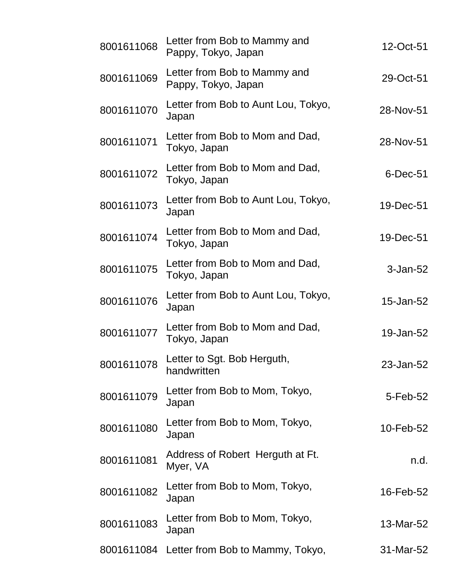| 8001611068 | Letter from Bob to Mammy and<br>Pappy, Tokyo, Japan | 12-Oct-51 |
|------------|-----------------------------------------------------|-----------|
| 8001611069 | Letter from Bob to Mammy and<br>Pappy, Tokyo, Japan | 29-Oct-51 |
| 8001611070 | Letter from Bob to Aunt Lou, Tokyo,<br>Japan        | 28-Nov-51 |
| 8001611071 | Letter from Bob to Mom and Dad,<br>Tokyo, Japan     | 28-Nov-51 |
| 8001611072 | Letter from Bob to Mom and Dad,<br>Tokyo, Japan     | 6-Dec-51  |
| 8001611073 | Letter from Bob to Aunt Lou, Tokyo,<br>Japan        | 19-Dec-51 |
| 8001611074 | Letter from Bob to Mom and Dad,<br>Tokyo, Japan     | 19-Dec-51 |
| 8001611075 | Letter from Bob to Mom and Dad,<br>Tokyo, Japan     | 3-Jan-52  |
| 8001611076 | Letter from Bob to Aunt Lou, Tokyo,<br>Japan        | 15-Jan-52 |
| 8001611077 | Letter from Bob to Mom and Dad,<br>Tokyo, Japan     | 19-Jan-52 |
| 8001611078 | Letter to Sgt. Bob Herguth,<br>handwritten          | 23-Jan-52 |
| 8001611079 | Letter from Bob to Mom, Tokyo,<br>Japan             | 5-Feb-52  |
| 8001611080 | Letter from Bob to Mom, Tokyo,<br>Japan             | 10-Feb-52 |
| 8001611081 | Address of Robert Herguth at Ft.<br>Myer, VA        | n.d.      |
| 8001611082 | Letter from Bob to Mom, Tokyo,<br>Japan             | 16-Feb-52 |
| 8001611083 | Letter from Bob to Mom, Tokyo,<br>Japan             | 13-Mar-52 |
| 8001611084 | Letter from Bob to Mammy, Tokyo,                    | 31-Mar-52 |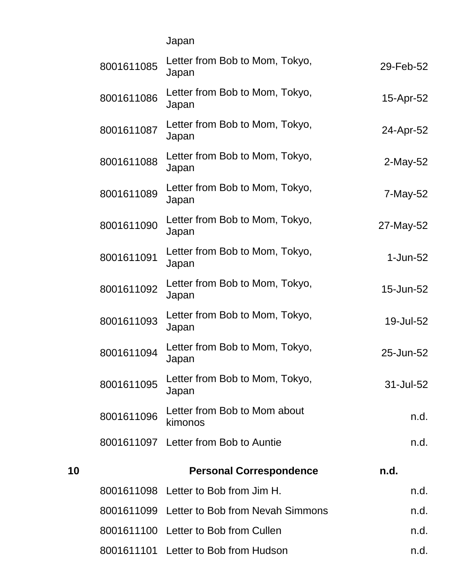Japan

|    | 8001611085 | Letter from Bob to Mom, Tokyo,<br>Japan     | 29-Feb-52      |
|----|------------|---------------------------------------------|----------------|
|    | 8001611086 | Letter from Bob to Mom, Tokyo,<br>Japan     | 15-Apr-52      |
|    | 8001611087 | Letter from Bob to Mom, Tokyo,<br>Japan     | 24-Apr-52      |
|    | 8001611088 | Letter from Bob to Mom, Tokyo,<br>Japan     | $2$ -May-52    |
|    | 8001611089 | Letter from Bob to Mom, Tokyo,<br>Japan     | 7-May-52       |
|    | 8001611090 | Letter from Bob to Mom, Tokyo,<br>Japan     | 27-May-52      |
|    | 8001611091 | Letter from Bob to Mom, Tokyo,<br>Japan     | $1$ -Jun- $52$ |
|    | 8001611092 | Letter from Bob to Mom, Tokyo,<br>Japan     | 15-Jun-52      |
|    | 8001611093 | Letter from Bob to Mom, Tokyo,<br>Japan     | 19-Jul-52      |
|    | 8001611094 | Letter from Bob to Mom, Tokyo,<br>Japan     | 25-Jun-52      |
|    | 8001611095 | Letter from Bob to Mom, Tokyo,<br>Japan     | 31-Jul-52      |
|    | 8001611096 | Letter from Bob to Mom about<br>kimonos     | n.d.           |
|    |            | 8001611097 Letter from Bob to Auntie        | n.d.           |
| 10 |            | <b>Personal Correspondence</b>              | n.d.           |
|    |            | 8001611098 Letter to Bob from Jim H.        | n.d.           |
|    |            | 8001611099 Letter to Bob from Nevah Simmons | n.d.           |
|    |            | 8001611100 Letter to Bob from Cullen        | n.d.           |
|    |            | 8001611101 Letter to Bob from Hudson        | n.d.           |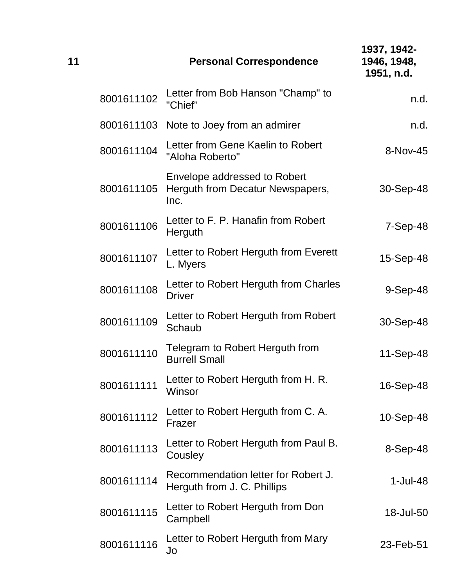| 11 |            | <b>Personal Correspondence</b>                                           | 1937, 1942-<br>1946, 1948,<br>1951, n.d. |
|----|------------|--------------------------------------------------------------------------|------------------------------------------|
|    | 8001611102 | Letter from Bob Hanson "Champ" to<br>"Chief"                             | n.d.                                     |
|    |            | 8001611103 Note to Joey from an admirer                                  | n.d.                                     |
|    | 8001611104 | Letter from Gene Kaelin to Robert<br>"Aloha Roberto"                     | 8-Nov-45                                 |
|    | 8001611105 | Envelope addressed to Robert<br>Herguth from Decatur Newspapers,<br>Inc. | 30-Sep-48                                |
|    | 8001611106 | Letter to F. P. Hanafin from Robert<br>Herguth                           | $7-Sep-48$                               |
|    | 8001611107 | Letter to Robert Herguth from Everett<br>L. Myers                        | 15-Sep-48                                |
|    | 8001611108 | Letter to Robert Herguth from Charles<br><b>Driver</b>                   | $9-Sep-48$                               |
|    | 8001611109 | Letter to Robert Herguth from Robert<br>Schaub                           | 30-Sep-48                                |
|    | 8001611110 | Telegram to Robert Herguth from<br><b>Burrell Small</b>                  | 11-Sep-48                                |
|    | 8001611111 | Letter to Robert Herguth from H. R.<br>Winsor                            | 16-Sep-48                                |
|    | 8001611112 | Letter to Robert Herguth from C. A.<br>Frazer                            | 10-Sep-48                                |
|    | 8001611113 | Letter to Robert Herguth from Paul B.<br>Cousley                         | 8-Sep-48                                 |
|    | 8001611114 | Recommendation letter for Robert J.<br>Herguth from J. C. Phillips       | $1-Jul-48$                               |
|    | 8001611115 | Letter to Robert Herguth from Don<br>Campbell                            | 18-Jul-50                                |
|    | 8001611116 | Letter to Robert Herguth from Mary<br>Jo                                 | 23-Feb-51                                |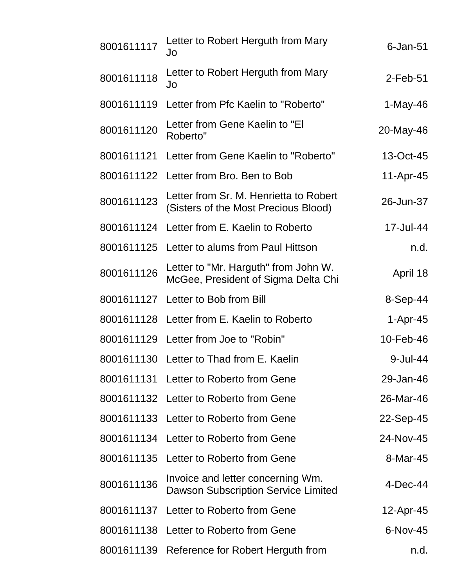| 8001611117 | Letter to Robert Herguth from Mary<br>Jo                                        | $6$ -Jan- $51$ |
|------------|---------------------------------------------------------------------------------|----------------|
| 8001611118 | Letter to Robert Herguth from Mary<br>Jo                                        | $2$ -Feb-51    |
| 8001611119 | Letter from Pfc Kaelin to "Roberto"                                             | $1-May-46$     |
| 8001611120 | Letter from Gene Kaelin to "El<br>Roberto"                                      | 20-May-46      |
|            | 8001611121 Letter from Gene Kaelin to "Roberto"                                 | 13-Oct-45      |
|            | 8001611122 Letter from Bro. Ben to Bob                                          | 11-Apr-45      |
| 8001611123 | Letter from Sr. M. Henrietta to Robert<br>(Sisters of the Most Precious Blood)  | 26-Jun-37      |
|            | 8001611124 Letter from E. Kaelin to Roberto                                     | 17-Jul-44      |
|            | 8001611125 Letter to alums from Paul Hittson                                    | n.d.           |
| 8001611126 | Letter to "Mr. Harguth" from John W.<br>McGee, President of Sigma Delta Chi     | April 18       |
|            | 8001611127 Letter to Bob from Bill                                              | 8-Sep-44       |
|            | 8001611128 Letter from E. Kaelin to Roberto                                     | $1-Apr-45$     |
|            | 8001611129 Letter from Joe to "Robin"                                           | 10-Feb-46      |
|            | 8001611130 Letter to Thad from E. Kaelin                                        | 9-Jul-44       |
|            | 8001611131 Letter to Roberto from Gene                                          | 29-Jan-46      |
|            | 8001611132 Letter to Roberto from Gene                                          | 26-Mar-46      |
|            | 8001611133 Letter to Roberto from Gene                                          | 22-Sep-45      |
|            | 8001611134 Letter to Roberto from Gene                                          | 24-Nov-45      |
|            | 8001611135 Letter to Roberto from Gene                                          | 8-Mar-45       |
| 8001611136 | Invoice and letter concerning Wm.<br><b>Dawson Subscription Service Limited</b> | $4$ -Dec-44    |
|            | 8001611137 Letter to Roberto from Gene                                          | 12-Apr-45      |
|            | 8001611138 Letter to Roberto from Gene                                          | 6-Nov-45       |
|            | 8001611139 Reference for Robert Herguth from                                    | n.d.           |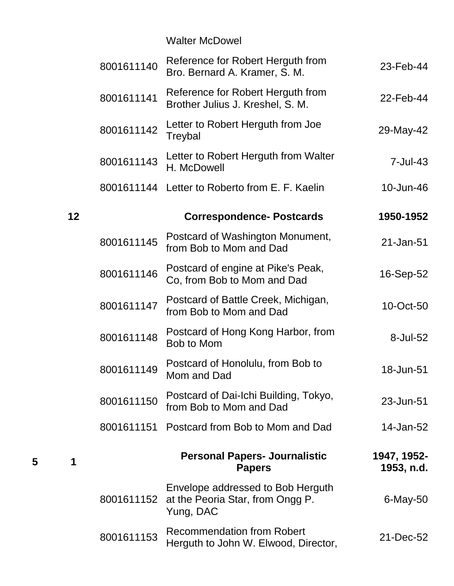Walter McDowel

|    | 8001611140 | Reference for Robert Herguth from<br>Bro. Bernard A. Kramer, S. M.                 | 23-Feb-44                 |
|----|------------|------------------------------------------------------------------------------------|---------------------------|
|    | 8001611141 | Reference for Robert Herguth from<br>Brother Julius J. Kreshel, S. M.              | 22-Feb-44                 |
|    | 8001611142 | Letter to Robert Herguth from Joe<br>Treybal                                       | 29-May-42                 |
|    | 8001611143 | Letter to Robert Herguth from Walter<br>H. McDowell                                | $7 -$ Jul $-43$           |
|    |            | 8001611144 Letter to Roberto from E. F. Kaelin                                     | 10-Jun-46                 |
| 12 |            | <b>Correspondence-Postcards</b>                                                    | 1950-1952                 |
|    | 8001611145 | Postcard of Washington Monument,<br>from Bob to Mom and Dad                        | 21-Jan-51                 |
|    | 8001611146 | Postcard of engine at Pike's Peak,<br>Co, from Bob to Mom and Dad                  | 16-Sep-52                 |
|    | 8001611147 | Postcard of Battle Creek, Michigan,<br>from Bob to Mom and Dad                     | 10-Oct-50                 |
|    | 8001611148 | Postcard of Hong Kong Harbor, from<br>Bob to Mom                                   | 8-Jul-52                  |
|    | 8001611149 | Postcard of Honolulu, from Bob to<br>Mom and Dad                                   | 18-Jun-51                 |
|    | 8001611150 | Postcard of Dai-Ichi Building, Tokyo,<br>from Bob to Mom and Dad                   | 23-Jun-51                 |
|    | 8001611151 | Postcard from Bob to Mom and Dad                                                   | 14-Jan-52                 |
| 1  |            | <b>Personal Papers- Journalistic</b><br><b>Papers</b>                              | 1947, 1952-<br>1953, n.d. |
|    | 8001611152 | Envelope addressed to Bob Herguth<br>at the Peoria Star, from Ongg P.<br>Yung, DAC | $6$ -May-50               |
|    | 8001611153 | <b>Recommendation from Robert</b><br>Herguth to John W. Elwood, Director,          | 21-Dec-52                 |

**5 1**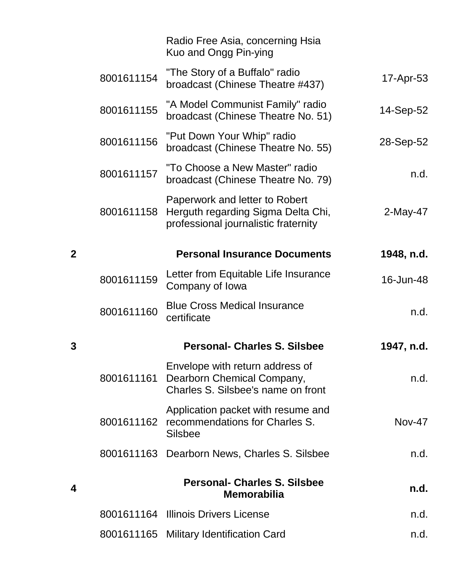|              |            | Radio Free Asia, concerning Hsia<br>Kuo and Ongg Pin-ying                                                    |               |
|--------------|------------|--------------------------------------------------------------------------------------------------------------|---------------|
|              | 8001611154 | "The Story of a Buffalo" radio<br>broadcast (Chinese Theatre #437)                                           | 17-Apr-53     |
|              | 8001611155 | "A Model Communist Family" radio<br>broadcast (Chinese Theatre No. 51)                                       | 14-Sep-52     |
|              | 8001611156 | "Put Down Your Whip" radio<br>broadcast (Chinese Theatre No. 55)                                             | 28-Sep-52     |
|              | 8001611157 | "To Choose a New Master" radio<br>broadcast (Chinese Theatre No. 79)                                         | n.d.          |
|              | 8001611158 | Paperwork and letter to Robert<br>Herguth regarding Sigma Delta Chi,<br>professional journalistic fraternity | 2-May-47      |
| $\mathbf{2}$ |            | <b>Personal Insurance Documents</b>                                                                          | 1948, n.d.    |
|              | 8001611159 | Letter from Equitable Life Insurance<br>Company of Iowa                                                      | 16-Jun-48     |
|              | 8001611160 | <b>Blue Cross Medical Insurance</b><br>certificate                                                           | n.d.          |
| 3            |            | <b>Personal- Charles S. Silsbee</b>                                                                          | 1947, n.d.    |
|              | 8001611161 | Envelope with return address of<br>Dearborn Chemical Company,<br>Charles S. Silsbee's name on front          | n.d.          |
|              | 8001611162 | Application packet with resume and<br>recommendations for Charles S.<br><b>Silsbee</b>                       | <b>Nov-47</b> |
|              | 8001611163 | Dearborn News, Charles S. Silsbee                                                                            | n.d.          |
| 4            |            | <b>Personal- Charles S. Silsbee</b><br><b>Memorabilia</b>                                                    | n.d.          |
|              |            | 8001611164 Illinois Drivers License                                                                          | n.d.          |
|              |            | 8001611165 Military Identification Card                                                                      | n.d.          |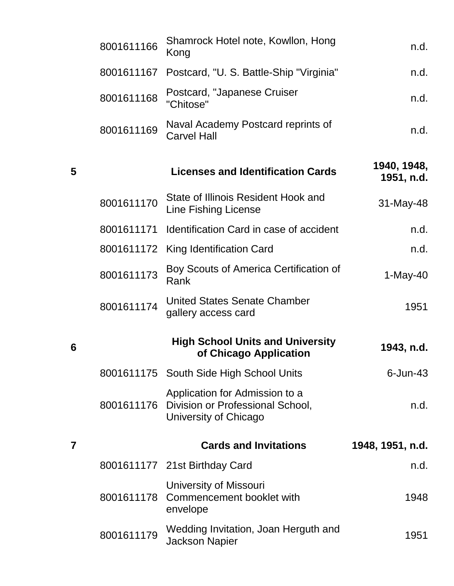|   | 8001611166 | Shamrock Hotel note, Kowllon, Hong<br>Kong                                                             | n.d.                      |
|---|------------|--------------------------------------------------------------------------------------------------------|---------------------------|
|   | 8001611167 | Postcard, "U. S. Battle-Ship "Virginia"                                                                | n.d.                      |
|   | 8001611168 | Postcard, "Japanese Cruiser<br>"Chitose"                                                               | n.d.                      |
|   | 8001611169 | Naval Academy Postcard reprints of<br><b>Carvel Hall</b>                                               | n.d.                      |
| 5 |            | <b>Licenses and Identification Cards</b>                                                               | 1940, 1948,<br>1951, n.d. |
|   | 8001611170 | State of Illinois Resident Hook and<br><b>Line Fishing License</b>                                     | 31-May-48                 |
|   | 8001611171 | Identification Card in case of accident                                                                | n.d.                      |
|   |            | 8001611172 King Identification Card                                                                    | n.d.                      |
|   | 8001611173 | Boy Scouts of America Certification of<br>Rank                                                         | $1-May-40$                |
|   | 8001611174 | <b>United States Senate Chamber</b><br>gallery access card                                             | 1951                      |
| 6 |            | <b>High School Units and University</b><br>of Chicago Application                                      | 1943, n.d.                |
|   |            | 8001611175 South Side High School Units                                                                | $6$ -Jun-43               |
|   |            | Application for Admission to a<br>8001611176 Division or Professional School,<br>University of Chicago | n.d.                      |
| 7 |            | <b>Cards and Invitations</b>                                                                           | 1948, 1951, n.d.          |
|   |            | 8001611177 21st Birthday Card                                                                          | n.d.                      |
|   | 8001611178 | University of Missouri<br>Commencement booklet with<br>envelope                                        | 1948                      |
|   | 8001611179 | Wedding Invitation, Joan Herguth and<br><b>Jackson Napier</b>                                          | 1951                      |

**6**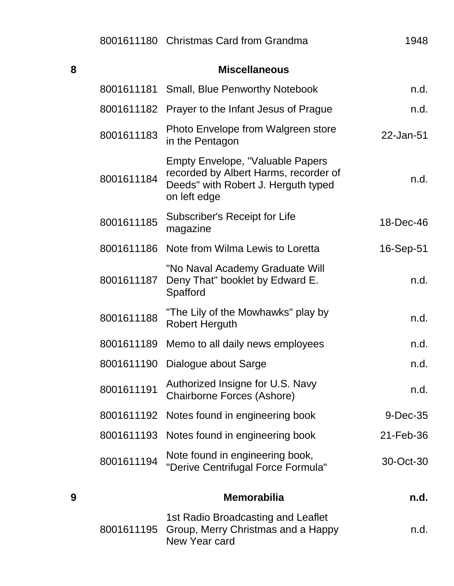| 8 |            | <b>Miscellaneous</b>                                                                                                                    |           |
|---|------------|-----------------------------------------------------------------------------------------------------------------------------------------|-----------|
|   | 8001611181 | <b>Small, Blue Penworthy Notebook</b>                                                                                                   | n.d.      |
|   | 8001611182 | Prayer to the Infant Jesus of Prague                                                                                                    | n.d.      |
|   | 8001611183 | Photo Envelope from Walgreen store<br>in the Pentagon                                                                                   | 22-Jan-51 |
|   | 8001611184 | <b>Empty Envelope, "Valuable Papers</b><br>recorded by Albert Harms, recorder of<br>Deeds" with Robert J. Herguth typed<br>on left edge | n.d.      |
|   | 8001611185 | Subscriber's Receipt for Life<br>magazine                                                                                               | 18-Dec-46 |
|   | 8001611186 | Note from Wilma Lewis to Loretta                                                                                                        | 16-Sep-51 |
|   | 8001611187 | "No Naval Academy Graduate Will<br>Deny That" booklet by Edward E.<br>Spafford                                                          | n.d.      |
|   | 8001611188 | "The Lily of the Mowhawks" play by<br><b>Robert Herguth</b>                                                                             | n.d.      |
|   | 8001611189 | Memo to all daily news employees                                                                                                        | n.d.      |
|   | 8001611190 | Dialogue about Sarge                                                                                                                    | n.d.      |
|   | 8001611191 | Authorized Insigne for U.S. Navy<br><b>Chairborne Forces (Ashore)</b>                                                                   | n.d       |
|   | 8001611192 | Notes found in engineering book                                                                                                         | 9-Dec-35  |
|   | 8001611193 | Notes found in engineering book                                                                                                         | 21-Feb-36 |
|   | 8001611194 | Note found in engineering book,<br>"Derive Centrifugal Force Formula"                                                                   | 30-Oct-30 |
| 9 |            | <b>Memorabilia</b>                                                                                                                      | n.d.      |
|   |            | 1st Radio Broadcasting and Leaflet                                                                                                      |           |

8001611195 1st Radio Broadcasting and Leaflet Group, Merry Christmas and a Happy New Year card n.d.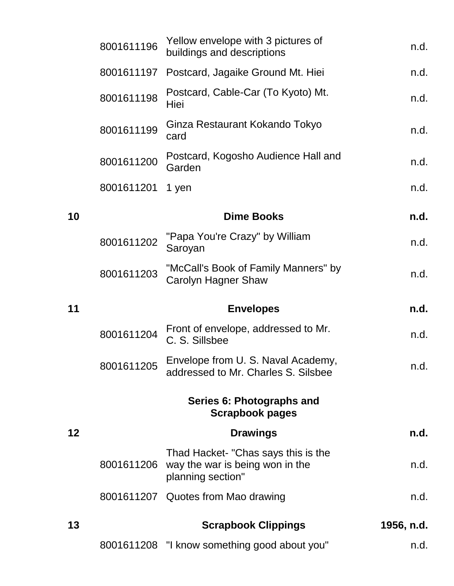|    | 8001611196 | Yellow envelope with 3 pictures of<br>buildings and descriptions                            | n.d.       |
|----|------------|---------------------------------------------------------------------------------------------|------------|
|    | 8001611197 | Postcard, Jagaike Ground Mt. Hiei                                                           | n.d.       |
|    | 8001611198 | Postcard, Cable-Car (To Kyoto) Mt.<br>Hiei                                                  | n.d.       |
|    | 8001611199 | Ginza Restaurant Kokando Tokyo<br>card                                                      | n.d.       |
|    | 8001611200 | Postcard, Kogosho Audience Hall and<br>Garden                                               | n.d.       |
|    | 8001611201 | 1 yen                                                                                       | n.d.       |
| 10 |            | <b>Dime Books</b>                                                                           | n.d.       |
|    | 8001611202 | "Papa You're Crazy" by William<br>Saroyan                                                   | n.d.       |
|    | 8001611203 | "McCall's Book of Family Manners" by<br>Carolyn Hagner Shaw                                 | n.d.       |
| 11 |            | <b>Envelopes</b>                                                                            | n.d.       |
|    | 8001611204 | Front of envelope, addressed to Mr.<br>C. S. Sillsbee                                       | n.d.       |
|    | 8001611205 | Envelope from U. S. Naval Academy,<br>addressed to Mr. Charles S. Silsbee                   | n.d.       |
|    |            | Series 6: Photographs and<br><b>Scrapbook pages</b>                                         |            |
| 12 |            | <b>Drawings</b>                                                                             | n.d.       |
|    | 8001611206 | Thad Hacket- "Chas says this is the<br>way the war is being won in the<br>planning section" | n.d.       |
|    |            | 8001611207 Quotes from Mao drawing                                                          | n.d.       |
| 13 |            | <b>Scrapbook Clippings</b>                                                                  | 1956, n.d. |
|    |            | 8001611208 "I know something good about you"                                                | n.d.       |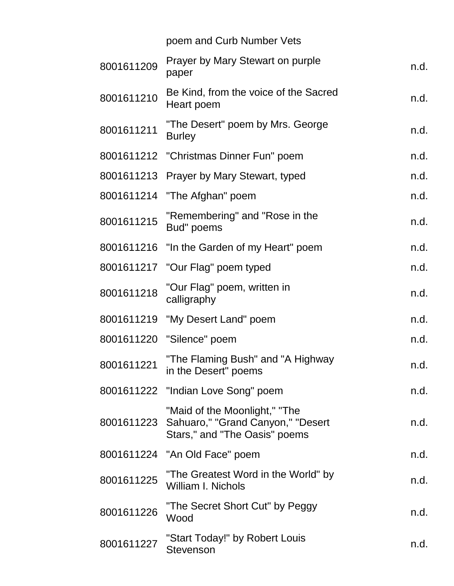|            | poem and Curb Number Vets                                                                                      |      |
|------------|----------------------------------------------------------------------------------------------------------------|------|
| 8001611209 | Prayer by Mary Stewart on purple<br>paper                                                                      | n.d. |
| 8001611210 | Be Kind, from the voice of the Sacred<br>Heart poem                                                            | n.d. |
| 8001611211 | "The Desert" poem by Mrs. George<br><b>Burley</b>                                                              | n.d. |
|            | 8001611212 "Christmas Dinner Fun" poem                                                                         | n.d. |
|            | 8001611213 Prayer by Mary Stewart, typed                                                                       | n.d. |
| 8001611214 | "The Afghan" poem                                                                                              | n.d. |
| 8001611215 | "Remembering" and "Rose in the<br>Bud" poems                                                                   | n.d. |
|            | 8001611216 "In the Garden of my Heart" poem                                                                    | n.d. |
|            | 8001611217 "Our Flag" poem typed                                                                               | n.d. |
| 8001611218 | "Our Flag" poem, written in<br>calligraphy                                                                     | n.d. |
|            | 8001611219 "My Desert Land" poem                                                                               | n.d. |
|            | 8001611220 "Silence" poem                                                                                      | n.d. |
| 8001611221 | "The Flaming Bush" and "A Highway<br>in the Desert" poems                                                      | n.d. |
|            | 8001611222 "Indian Love Song" poem                                                                             | n.d. |
|            | "Maid of the Moonlight," "The<br>8001611223 Sahuaro," "Grand Canyon," "Desert<br>Stars," and "The Oasis" poems | n.d. |
|            | 8001611224 "An Old Face" poem                                                                                  | n.d. |
| 8001611225 | "The Greatest Word in the World" by<br><b>William I. Nichols</b>                                               | n.d. |
| 8001611226 | "The Secret Short Cut" by Peggy<br>Wood                                                                        | n.d. |
| 8001611227 | "Start Today!" by Robert Louis<br><b>Stevenson</b>                                                             | n.d. |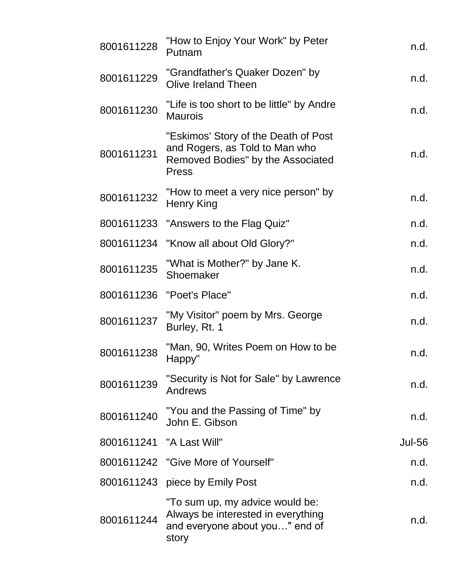| 8001611228               | "How to Enjoy Your Work" by Peter<br>Putnam                                                                                 | n.d.          |
|--------------------------|-----------------------------------------------------------------------------------------------------------------------------|---------------|
| 8001611229               | "Grandfather's Quaker Dozen" by<br>Olive Ireland Theen                                                                      | n.d.          |
| 8001611230               | "Life is too short to be little" by Andre<br><b>Maurois</b>                                                                 | n.d.          |
| 8001611231               | "Eskimos' Story of the Death of Post<br>and Rogers, as Told to Man who<br>Removed Bodies" by the Associated<br><b>Press</b> | n.d.          |
| 8001611232               | "How to meet a very nice person" by<br>Henry King                                                                           | n.d.          |
| 8001611233               | "Answers to the Flag Quiz"                                                                                                  | n.d.          |
| 8001611234               | "Know all about Old Glory?"                                                                                                 | n.d.          |
| 8001611235               | "What is Mother?" by Jane K.<br>Shoemaker                                                                                   | n.d.          |
| 8001611236               | "Poet's Place"                                                                                                              | n.d.          |
| 8001611237               | "My Visitor" poem by Mrs. George<br>Burley, Rt. 1                                                                           | n.d.          |
| 8001611238               | "Man, 90, Writes Poem on How to be<br>Happy"                                                                                | n.d.          |
| 8001611239               | "Security is Not for Sale" by Lawrence<br>Andrews                                                                           | n.d.          |
| 8001611240               | "You and the Passing of Time" by<br>John E. Gibson                                                                          | n.d.          |
| 8001611241 "A Last Will" |                                                                                                                             | <b>Jul-56</b> |
|                          | 8001611242 "Give More of Yourself"                                                                                          | n.d.          |
|                          | 8001611243 piece by Emily Post                                                                                              | n.d.          |
| 8001611244               | "To sum up, my advice would be:<br>Always be interested in everything<br>and everyone about you" end of<br>story            | n.d.          |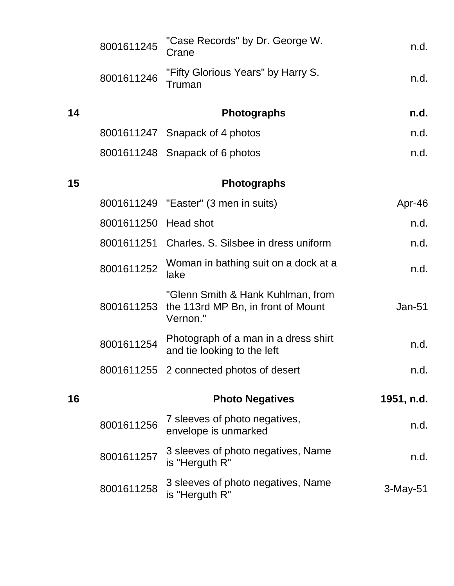|    | 8001611245           | "Case Records" by Dr. George W.<br>Crane                                            | n.d.       |
|----|----------------------|-------------------------------------------------------------------------------------|------------|
|    | 8001611246           | "Fifty Glorious Years" by Harry S.<br>Truman                                        | n.d.       |
| 14 |                      | <b>Photographs</b>                                                                  | n.d.       |
|    |                      | 8001611247 Snapack of 4 photos                                                      | n.d.       |
|    |                      | 8001611248 Snapack of 6 photos                                                      | n.d.       |
| 15 |                      | <b>Photographs</b>                                                                  |            |
|    |                      | 8001611249 "Easter" (3 men in suits)                                                | Apr-46     |
|    | 8001611250 Head shot |                                                                                     | n.d.       |
|    |                      | 8001611251 Charles, S. Silsbee in dress uniform                                     | n.d.       |
|    | 8001611252           | Woman in bathing suit on a dock at a<br>lake                                        | n.d.       |
|    | 8001611253           | "Glenn Smith & Hank Kuhlman, from<br>the 113rd MP Bn, in front of Mount<br>Vernon." | $Jan-51$   |
|    | 8001611254           | Photograph of a man in a dress shirt<br>and tie looking to the left                 | n.d.       |
|    |                      | 8001611255 2 connected photos of desert                                             | n.d.       |
| 16 |                      | <b>Photo Negatives</b>                                                              | 1951, n.d. |
|    | 8001611256           | 7 sleeves of photo negatives,<br>envelope is unmarked                               | n.d.       |
|    | 8001611257           | 3 sleeves of photo negatives, Name<br>is "Herguth R"                                | n.d.       |
|    | 8001611258           | 3 sleeves of photo negatives, Name<br>is "Herguth R"                                | 3-May-51   |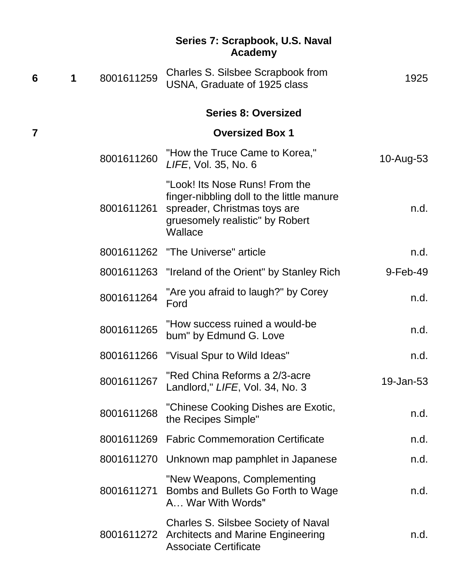## **Series 7: Scrapbook, U.S. Naval Academy**

| 6 | 1 | 8001611259 | Charles S. Silsbee Scrapbook from<br>USNA, Graduate of 1925 class                                                                                         | 1925      |
|---|---|------------|-----------------------------------------------------------------------------------------------------------------------------------------------------------|-----------|
|   |   |            | <b>Series 8: Oversized</b>                                                                                                                                |           |
| 7 |   |            | <b>Oversized Box 1</b>                                                                                                                                    |           |
|   |   | 8001611260 | "How the Truce Came to Korea,"<br>LIFE, Vol. 35, No. 6                                                                                                    | 10-Aug-53 |
|   |   | 8001611261 | "Look! Its Nose Runs! From the<br>finger-nibbling doll to the little manure<br>spreader, Christmas toys are<br>gruesomely realistic" by Robert<br>Wallace | n.d.      |
|   |   |            | 8001611262 "The Universe" article                                                                                                                         | n.d.      |
|   |   |            | 8001611263 "Ireland of the Orient" by Stanley Rich                                                                                                        | 9-Feb-49  |
|   |   | 8001611264 | "Are you afraid to laugh?" by Corey<br>Ford                                                                                                               | n.d.      |
|   |   | 8001611265 | "How success ruined a would-be<br>bum" by Edmund G. Love                                                                                                  | n.d.      |
|   |   | 8001611266 | "Visual Spur to Wild Ideas"                                                                                                                               | n.d.      |
|   |   | 8001611267 | "Red China Reforms a 2/3-acre<br>Landlord," LIFE, Vol. 34, No. 3                                                                                          | 19-Jan-53 |
|   |   | 8001611268 | "Chinese Cooking Dishes are Exotic,<br>the Recipes Simple"                                                                                                | n.d.      |
|   |   |            | 8001611269 Fabric Commemoration Certificate                                                                                                               | n.d.      |
|   |   |            | 8001611270 Unknown map pamphlet in Japanese                                                                                                               | n.d.      |
|   |   |            | "New Weapons, Complementing<br>8001611271 Bombs and Bullets Go Forth to Wage<br>A War With Words"                                                         | n.d.      |
|   |   |            | <b>Charles S. Silsbee Society of Naval</b><br>8001611272 Architects and Marine Engineering<br><b>Associate Certificate</b>                                | n.d.      |